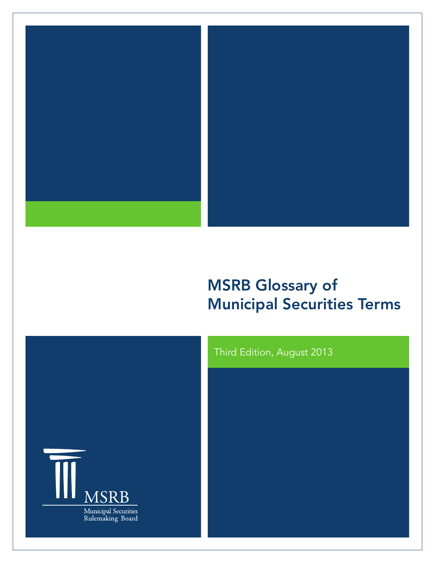

# MSRB Glossary of Municipal Securities Terms



# Third Edition, August 2013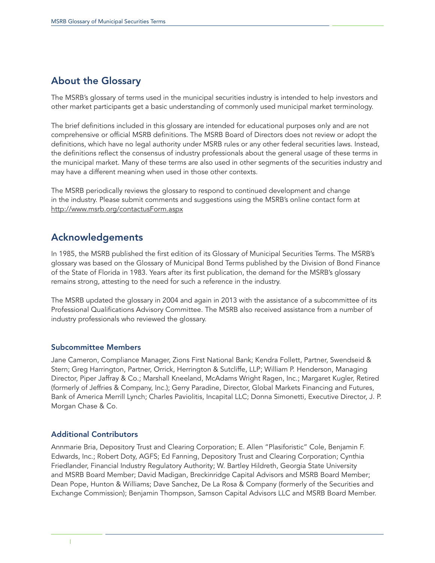# About the Glossary

The MSRB's glossary of terms used in the municipal securities industry is intended to help investors and other market participants get a basic understanding of commonly used municipal market terminology.

The brief definitions included in this glossary are intended for educational purposes only and are not comprehensive or official MSRB definitions. The MSRB Board of Directors does not review or adopt the definitions, which have no legal authority under MSRB rules or any other federal securities laws. Instead, the definitions reflect the consensus of industry professionals about the general usage of these terms in the municipal market. Many of these terms are also used in other segments of the securities industry and may have a different meaning when used in those other contexts.

The MSRB periodically reviews the glossary to respond to continued development and change in the industry. Please submit comments and suggestions using the MSRB's online contact form at http://www.msrb.org/contactusForm.aspx

# Acknowledgements

In 1985, the MSRB published the first edition of its Glossary of Municipal Securities Terms. The MSRB's glossary was based on the Glossary of Municipal Bond Terms published by the Division of Bond Finance of the State of Florida in 1983. Years after its first publication, the demand for the MSRB's glossary remains strong, attesting to the need for such a reference in the industry.

The MSRB updated the glossary in 2004 and again in 2013 with the assistance of a subcommittee of its Professional Qualifications Advisory Committee. The MSRB also received assistance from a number of industry professionals who reviewed the glossary.

# Subcommittee Members

Jane Cameron, Compliance Manager, Zions First National Bank; Kendra Follett, Partner, Swendseid & Stern; Greg Harrington, Partner, Orrick, Herrington & Sutcliffe, LLP; William P. Henderson, Managing Director, Piper Jaffray & Co.; Marshall Kneeland, McAdams Wright Ragen, Inc.; Margaret Kugler, Retired (formerly of Jeffries & Company, Inc.); Gerry Paradine, Director, Global Markets Financing and Futures, Bank of America Merrill Lynch; Charles Paviolitis, Incapital LLC; Donna Simonetti, Executive Director, J. P. Morgan Chase & Co.

# Additional Contributors

Annmarie Bria, Depository Trust and Clearing Corporation; E. Allen "Plasiforistic" Cole, Benjamin F. Edwards, Inc.; Robert Doty, AGFS; Ed Fanning, Depository Trust and Clearing Corporation; Cynthia Friedlander, Financial Industry Regulatory Authority; W. Bartley Hildreth, Georgia State University and MSRB Board Member; David Madigan, Breckinridge Capital Advisors and MSRB Board Member; Dean Pope, Hunton & Williams; Dave Sanchez, De La Rosa & Company (formerly of the Securities and Exchange Commission); Benjamin Thompson, Samson Capital Advisors LLC and MSRB Board Member.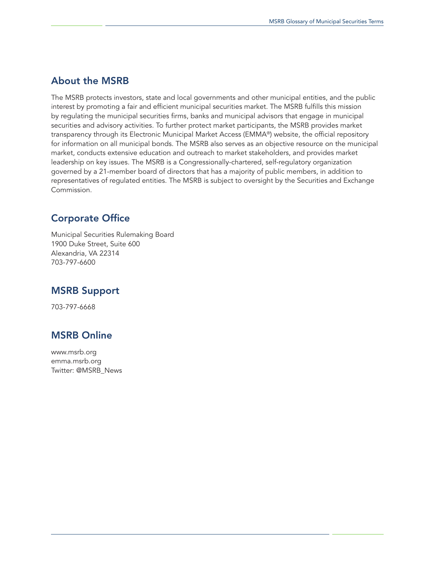# About the MSRB

The MSRB protects investors, state and local governments and other municipal entities, and the public interest by promoting a fair and efficient municipal securities market. The MSRB fulfills this mission by regulating the municipal securities firms, banks and municipal advisors that engage in municipal securities and advisory activities. To further protect market participants, the MSRB provides market transparency through its Electronic Municipal Market Access (EMMA®) website, the official repository for information on all municipal bonds. The MSRB also serves as an objective resource on the municipal market, conducts extensive education and outreach to market stakeholders, and provides market leadership on key issues. The MSRB is a Congressionally-chartered, self-regulatory organization governed by a 21-member board of directors that has a majority of public members, in addition to representatives of regulated entities. The MSRB is subject to oversight by the Securities and Exchange Commission.

# Corporate Office

Municipal Securities Rulemaking Board 1900 Duke Street, Suite 600 Alexandria, VA 22314 703-797-6600

# MSRB Support

703-797-6668

# MSRB Online

www.msrb.org [emma.msrb.org](http://emma.msrb.org) Twitter: @MSRB\_News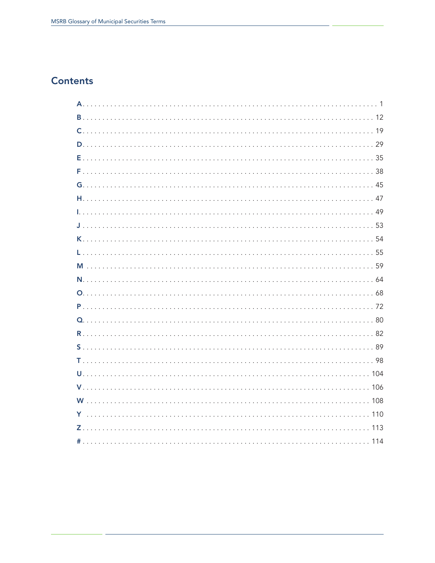# **Contents**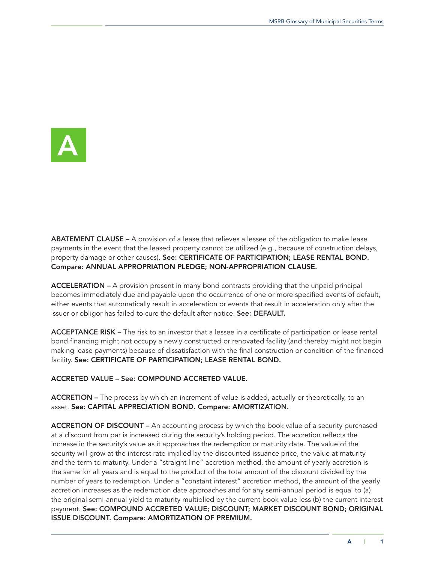<span id="page-4-0"></span>

ABATEMENT CLAUSE – A provision of a lease that relieves a lessee of the obligation to make lease payments in the event that the leased property cannot be utilized (e.g., because of construction delays, property damage or other causes). See: CERTIFICATE OF PARTICIPATION; LEASE RENTAL BOND. Compare: ANNUAL APPROPRIATION PLEDGE; NON-APPROPRIATION CLAUSE.

ACCELERATION – A provision present in many bond contracts providing that the unpaid principal becomes immediately due and payable upon the occurrence of one or more specified events of default, either events that automatically result in acceleration or events that result in acceleration only after the issuer or obligor has failed to cure the default after notice. See: DEFAULT.

ACCEPTANCE RISK – The risk to an investor that a lessee in a certificate of participation or lease rental bond financing might not occupy a newly constructed or renovated facility (and thereby might not begin making lease payments) because of dissatisfaction with the final construction or condition of the financed facility. See: CERTIFICATE OF PARTICIPATION; LEASE RENTAL BOND.

ACCRETED VALUE – See: COMPOUND ACCRETED VALUE.

ACCRETION – The process by which an increment of value is added, actually or theoretically, to an asset. See: CAPITAL APPRECIATION BOND. Compare: AMORTIZATION.

ACCRETION OF DISCOUNT – An accounting process by which the book value of a security purchased at a discount from par is increased during the security's holding period. The accretion reflects the increase in the security's value as it approaches the redemption or maturity date. The value of the security will grow at the interest rate implied by the discounted issuance price, the value at maturity and the term to maturity. Under a "straight line" accretion method, the amount of yearly accretion is the same for all years and is equal to the product of the total amount of the discount divided by the number of years to redemption. Under a "constant interest" accretion method, the amount of the yearly accretion increases as the redemption date approaches and for any semi-annual period is equal to (a) the original semi-annual yield to maturity multiplied by the current book value less (b) the current interest payment. See: COMPOUND ACCRETED VALUE; DISCOUNT; MARKET DISCOUNT BOND; ORIGINAL ISSUE DISCOUNT. Compare: AMORTIZATION OF PREMIUM.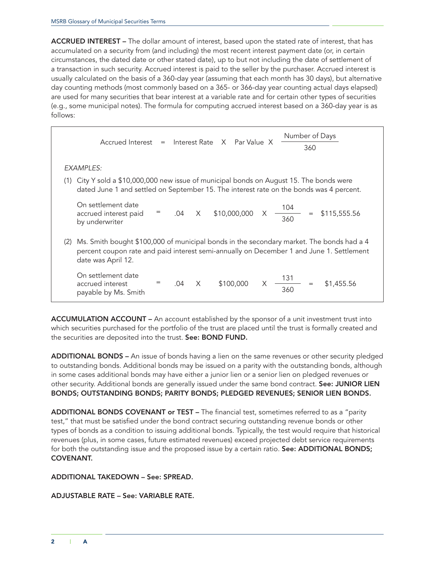ACCRUED INTEREST – The dollar amount of interest, based upon the stated rate of interest, that has accumulated on a security from (and including) the most recent interest payment date (or, in certain circumstances, the dated date or other stated date), up to but not including the date of settlement of a transaction in such security. Accrued interest is paid to the seller by the purchaser. Accrued interest is usually calculated on the basis of a 360-day year (assuming that each month has 30 days), but alternative day counting methods (most commonly based on a 365- or 366-day year counting actual days elapsed) are used for many securities that bear interest at a variable rate and for certain other types of securities (e.g., some municipal notes). The formula for computing accrued interest based on a 360-day year is as follows:

|     | Accrued Interest = Interest Rate X Par Value X                                           |     |   |                               |          | Number of Days<br>360                                                                                                                                                                |  |
|-----|------------------------------------------------------------------------------------------|-----|---|-------------------------------|----------|--------------------------------------------------------------------------------------------------------------------------------------------------------------------------------------|--|
|     | EXAMPLES:                                                                                |     |   |                               |          |                                                                                                                                                                                      |  |
|     | (1) City Y sold a \$10,000,000 new issue of municipal bonds on August 15. The bonds were |     |   |                               |          | dated June 1 and settled on September 15. The interest rate on the bonds was 4 percent.                                                                                              |  |
|     | On settlement date<br>accrued interest paid<br>by underwriter                            |     |   | $=$ .04 $\times$ \$10,000,000 | $\times$ | $\frac{104}{360}$<br>\$115,555.56<br>$=$                                                                                                                                             |  |
| (2) | date was April 12.                                                                       |     |   |                               |          | Ms. Smith bought \$100,000 of municipal bonds in the secondary market. The bonds had a 4<br>percent coupon rate and paid interest semi-annually on December 1 and June 1. Settlement |  |
|     | On settlement date<br>accrued interest<br>payable by Ms. Smith                           | .04 | X | \$100,000                     | X        | $\frac{131}{360}$<br>\$1,455.56                                                                                                                                                      |  |

ACCUMULATION ACCOUNT – An account established by the sponsor of a unit investment trust into which securities purchased for the portfolio of the trust are placed until the trust is formally created and the securities are deposited into the trust. See: BOND FUND.

ADDITIONAL BONDS – An issue of bonds having a lien on the same revenues or other security pledged to outstanding bonds. Additional bonds may be issued on a parity with the outstanding bonds, although in some cases additional bonds may have either a junior lien or a senior lien on pledged revenues or other security. Additional bonds are generally issued under the same bond contract. See: JUNIOR LIEN BONDS; OUTSTANDING BONDS; PARITY BONDS; PLEDGED REVENUES; SENIOR LIEN BONDS.

ADDITIONAL BONDS COVENANT or TEST - The financial test, sometimes referred to as a "parity test," that must be satisfied under the bond contract securing outstanding revenue bonds or other types of bonds as a condition to issuing additional bonds. Typically, the test would require that historical revenues (plus, in some cases, future estimated revenues) exceed projected debt service requirements for both the outstanding issue and the proposed issue by a certain ratio. See: ADDITIONAL BONDS; COVENANT.

# ADDITIONAL TAKEDOWN – See: SPREAD.

# ADJUSTABLE RATE – See: VARIABLE RATE.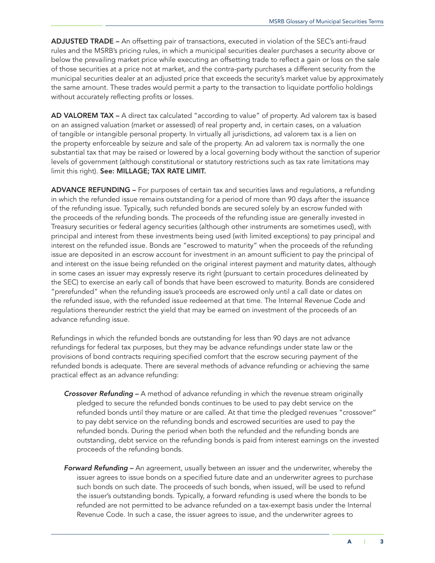ADJUSTED TRADE – An offsetting pair of transactions, executed in violation of the SEC's anti-fraud rules and the MSRB's pricing rules, in which a municipal securities dealer purchases a security above or below the prevailing market price while executing an offsetting trade to reflect a gain or loss on the sale of those securities at a price not at market, and the contra-party purchases a different security from the municipal securities dealer at an adjusted price that exceeds the security's market value by approximately the same amount. These trades would permit a party to the transaction to liquidate portfolio holdings without accurately reflecting profits or losses.

AD VALOREM TAX - A direct tax calculated "according to value" of property. Ad valorem tax is based on an assigned valuation (market or assessed) of real property and, in certain cases, on a valuation of tangible or intangible personal property. In virtually all jurisdictions, ad valorem tax is a lien on the property enforceable by seizure and sale of the property. An ad valorem tax is normally the one substantial tax that may be raised or lowered by a local governing body without the sanction of superior levels of government (although constitutional or statutory restrictions such as tax rate limitations may limit this right). See: MILLAGE; TAX RATE LIMIT.

ADVANCE REFUNDING – For purposes of certain tax and securities laws and regulations, a refunding in which the refunded issue remains outstanding for a period of more than 90 days after the issuance of the refunding issue. Typically, such refunded bonds are secured solely by an escrow funded with the proceeds of the refunding bonds. The proceeds of the refunding issue are generally invested in Treasury securities or federal agency securities (although other instruments are sometimes used), with principal and interest from these investments being used (with limited exceptions) to pay principal and interest on the refunded issue. Bonds are "escrowed to maturity" when the proceeds of the refunding issue are deposited in an escrow account for investment in an amount sufficient to pay the principal of and interest on the issue being refunded on the original interest payment and maturity dates, although in some cases an issuer may expressly reserve its right (pursuant to certain procedures delineated by the SEC) to exercise an early call of bonds that have been escrowed to maturity. Bonds are considered "prerefunded" when the refunding issue's proceeds are escrowed only until a call date or dates on the refunded issue, with the refunded issue redeemed at that time. The Internal Revenue Code and regulations thereunder restrict the yield that may be earned on investment of the proceeds of an advance refunding issue.

Refundings in which the refunded bonds are outstanding for less than 90 days are not advance refundings for federal tax purposes, but they may be advance refundings under state law or the provisions of bond contracts requiring specified comfort that the escrow securing payment of the refunded bonds is adequate. There are several methods of advance refunding or achieving the same practical effect as an advance refunding:

- *Crossover Refunding* A method of advance refunding in which the revenue stream originally pledged to secure the refunded bonds continues to be used to pay debt service on the refunded bonds until they mature or are called. At that time the pledged revenues "crossover" to pay debt service on the refunding bonds and escrowed securities are used to pay the refunded bonds. During the period when both the refunded and the refunding bonds are outstanding, debt service on the refunding bonds is paid from interest earnings on the invested proceeds of the refunding bonds.
- *Forward Refunding* An agreement, usually between an issuer and the underwriter, whereby the issuer agrees to issue bonds on a specified future date and an underwriter agrees to purchase such bonds on such date. The proceeds of such bonds, when issued, will be used to refund the issuer's outstanding bonds. Typically, a forward refunding is used where the bonds to be refunded are not permitted to be advance refunded on a tax-exempt basis under the Internal Revenue Code. In such a case, the issuer agrees to issue, and the underwriter agrees to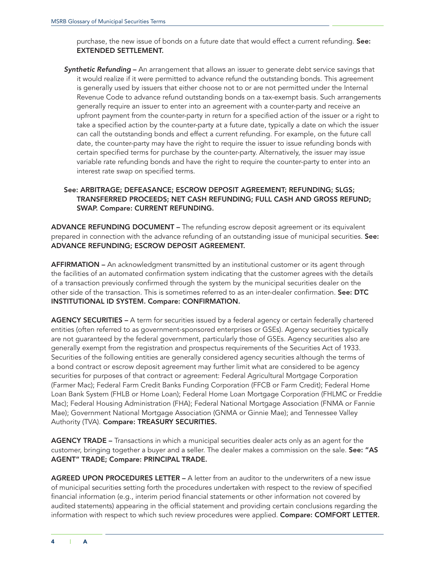purchase, the new issue of bonds on a future date that would effect a current refunding. See: EXTENDED SETTLEMENT.

*Synthetic Refunding* – An arrangement that allows an issuer to generate debt service savings that it would realize if it were permitted to advance refund the outstanding bonds. This agreement is generally used by issuers that either choose not to or are not permitted under the Internal Revenue Code to advance refund outstanding bonds on a tax-exempt basis. Such arrangements generally require an issuer to enter into an agreement with a counter-party and receive an upfront payment from the counter-party in return for a specified action of the issuer or a right to take a specified action by the counter-party at a future date, typically a date on which the issuer can call the outstanding bonds and effect a current refunding. For example, on the future call date, the counter-party may have the right to require the issuer to issue refunding bonds with certain specified terms for purchase by the counter-party. Alternatively, the issuer may issue variable rate refunding bonds and have the right to require the counter-party to enter into an interest rate swap on specified terms.

# See: ARBITRAGE; DEFEASANCE; ESCROW DEPOSIT AGREEMENT; REFUNDING; SLGS; TRANSFERRED PROCEEDS; NET CASH REFUNDING; FULL CASH AND GROSS REFUND; SWAP. Compare: CURRENT REFUNDING.

ADVANCE REFUNDING DOCUMENT – The refunding escrow deposit agreement or its equivalent prepared in connection with the advance refunding of an outstanding issue of municipal securities. See: ADVANCE REFUNDING; ESCROW DEPOSIT AGREEMENT.

AFFIRMATION – An acknowledgment transmitted by an institutional customer or its agent through the facilities of an automated confirmation system indicating that the customer agrees with the details of a transaction previously confirmed through the system by the municipal securities dealer on the other side of the transaction. This is sometimes referred to as an inter-dealer confirmation. See: DTC INSTITUTIONAL ID SYSTEM. Compare: CONFIRMATION.

AGENCY SECURITIES - A term for securities issued by a federal agency or certain federally chartered entities (often referred to as government-sponsored enterprises or GSEs). Agency securities typically are not guaranteed by the federal government, particularly those of GSEs. Agency securities also are generally exempt from the registration and prospectus requirements of the Securities Act of 1933. Securities of the following entities are generally considered agency securities although the terms of a bond contract or escrow deposit agreement may further limit what are considered to be agency securities for purposes of that contract or agreement: Federal Agricultural Mortgage Corporation (Farmer Mac); Federal Farm Credit Banks Funding Corporation (FFCB or Farm Credit); Federal Home Loan Bank System (FHLB or Home Loan); Federal Home Loan Mortgage Corporation (FHLMC or Freddie Mac); Federal Housing Administration (FHA); Federal National Mortgage Association (FNMA or Fannie Mae); Government National Mortgage Association (GNMA or Ginnie Mae); and Tennessee Valley Authority (TVA). Compare: TREASURY SECURITIES.

AGENCY TRADE – Transactions in which a municipal securities dealer acts only as an agent for the customer, bringing together a buyer and a seller. The dealer makes a commission on the sale. See: "AS AGENT" TRADE; Compare: PRINCIPAL TRADE.

AGREED UPON PROCEDURES LETTER – A letter from an auditor to the underwriters of a new issue of municipal securities setting forth the procedures undertaken with respect to the review of specified financial information (e.g., interim period financial statements or other information not covered by audited statements) appearing in the official statement and providing certain conclusions regarding the information with respect to which such review procedures were applied. Compare: COMFORT LETTER.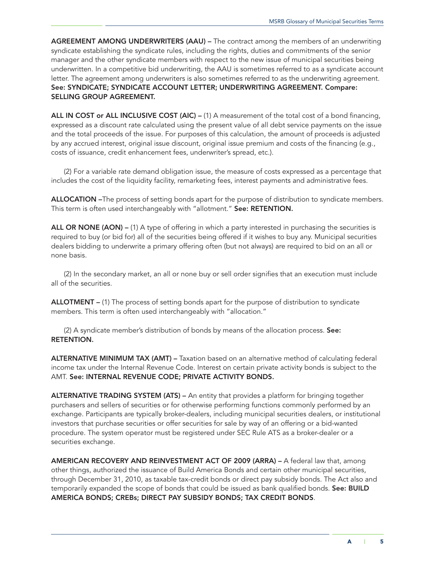AGREEMENT AMONG UNDERWRITERS (AAU) – The contract among the members of an underwriting syndicate establishing the syndicate rules, including the rights, duties and commitments of the senior manager and the other syndicate members with respect to the new issue of municipal securities being underwritten. In a competitive bid underwriting, the AAU is sometimes referred to as a syndicate account letter. The agreement among underwriters is also sometimes referred to as the underwriting agreement. See: SYNDICATE; SYNDICATE ACCOUNT LETTER; UNDERWRITING AGREEMENT. Compare: SELLING GROUP AGREEMENT.

ALL IN COST or ALL INCLUSIVE COST (AIC) – (1) A measurement of the total cost of a bond financing, expressed as a discount rate calculated using the present value of all debt service payments on the issue and the total proceeds of the issue. For purposes of this calculation, the amount of proceeds is adjusted by any accrued interest, original issue discount, original issue premium and costs of the financing (e.g., costs of issuance, credit enhancement fees, underwriter's spread, etc.).

(2) For a variable rate demand obligation issue, the measure of costs expressed as a percentage that includes the cost of the liquidity facility, remarketing fees, interest payments and administrative fees.

ALLOCATION –The process of setting bonds apart for the purpose of distribution to syndicate members. This term is often used interchangeably with "allotment." See: RETENTION.

ALL OR NONE (AON) – (1) A type of offering in which a party interested in purchasing the securities is required to buy (or bid for) all of the securities being offered if it wishes to buy any. Municipal securities dealers bidding to underwrite a primary offering often (but not always) are required to bid on an all or none basis.

(2) In the secondary market, an all or none buy or sell order signifies that an execution must include all of the securities.

ALLOTMENT – (1) The process of setting bonds apart for the purpose of distribution to syndicate members. This term is often used interchangeably with "allocation."

(2) A syndicate member's distribution of bonds by means of the allocation process. See: RETENTION.

ALTERNATIVE MINIMUM TAX (AMT) – Taxation based on an alternative method of calculating federal income tax under the Internal Revenue Code. Interest on certain private activity bonds is subject to the AMT. See: INTERNAL REVENUE CODE; PRIVATE ACTIVITY BONDS.

ALTERNATIVE TRADING SYSTEM (ATS) – An entity that provides a platform for bringing together purchasers and sellers of securities or for otherwise performing functions commonly performed by an exchange. Participants are typically broker-dealers, including municipal securities dealers, or institutional investors that purchase securities or offer securities for sale by way of an offering or a bid-wanted procedure. The system operator must be registered under SEC Rule ATS as a broker-dealer or a securities exchange.

AMERICAN RECOVERY AND REINVESTMENT ACT OF 2009 (ARRA) – A federal law that, among other things, authorized the issuance of Build America Bonds and certain other municipal securities, through December 31, 2010, as taxable tax-credit bonds or direct pay subsidy bonds. The Act also and temporarily expanded the scope of bonds that could be issued as bank qualified bonds. See: BUILD AMERICA BONDS; CREBs; DIRECT PAY SUBSIDY BONDS; TAX CREDIT BONDS.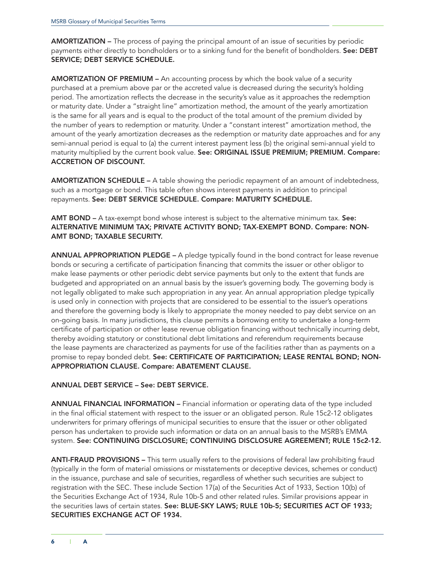AMORTIZATION – The process of paying the principal amount of an issue of securities by periodic payments either directly to bondholders or to a sinking fund for the benefit of bondholders. See: DEBT SERVICE; DEBT SERVICE SCHEDULE.

AMORTIZATION OF PREMIUM – An accounting process by which the book value of a security purchased at a premium above par or the accreted value is decreased during the security's holding period. The amortization reflects the decrease in the security's value as it approaches the redemption or maturity date. Under a "straight line" amortization method, the amount of the yearly amortization is the same for all years and is equal to the product of the total amount of the premium divided by the number of years to redemption or maturity. Under a "constant interest" amortization method, the amount of the yearly amortization decreases as the redemption or maturity date approaches and for any semi-annual period is equal to (a) the current interest payment less (b) the original semi-annual yield to maturity multiplied by the current book value. See: ORIGINAL ISSUE PREMIUM; PREMIUM. Compare: ACCRETION OF DISCOUNT.

AMORTIZATION SCHEDULE – A table showing the periodic repayment of an amount of indebtedness, such as a mortgage or bond. This table often shows interest payments in addition to principal repayments. See: DEBT SERVICE SCHEDULE. Compare: MATURITY SCHEDULE.

AMT BOND – A tax-exempt bond whose interest is subject to the alternative minimum tax. See: ALTERNATIVE MINIMUM TAX; PRIVATE ACTIVITY BOND; TAX-EXEMPT BOND. Compare: NON-AMT BOND; TAXABLE SECURITY.

ANNUAL APPROPRIATION PLEDGE – A pledge typically found in the bond contract for lease revenue bonds or securing a certificate of participation financing that commits the issuer or other obligor to make lease payments or other periodic debt service payments but only to the extent that funds are budgeted and appropriated on an annual basis by the issuer's governing body. The governing body is not legally obligated to make such appropriation in any year. An annual appropriation pledge typically is used only in connection with projects that are considered to be essential to the issuer's operations and therefore the governing body is likely to appropriate the money needed to pay debt service on an on-going basis. In many jurisdictions, this clause permits a borrowing entity to undertake a long-term certificate of participation or other lease revenue obligation financing without technically incurring debt, thereby avoiding statutory or constitutional debt limitations and referendum requirements because the lease payments are characterized as payments for use of the facilities rather than as payments on a promise to repay bonded debt. See: CERTIFICATE OF PARTICIPATION; LEASE RENTAL BOND; NON-APPROPRIATION CLAUSE. Compare: ABATEMENT CLAUSE.

#### ANNUAL DEBT SERVICE – See: DEBT SERVICE.

ANNUAL FINANCIAL INFORMATION – Financial information or operating data of the type included in the final official statement with respect to the issuer or an obligated person. Rule 15c2-12 obligates underwriters for primary offerings of municipal securities to ensure that the issuer or other obligated person has undertaken to provide such information or data on an annual basis to the MSRB's EMMA system. See: CONTINUING DISCLOSURE; CONTINUING DISCLOSURE AGREEMENT; RULE 15c2-12.

ANTI-FRAUD PROVISIONS – This term usually refers to the provisions of federal law prohibiting fraud (typically in the form of material omissions or misstatements or deceptive devices, schemes or conduct) in the issuance, purchase and sale of securities, regardless of whether such securities are subject to registration with the SEC. These include Section 17(a) of the Securities Act of 1933, Section 10(b) of the Securities Exchange Act of 1934, Rule 10b-5 and other related rules. Similar provisions appear in the securities laws of certain states. See: BLUE-SKY LAWS; RULE 10b-5; SECURITIES ACT OF 1933; SECURITIES EXCHANGE ACT OF 1934.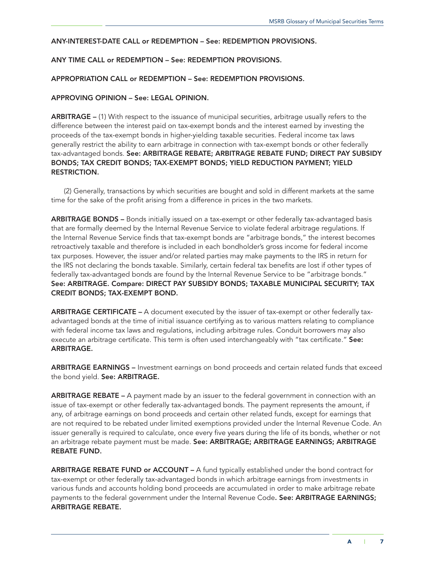# ANY-INTEREST-DATE CALL or REDEMPTION – See: REDEMPTION PROVISIONS.

# ANY TIME CALL or REDEMPTION – See: REDEMPTION PROVISIONS.

### APPROPRIATION CALL or REDEMPTION – See: REDEMPTION PROVISIONS.

# APPROVING OPINION – See: LEGAL OPINION.

ARBITRAGE – (1) With respect to the issuance of municipal securities, arbitrage usually refers to the difference between the interest paid on tax-exempt bonds and the interest earned by investing the proceeds of the tax-exempt bonds in higher-yielding taxable securities. Federal income tax laws generally restrict the ability to earn arbitrage in connection with tax-exempt bonds or other federally tax-advantaged bonds. See: ARBITRAGE REBATE; ARBITRAGE REBATE FUND; DIRECT PAY SUBSIDY BONDS; TAX CREDIT BONDS; TAX-EXEMPT BONDS; YIELD REDUCTION PAYMENT; YIELD RESTRICTION.

(2) Generally, transactions by which securities are bought and sold in different markets at the same time for the sake of the profit arising from a difference in prices in the two markets.

ARBITRAGE BONDS - Bonds initially issued on a tax-exempt or other federally tax-advantaged basis that are formally deemed by the Internal Revenue Service to violate federal arbitrage regulations. If the Internal Revenue Service finds that tax-exempt bonds are "arbitrage bonds," the interest becomes retroactively taxable and therefore is included in each bondholder's gross income for federal income tax purposes. However, the issuer and/or related parties may make payments to the IRS in return for the IRS not declaring the bonds taxable. Similarly, certain federal tax benefits are lost if other types of federally tax-advantaged bonds are found by the Internal Revenue Service to be "arbitrage bonds." See: ARBITRAGE. Compare: DIRECT PAY SUBSIDY BONDS; TAXABLE MUNICIPAL SECURITY; TAX CREDIT BONDS; TAX-EXEMPT BOND.

ARBITRAGE CERTIFICATE – A document executed by the issuer of tax-exempt or other federally taxadvantaged bonds at the time of initial issuance certifying as to various matters relating to compliance with federal income tax laws and regulations, including arbitrage rules. Conduit borrowers may also execute an arbitrage certificate. This term is often used interchangeably with "tax certificate." See: ARBITRAGE.

ARBITRAGE EARNINGS - Investment earnings on bond proceeds and certain related funds that exceed the bond yield. See: ARBITRAGE.

ARBITRAGE REBATE – A payment made by an issuer to the federal government in connection with an issue of tax-exempt or other federally tax-advantaged bonds. The payment represents the amount, if any, of arbitrage earnings on bond proceeds and certain other related funds, except for earnings that are not required to be rebated under limited exemptions provided under the Internal Revenue Code. An issuer generally is required to calculate, once every five years during the life of its bonds, whether or not an arbitrage rebate payment must be made. See: ARBITRAGE; ARBITRAGE EARNINGS; ARBITRAGE REBATE FUND.

ARBITRAGE REBATE FUND or ACCOUNT - A fund typically established under the bond contract for tax-exempt or other federally tax-advantaged bonds in which arbitrage earnings from investments in various funds and accounts holding bond proceeds are accumulated in order to make arbitrage rebate payments to the federal government under the Internal Revenue Code. See: ARBITRAGE EARNINGS; ARBITRAGE REBATE.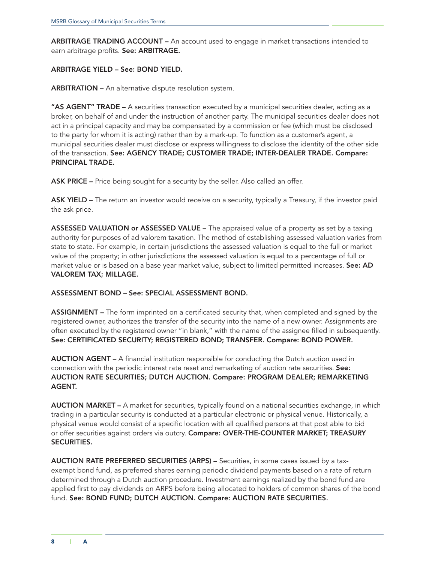ARBITRAGE TRADING ACCOUNT – An account used to engage in market transactions intended to earn arbitrage profits. See: ARBITRAGE.

# ARBITRAGE YIELD – See: BOND YIELD.

ARBITRATION – An alternative dispute resolution system.

"AS AGENT" TRADE - A securities transaction executed by a municipal securities dealer, acting as a broker, on behalf of and under the instruction of another party. The municipal securities dealer does not act in a principal capacity and may be compensated by a commission or fee (which must be disclosed to the party for whom it is acting) rather than by a mark-up. To function as a customer's agent, a municipal securities dealer must disclose or express willingness to disclose the identity of the other side of the transaction. See: AGENCY TRADE; CUSTOMER TRADE; INTER-DEALER TRADE. Compare: PRINCIPAL TRADE.

ASK PRICE – Price being sought for a security by the seller. Also called an offer.

ASK YIELD – The return an investor would receive on a security, typically a Treasury, if the investor paid the ask price.

ASSESSED VALUATION or ASSESSED VALUE – The appraised value of a property as set by a taxing authority for purposes of ad valorem taxation. The method of establishing assessed valuation varies from state to state. For example, in certain jurisdictions the assessed valuation is equal to the full or market value of the property; in other jurisdictions the assessed valuation is equal to a percentage of full or market value or is based on a base year market value, subject to limited permitted increases. See: AD VALOREM TAX; MILLAGE.

ASSESSMENT BOND – See: SPECIAL ASSESSMENT BOND.

ASSIGNMENT – The form imprinted on a certificated security that, when completed and signed by the registered owner, authorizes the transfer of the security into the name of a new owner. Assignments are often executed by the registered owner "in blank," with the name of the assignee filled in subsequently. See: CERTIFICATED SECURITY; REGISTERED BOND; TRANSFER. Compare: BOND POWER.

AUCTION AGENT – A financial institution responsible for conducting the Dutch auction used in connection with the periodic interest rate reset and remarketing of auction rate securities. See: AUCTION RATE SECURITIES; DUTCH AUCTION. Compare: PROGRAM DEALER; REMARKETING AGENT.

AUCTION MARKET – A market for securities, typically found on a national securities exchange, in which trading in a particular security is conducted at a particular electronic or physical venue. Historically, a physical venue would consist of a specific location with all qualified persons at that post able to bid or offer securities against orders via outcry. Compare: OVER-THE-COUNTER MARKET; TREASURY SECURITIES.

AUCTION RATE PREFERRED SECURITIES (ARPS) – Securities, in some cases issued by a taxexempt bond fund, as preferred shares earning periodic dividend payments based on a rate of return determined through a Dutch auction procedure. Investment earnings realized by the bond fund are applied first to pay dividends on ARPS before being allocated to holders of common shares of the bond fund. See: BOND FUND; DUTCH AUCTION. Compare: AUCTION RATE SECURITIES.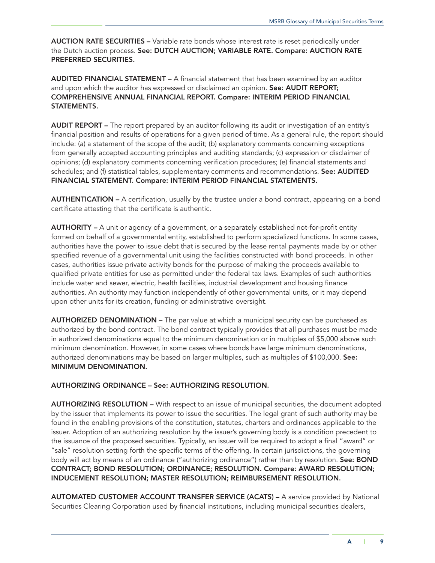AUCTION RATE SECURITIES - Variable rate bonds whose interest rate is reset periodically under the Dutch auction process. See: DUTCH AUCTION; VARIABLE RATE. Compare: AUCTION RATE PREFERRED SECURITIES.

AUDITED FINANCIAL STATEMENT – A financial statement that has been examined by an auditor and upon which the auditor has expressed or disclaimed an opinion. See: AUDIT REPORT; COMPREHENSIVE ANNUAL FINANCIAL REPORT. Compare: INTERIM PERIOD FINANCIAL STATEMENTS.

AUDIT REPORT – The report prepared by an auditor following its audit or investigation of an entity's financial position and results of operations for a given period of time. As a general rule, the report should include: (a) a statement of the scope of the audit; (b) explanatory comments concerning exceptions from generally accepted accounting principles and auditing standards; (c) expression or disclaimer of opinions; (d) explanatory comments concerning verification procedures; (e) financial statements and schedules; and (f) statistical tables, supplementary comments and recommendations. See: AUDITED FINANCIAL STATEMENT. Compare: INTERIM PERIOD FINANCIAL STATEMENTS.

AUTHENTICATION – A certification, usually by the trustee under a bond contract, appearing on a bond certificate attesting that the certificate is authentic.

AUTHORITY – A unit or agency of a government, or a separately established not-for-profit entity formed on behalf of a governmental entity, established to perform specialized functions. In some cases, authorities have the power to issue debt that is secured by the lease rental payments made by or other specified revenue of a governmental unit using the facilities constructed with bond proceeds. In other cases, authorities issue private activity bonds for the purpose of making the proceeds available to qualified private entities for use as permitted under the federal tax laws. Examples of such authorities include water and sewer, electric, health facilities, industrial development and housing finance authorities. An authority may function independently of other governmental units, or it may depend upon other units for its creation, funding or administrative oversight.

AUTHORIZED DENOMINATION – The par value at which a municipal security can be purchased as authorized by the bond contract. The bond contract typically provides that all purchases must be made in authorized denominations equal to the minimum denomination or in multiples of \$5,000 above such minimum denomination. However, in some cases where bonds have large minimum denominations, authorized denominations may be based on larger multiples, such as multiples of \$100,000. See: MINIMUM DENOMINATION.

#### AUTHORIZING ORDINANCE – See: AUTHORIZING RESOLUTION.

AUTHORIZING RESOLUTION – With respect to an issue of municipal securities, the document adopted by the issuer that implements its power to issue the securities. The legal grant of such authority may be found in the enabling provisions of the constitution, statutes, charters and ordinances applicable to the issuer. Adoption of an authorizing resolution by the issuer's governing body is a condition precedent to the issuance of the proposed securities. Typically, an issuer will be required to adopt a final "award" or "sale" resolution setting forth the specific terms of the offering. In certain jurisdictions, the governing body will act by means of an ordinance ("authorizing ordinance") rather than by resolution. See: BOND CONTRACT; BOND RESOLUTION; ORDINANCE; RESOLUTION. Compare: AWARD RESOLUTION; INDUCEMENT RESOLUTION; MASTER RESOLUTION; REIMBURSEMENT RESOLUTION.

AUTOMATED CUSTOMER ACCOUNT TRANSFER SERVICE (ACATS) – A service provided by National Securities Clearing Corporation used by financial institutions, including municipal securities dealers,

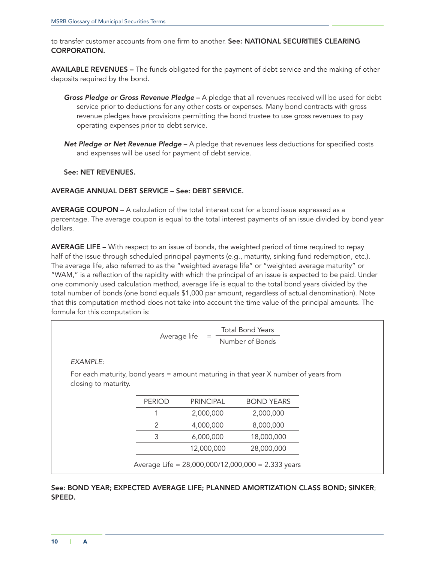to transfer customer accounts from one firm to another. See: NATIONAL SECURITIES CLEARING CORPORATION.

AVAILABLE REVENUES – The funds obligated for the payment of debt service and the making of other deposits required by the bond.

- *Gross Pledge or Gross Revenue Pledge* A pledge that all revenues received will be used for debt service prior to deductions for any other costs or expenses. Many bond contracts with gross revenue pledges have provisions permitting the bond trustee to use gross revenues to pay operating expenses prior to debt service.
- *Net Pledge or Net Revenue Pledge* A pledge that revenues less deductions for specified costs and expenses will be used for payment of debt service.

# See: NET REVENUES.

#### AVERAGE ANNUAL DEBT SERVICE – See: DEBT SERVICE.

AVERAGE COUPON – A calculation of the total interest cost for a bond issue expressed as a percentage. The average coupon is equal to the total interest payments of an issue divided by bond year dollars.

AVERAGE LIFE – With respect to an issue of bonds, the weighted period of time required to repay half of the issue through scheduled principal payments (e.g., maturity, sinking fund redemption, etc.). The average life, also referred to as the "weighted average life" or "weighted average maturity" or "WAM," is a reflection of the rapidity with which the principal of an issue is expected to be paid. Under one commonly used calculation method, average life is equal to the total bond years divided by the total number of bonds (one bond equals \$1,000 par amount, regardless of actual denomination). Note that this computation method does not take into account the time value of the principal amounts. The formula for this computation is:

|                                                                                                             | <b>Total Bond Years</b><br>Average life<br>$=$<br>Number of Bonds |                  |                                                    |  |  |  |  |  |
|-------------------------------------------------------------------------------------------------------------|-------------------------------------------------------------------|------------------|----------------------------------------------------|--|--|--|--|--|
| EXAMPLE:                                                                                                    |                                                                   |                  |                                                    |  |  |  |  |  |
| For each maturity, bond years = amount maturing in that year X number of years from<br>closing to maturity. |                                                                   |                  |                                                    |  |  |  |  |  |
|                                                                                                             | <b>PERIOD</b>                                                     | <b>PRINCIPAL</b> | <b>BOND YEARS</b>                                  |  |  |  |  |  |
|                                                                                                             |                                                                   | 2,000,000        | 2,000,000                                          |  |  |  |  |  |
|                                                                                                             | 2                                                                 | 4,000,000        | 8,000,000                                          |  |  |  |  |  |
|                                                                                                             | 3                                                                 | 6,000,000        | 18,000,000                                         |  |  |  |  |  |
|                                                                                                             |                                                                   | 12,000,000       | 28,000,000                                         |  |  |  |  |  |
|                                                                                                             |                                                                   |                  | Average Life = 28,000,000/12,000,000 = 2.333 years |  |  |  |  |  |

See: BOND YEAR; EXPECTED AVERAGE LIFE; PLANNED AMORTIZATION CLASS BOND; SINKER; SPEED.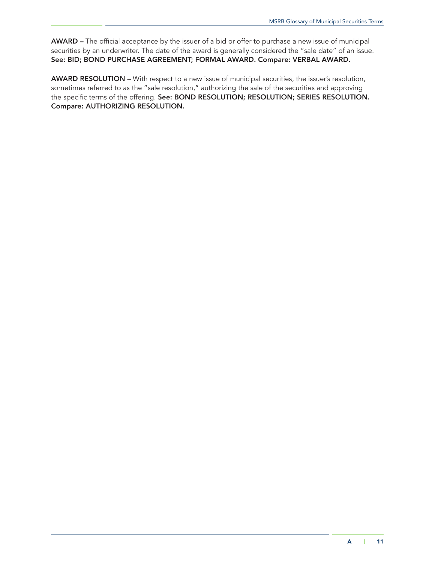AWARD – The official acceptance by the issuer of a bid or offer to purchase a new issue of municipal securities by an underwriter. The date of the award is generally considered the "sale date" of an issue. See: BID; BOND PURCHASE AGREEMENT; FORMAL AWARD. Compare: VERBAL AWARD.

AWARD RESOLUTION – With respect to a new issue of municipal securities, the issuer's resolution, sometimes referred to as the "sale resolution," authorizing the sale of the securities and approving the specific terms of the offering. See: BOND RESOLUTION; RESOLUTION; SERIES RESOLUTION. Compare: AUTHORIZING RESOLUTION.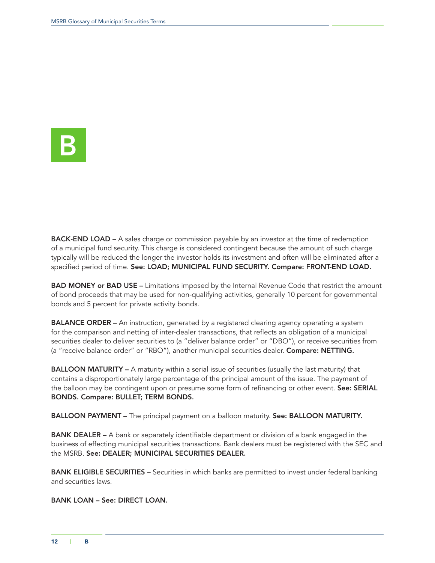<span id="page-15-0"></span>

**BACK-END LOAD –** A sales charge or commission payable by an investor at the time of redemption of a municipal fund security. This charge is considered contingent because the amount of such charge typically will be reduced the longer the investor holds its investment and often will be eliminated after a specified period of time. See: LOAD; MUNICIPAL FUND SECURITY. Compare: FRONT-END LOAD.

BAD MONEY or BAD USE – Limitations imposed by the Internal Revenue Code that restrict the amount of bond proceeds that may be used for non-qualifying activities, generally 10 percent for governmental bonds and 5 percent for private activity bonds.

**BALANCE ORDER –** An instruction, generated by a registered clearing agency operating a system for the comparison and netting of inter-dealer transactions, that reflects an obligation of a municipal securities dealer to deliver securities to (a "deliver balance order" or "DBO"), or receive securities from (a "receive balance order" or "RBO"), another municipal securities dealer. Compare: NETTING.

**BALLOON MATURITY** – A maturity within a serial issue of securities (usually the last maturity) that contains a disproportionately large percentage of the principal amount of the issue. The payment of the balloon may be contingent upon or presume some form of refinancing or other event. See: SERIAL BONDS. Compare: BULLET; TERM BONDS.

BALLOON PAYMENT – The principal payment on a balloon maturity. See: BALLOON MATURITY.

BANK DEALER - A bank or separately identifiable department or division of a bank engaged in the business of effecting municipal securities transactions. Bank dealers must be registered with the SEC and the MSRB. See: DEALER; MUNICIPAL SECURITIES DEALER.

**BANK ELIGIBLE SECURITIES** – Securities in which banks are permitted to invest under federal banking and securities laws.

BANK LOAN – See: DIRECT LOAN.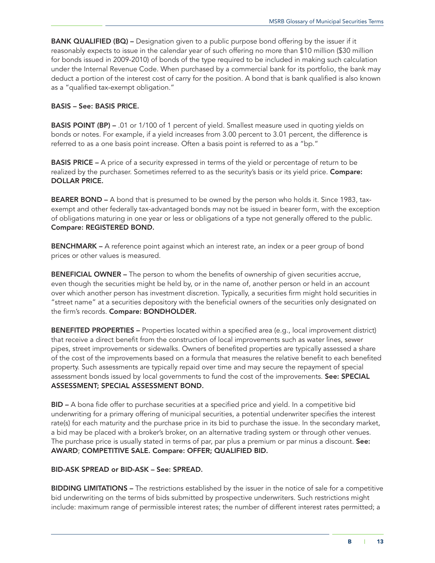BANK QUALIFIED (BQ) - Designation given to a public purpose bond offering by the issuer if it reasonably expects to issue in the calendar year of such offering no more than \$10 million (\$30 million for bonds issued in 2009-2010) of bonds of the type required to be included in making such calculation under the Internal Revenue Code. When purchased by a commercial bank for its portfolio, the bank may deduct a portion of the interest cost of carry for the position. A bond that is bank qualified is also known as a "qualified tax-exempt obligation."

#### BASIS – See: BASIS PRICE.

**BASIS POINT (BP)** – .01 or 1/100 of 1 percent of yield. Smallest measure used in quoting yields on bonds or notes. For example, if a yield increases from 3.00 percent to 3.01 percent, the difference is referred to as a one basis point increase. Often a basis point is referred to as a "bp."

BASIS PRICE – A price of a security expressed in terms of the yield or percentage of return to be realized by the purchaser. Sometimes referred to as the security's basis or its yield price. Compare: DOLLAR PRICE.

BEARER BOND - A bond that is presumed to be owned by the person who holds it. Since 1983, taxexempt and other federally tax-advantaged bonds may not be issued in bearer form, with the exception of obligations maturing in one year or less or obligations of a type not generally offered to the public. Compare: REGISTERED BOND.

**BENCHMARK - A** reference point against which an interest rate, an index or a peer group of bond prices or other values is measured.

BENEFICIAL OWNER – The person to whom the benefits of ownership of given securities accrue, even though the securities might be held by, or in the name of, another person or held in an account over which another person has investment discretion. Typically, a securities firm might hold securities in "street name" at a securities depository with the beneficial owners of the securities only designated on the firm's records. Compare: BONDHOLDER.

BENEFITED PROPERTIES – Properties located within a specified area (e.g., local improvement district) that receive a direct benefit from the construction of local improvements such as water lines, sewer pipes, street improvements or sidewalks. Owners of benefited properties are typically assessed a share of the cost of the improvements based on a formula that measures the relative benefit to each benefited property. Such assessments are typically repaid over time and may secure the repayment of special assessment bonds issued by local governments to fund the cost of the improvements. See: SPECIAL ASSESSMENT; SPECIAL ASSESSMENT BOND.

BID – A bona fide offer to purchase securities at a specified price and yield. In a competitive bid underwriting for a primary offering of municipal securities, a potential underwriter specifies the interest rate(s) for each maturity and the purchase price in its bid to purchase the issue. In the secondary market, a bid may be placed with a broker's broker, on an alternative trading system or through other venues. The purchase price is usually stated in terms of par, par plus a premium or par minus a discount. See: AWARD; COMPETITIVE SALE. Compare: OFFER; QUALIFIED BID.

# BID-ASK SPREAD or BID-ASK – See: SPREAD.

BIDDING LIMITATIONS – The restrictions established by the issuer in the notice of sale for a competitive bid underwriting on the terms of bids submitted by prospective underwriters. Such restrictions might include: maximum range of permissible interest rates; the number of different interest rates permitted; a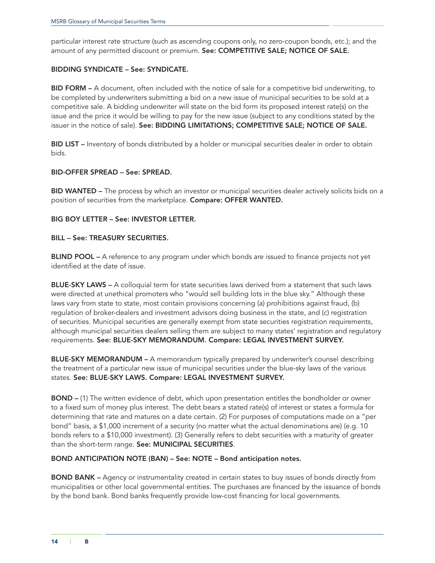particular interest rate structure (such as ascending coupons only, no zero-coupon bonds, etc.); and the amount of any permitted discount or premium. See: COMPETITIVE SALE; NOTICE OF SALE.

### BIDDING SYNDICATE – See: SYNDICATE.

BID FORM – A document, often included with the notice of sale for a competitive bid underwriting, to be completed by underwriters submitting a bid on a new issue of municipal securities to be sold at a competitive sale. A bidding underwriter will state on the bid form its proposed interest rate(s) on the issue and the price it would be willing to pay for the new issue (subject to any conditions stated by the issuer in the notice of sale). See: BIDDING LIMITATIONS; COMPETITIVE SALE; NOTICE OF SALE.

BID LIST – Inventory of bonds distributed by a holder or municipal securities dealer in order to obtain bids.

# BID-OFFER SPREAD – See: SPREAD.

BID WANTED – The process by which an investor or municipal securities dealer actively solicits bids on a position of securities from the marketplace. Compare: OFFER WANTED.

# BIG BOY LETTER – See: INVESTOR LETTER.

#### BILL – See: TREASURY SECURITIES.

BLIND POOL – A reference to any program under which bonds are issued to finance projects not yet identified at the date of issue.

BLUE-SKY LAWS - A colloquial term for state securities laws derived from a statement that such laws were directed at unethical promoters who "would sell building lots in the blue sky." Although these laws vary from state to state, most contain provisions concerning (a) prohibitions against fraud, (b) regulation of broker-dealers and investment advisors doing business in the state, and (c) registration of securities. Municipal securities are generally exempt from state securities registration requirements, although municipal securities dealers selling them are subject to many states' registration and regulatory requirements. See: BLUE-SKY MEMORANDUM. Compare: LEGAL INVESTMENT SURVEY.

BLUE-SKY MEMORANDUM – A memorandum typically prepared by underwriter's counsel describing the treatment of a particular new issue of municipal securities under the blue-sky laws of the various states. See: BLUE-SKY LAWS. Compare: LEGAL INVESTMENT SURVEY.

BOND – (1) The written evidence of debt, which upon presentation entitles the bondholder or owner to a fixed sum of money plus interest. The debt bears a stated rate(s) of interest or states a formula for determining that rate and matures on a date certain. (2) For purposes of computations made on a "per bond" basis, a \$1,000 increment of a security (no matter what the actual denominations are) (e.g. 10 bonds refers to a \$10,000 investment). (3) Generally refers to debt securities with a maturity of greater than the short-term range. See: MUNICIPAL SECURITIES.

#### BOND ANTICIPATION NOTE (BAN) – See: NOTE – Bond anticipation notes.

BOND BANK – Agency or instrumentality created in certain states to buy issues of bonds directly from municipalities or other local governmental entities. The purchases are financed by the issuance of bonds by the bond bank. Bond banks frequently provide low-cost financing for local governments.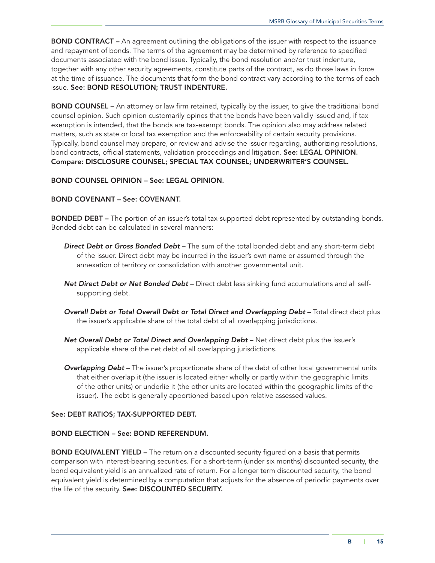BOND CONTRACT - An agreement outlining the obligations of the issuer with respect to the issuance and repayment of bonds. The terms of the agreement may be determined by reference to specified documents associated with the bond issue. Typically, the bond resolution and/or trust indenture, together with any other security agreements, constitute parts of the contract, as do those laws in force at the time of issuance. The documents that form the bond contract vary according to the terms of each issue. See: BOND RESOLUTION; TRUST INDENTURE.

BOND COUNSEL – An attorney or law firm retained, typically by the issuer, to give the traditional bond counsel opinion. Such opinion customarily opines that the bonds have been validly issued and, if tax exemption is intended, that the bonds are tax-exempt bonds. The opinion also may address related matters, such as state or local tax exemption and the enforceability of certain security provisions. Typically, bond counsel may prepare, or review and advise the issuer regarding, authorizing resolutions, bond contracts, official statements, validation proceedings and litigation. See: LEGAL OPINION. Compare: DISCLOSURE COUNSEL; SPECIAL TAX COUNSEL; UNDERWRITER'S COUNSEL.

# BOND COUNSEL OPINION – See: LEGAL OPINION.

# BOND COVENANT – See: COVENANT.

BONDED DEBT – The portion of an issuer's total tax-supported debt represented by outstanding bonds. Bonded debt can be calculated in several manners:

- *Direct Debt or Gross Bonded Debt* The sum of the total bonded debt and any short-term debt of the issuer. Direct debt may be incurred in the issuer's own name or assumed through the annexation of territory or consolidation with another governmental unit.
- *Net Direct Debt or Net Bonded Debt* Direct debt less sinking fund accumulations and all selfsupporting debt.
- *Overall Debt or Total Overall Debt or Total Direct and Overlapping Debt* Total direct debt plus the issuer's applicable share of the total debt of all overlapping jurisdictions.
- *Net Overall Debt or Total Direct and Overlapping Debt* Net direct debt plus the issuer's applicable share of the net debt of all overlapping jurisdictions.
- *Overlapping Debt* The issuer's proportionate share of the debt of other local governmental units that either overlap it (the issuer is located either wholly or partly within the geographic limits of the other units) or underlie it (the other units are located within the geographic limits of the issuer). The debt is generally apportioned based upon relative assessed values.

#### See: DEBT RATIOS; TAX-SUPPORTED DEBT.

#### BOND ELECTION – See: BOND REFERENDUM.

**BOND EQUIVALENT YIELD -** The return on a discounted security figured on a basis that permits comparison with interest-bearing securities. For a short-term (under six months) discounted security, the bond equivalent yield is an annualized rate of return. For a longer term discounted security, the bond equivalent yield is determined by a computation that adjusts for the absence of periodic payments over the life of the security. See: DISCOUNTED SECURITY.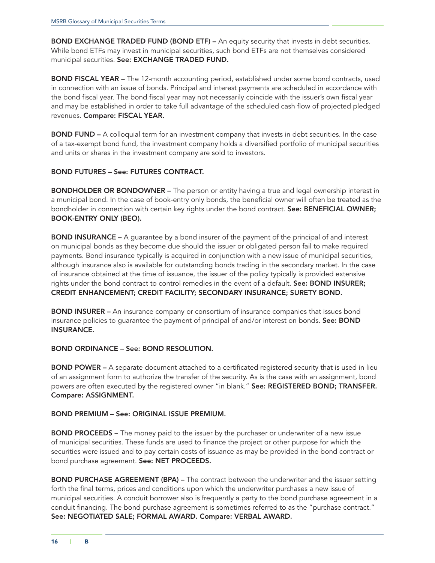**BOND EXCHANGE TRADED FUND (BOND ETF)** – An equity security that invests in debt securities. While bond ETFs may invest in municipal securities, such bond ETFs are not themselves considered municipal securities. See: EXCHANGE TRADED FUND.

BOND FISCAL YEAR – The 12-month accounting period, established under some bond contracts, used in connection with an issue of bonds. Principal and interest payments are scheduled in accordance with the bond fiscal year. The bond fiscal year may not necessarily coincide with the issuer's own fiscal year and may be established in order to take full advantage of the scheduled cash flow of projected pledged revenues. Compare: FISCAL YEAR.

BOND FUND – A colloquial term for an investment company that invests in debt securities. In the case of a tax-exempt bond fund, the investment company holds a diversified portfolio of municipal securities and units or shares in the investment company are sold to investors.

# BOND FUTURES – See: FUTURES CONTRACT.

**BONDHOLDER OR BONDOWNER -** The person or entity having a true and legal ownership interest in a municipal bond. In the case of book-entry only bonds, the beneficial owner will often be treated as the bondholder in connection with certain key rights under the bond contract. See: BENEFICIAL OWNER; BOOK-ENTRY ONLY (BEO).

BOND INSURANCE – A guarantee by a bond insurer of the payment of the principal of and interest on municipal bonds as they become due should the issuer or obligated person fail to make required payments. Bond insurance typically is acquired in conjunction with a new issue of municipal securities, although insurance also is available for outstanding bonds trading in the secondary market. In the case of insurance obtained at the time of issuance, the issuer of the policy typically is provided extensive rights under the bond contract to control remedies in the event of a default. See: BOND INSURER; CREDIT ENHANCEMENT; CREDIT FACILITY; SECONDARY INSURANCE; SURETY BOND.

**BOND INSURER -** An insurance company or consortium of insurance companies that issues bond insurance policies to guarantee the payment of principal of and/or interest on bonds. See: BOND INSURANCE.

#### BOND ORDINANCE – See: BOND RESOLUTION.

BOND POWER – A separate document attached to a certificated registered security that is used in lieu of an assignment form to authorize the transfer of the security. As is the case with an assignment, bond powers are often executed by the registered owner "in blank." See: REGISTERED BOND; TRANSFER. Compare: ASSIGNMENT.

#### BOND PREMIUM – See: ORIGINAL ISSUE PREMIUM.

**BOND PROCEEDS** – The money paid to the issuer by the purchaser or underwriter of a new issue of municipal securities. These funds are used to finance the project or other purpose for which the securities were issued and to pay certain costs of issuance as may be provided in the bond contract or bond purchase agreement. See: NET PROCEEDS.

BOND PURCHASE AGREEMENT (BPA) – The contract between the underwriter and the issuer setting forth the final terms, prices and conditions upon which the underwriter purchases a new issue of municipal securities. A conduit borrower also is frequently a party to the bond purchase agreement in a conduit financing. The bond purchase agreement is sometimes referred to as the "purchase contract." See: NEGOTIATED SALE; FORMAL AWARD. Compare: VERBAL AWARD.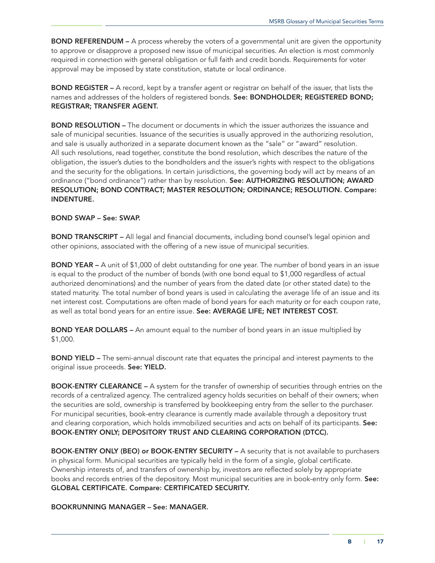**BOND REFERENDUM –** A process whereby the voters of a governmental unit are given the opportunity to approve or disapprove a proposed new issue of municipal securities. An election is most commonly required in connection with general obligation or full faith and credit bonds. Requirements for voter approval may be imposed by state constitution, statute or local ordinance.

BOND REGISTER – A record, kept by a transfer agent or registrar on behalf of the issuer, that lists the names and addresses of the holders of registered bonds. See: BONDHOLDER; REGISTERED BOND; REGISTRAR; TRANSFER AGENT.

BOND RESOLUTION – The document or documents in which the issuer authorizes the issuance and sale of municipal securities. Issuance of the securities is usually approved in the authorizing resolution, and sale is usually authorized in a separate document known as the "sale" or "award" resolution. All such resolutions, read together, constitute the bond resolution, which describes the nature of the obligation, the issuer's duties to the bondholders and the issuer's rights with respect to the obligations and the security for the obligations. In certain jurisdictions, the governing body will act by means of an ordinance ("bond ordinance") rather than by resolution. See: AUTHORIZING RESOLUTION; AWARD RESOLUTION; BOND CONTRACT; MASTER RESOLUTION; ORDINANCE; RESOLUTION. Compare: INDENTURE.

# BOND SWAP – See: SWAP.

BOND TRANSCRIPT - All legal and financial documents, including bond counsel's legal opinion and other opinions, associated with the offering of a new issue of municipal securities.

**BOND YEAR –** A unit of \$1,000 of debt outstanding for one year. The number of bond years in an issue is equal to the product of the number of bonds (with one bond equal to \$1,000 regardless of actual authorized denominations) and the number of years from the dated date (or other stated date) to the stated maturity. The total number of bond years is used in calculating the average life of an issue and its net interest cost. Computations are often made of bond years for each maturity or for each coupon rate, as well as total bond years for an entire issue. See: AVERAGE LIFE; NET INTEREST COST.

**BOND YEAR DOLLARS –** An amount equal to the number of bond years in an issue multiplied by \$1,000.

BOND YIELD – The semi-annual discount rate that equates the principal and interest payments to the original issue proceeds. See: YIELD.

BOOK-ENTRY CLEARANCE – A system for the transfer of ownership of securities through entries on the records of a centralized agency. The centralized agency holds securities on behalf of their owners; when the securities are sold, ownership is transferred by bookkeeping entry from the seller to the purchaser. For municipal securities, book-entry clearance is currently made available through a depository trust and clearing corporation, which holds immobilized securities and acts on behalf of its participants. See: BOOK-ENTRY ONLY; DEPOSITORY TRUST AND CLEARING CORPORATION (DTCC).

BOOK-ENTRY ONLY (BEO) or BOOK-ENTRY SECURITY – A security that is not available to purchasers in physical form. Municipal securities are typically held in the form of a single, global certificate. Ownership interests of, and transfers of ownership by, investors are reflected solely by appropriate books and records entries of the depository. Most municipal securities are in book-entry only form. See: GLOBAL CERTIFICATE. Compare: CERTIFICATED SECURITY.

BOOKRUNNING MANAGER – See: MANAGER.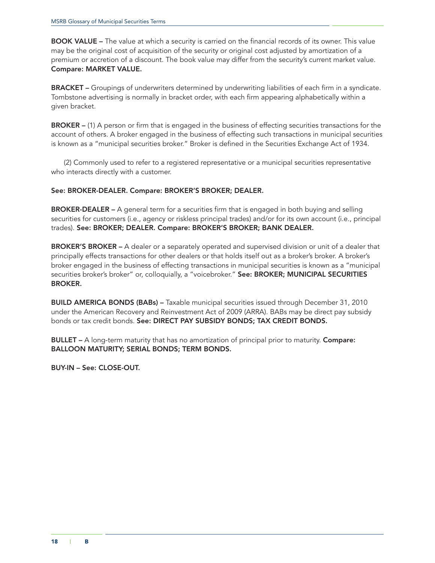BOOK VALUE – The value at which a security is carried on the financial records of its owner. This value may be the original cost of acquisition of the security or original cost adjusted by amortization of a premium or accretion of a discount. The book value may differ from the security's current market value. Compare: MARKET VALUE.

BRACKET – Groupings of underwriters determined by underwriting liabilities of each firm in a syndicate. Tombstone advertising is normally in bracket order, with each firm appearing alphabetically within a given bracket.

BROKER – (1) A person or firm that is engaged in the business of effecting securities transactions for the account of others. A broker engaged in the business of effecting such transactions in municipal securities is known as a "municipal securities broker." Broker is defined in the Securities Exchange Act of 1934.

(2) Commonly used to refer to a registered representative or a municipal securities representative who interacts directly with a customer.

# See: BROKER-DEALER. Compare: BROKER'S BROKER; DEALER.

BROKER-DEALER – A general term for a securities firm that is engaged in both buying and selling securities for customers (i.e., agency or riskless principal trades) and/or for its own account (i.e., principal trades). See: BROKER; DEALER. Compare: BROKER'S BROKER; BANK DEALER.

BROKER'S BROKER - A dealer or a separately operated and supervised division or unit of a dealer that principally effects transactions for other dealers or that holds itself out as a broker's broker. A broker's broker engaged in the business of effecting transactions in municipal securities is known as a "municipal securities broker's broker" or, colloquially, a "voicebroker." See: BROKER; MUNICIPAL SECURITIES BROKER.

BUILD AMERICA BONDS (BABs) – Taxable municipal securities issued through December 31, 2010 under the American Recovery and Reinvestment Act of 2009 (ARRA). BABs may be direct pay subsidy bonds or tax credit bonds. See: DIRECT PAY SUBSIDY BONDS; TAX CREDIT BONDS.

**BULLET** – A long-term maturity that has no amortization of principal prior to maturity. **Compare:** BALLOON MATURITY; SERIAL BONDS; TERM BONDS.

BUY-IN – See: CLOSE-OUT.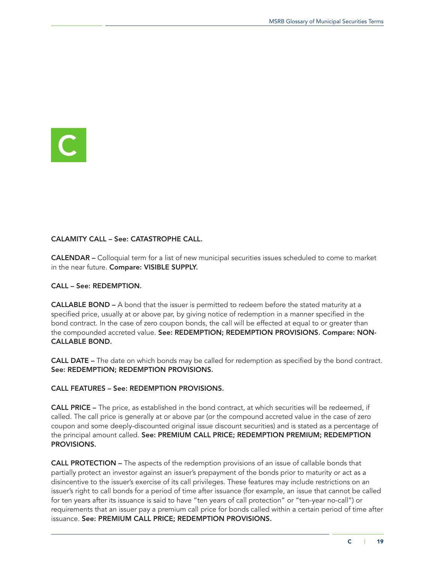<span id="page-22-0"></span>

# CALAMITY CALL – See: CATASTROPHE CALL.

CALENDAR – Colloquial term for a list of new municipal securities issues scheduled to come to market in the near future. Compare: VISIBLE SUPPLY.

# CALL – See: REDEMPTION.

CALLABLE BOND – A bond that the issuer is permitted to redeem before the stated maturity at a specified price, usually at or above par, by giving notice of redemption in a manner specified in the bond contract. In the case of zero coupon bonds, the call will be effected at equal to or greater than the compounded accreted value. See: REDEMPTION; REDEMPTION PROVISIONS. Compare: NON-CALLABLE BOND.

CALL DATE – The date on which bonds may be called for redemption as specified by the bond contract. See: REDEMPTION; REDEMPTION PROVISIONS.

# CALL FEATURES – See: REDEMPTION PROVISIONS.

CALL PRICE – The price, as established in the bond contract, at which securities will be redeemed, if called. The call price is generally at or above par (or the compound accreted value in the case of zero coupon and some deeply-discounted original issue discount securities) and is stated as a percentage of the principal amount called. See: PREMIUM CALL PRICE; REDEMPTION PREMIUM; REDEMPTION PROVISIONS.

CALL PROTECTION – The aspects of the redemption provisions of an issue of callable bonds that partially protect an investor against an issuer's prepayment of the bonds prior to maturity or act as a disincentive to the issuer's exercise of its call privileges. These features may include restrictions on an issuer's right to call bonds for a period of time after issuance (for example, an issue that cannot be called for ten years after its issuance is said to have "ten years of call protection" or "ten-year no-call") or requirements that an issuer pay a premium call price for bonds called within a certain period of time after issuance. See: PREMIUM CALL PRICE; REDEMPTION PROVISIONS.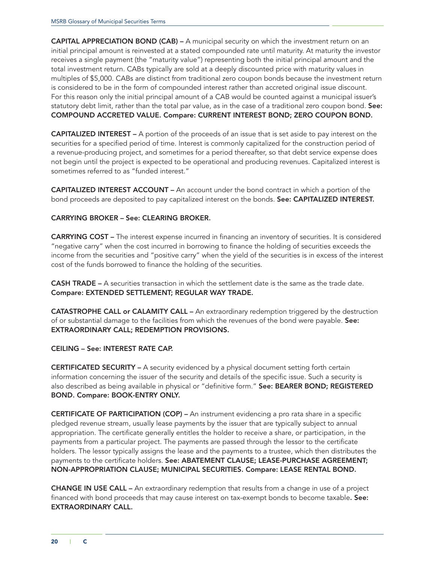CAPITAL APPRECIATION BOND (CAB) – A municipal security on which the investment return on an initial principal amount is reinvested at a stated compounded rate until maturity. At maturity the investor receives a single payment (the "maturity value") representing both the initial principal amount and the total investment return. CABs typically are sold at a deeply discounted price with maturity values in multiples of \$5,000. CABs are distinct from traditional zero coupon bonds because the investment return is considered to be in the form of compounded interest rather than accreted original issue discount. For this reason only the initial principal amount of a CAB would be counted against a municipal issuer's statutory debt limit, rather than the total par value, as in the case of a traditional zero coupon bond. See: COMPOUND ACCRETED VALUE. Compare: CURRENT INTEREST BOND; ZERO COUPON BOND.

CAPITALIZED INTEREST – A portion of the proceeds of an issue that is set aside to pay interest on the securities for a specified period of time. Interest is commonly capitalized for the construction period of a revenue-producing project, and sometimes for a period thereafter, so that debt service expense does not begin until the project is expected to be operational and producing revenues. Capitalized interest is sometimes referred to as "funded interest."

CAPITALIZED INTEREST ACCOUNT – An account under the bond contract in which a portion of the bond proceeds are deposited to pay capitalized interest on the bonds. See: CAPITALIZED INTEREST.

# CARRYING BROKER – See: CLEARING BROKER.

CARRYING COST – The interest expense incurred in financing an inventory of securities. It is considered "negative carry" when the cost incurred in borrowing to finance the holding of securities exceeds the income from the securities and "positive carry" when the yield of the securities is in excess of the interest cost of the funds borrowed to finance the holding of the securities.

CASH TRADE – A securities transaction in which the settlement date is the same as the trade date. Compare: EXTENDED SETTLEMENT; REGULAR WAY TRADE.

CATASTROPHE CALL or CALAMITY CALL – An extraordinary redemption triggered by the destruction of or substantial damage to the facilities from which the revenues of the bond were payable. See: EXTRAORDINARY CALL; REDEMPTION PROVISIONS.

# CEILING – See: INTEREST RATE CAP.

CERTIFICATED SECURITY – A security evidenced by a physical document setting forth certain information concerning the issuer of the security and details of the specific issue. Such a security is also described as being available in physical or "definitive form." See: BEARER BOND; REGISTERED BOND. Compare: BOOK-ENTRY ONLY.

CERTIFICATE OF PARTICIPATION (COP) – An instrument evidencing a pro rata share in a specific pledged revenue stream, usually lease payments by the issuer that are typically subject to annual appropriation. The certificate generally entitles the holder to receive a share, or participation, in the payments from a particular project. The payments are passed through the lessor to the certificate holders. The lessor typically assigns the lease and the payments to a trustee, which then distributes the payments to the certificate holders. See: ABATEMENT CLAUSE; LEASE-PURCHASE AGREEMENT; NON-APPROPRIATION CLAUSE; MUNICIPAL SECURITIES. Compare: LEASE RENTAL BOND.

CHANGE IN USE CALL – An extraordinary redemption that results from a change in use of a project financed with bond proceeds that may cause interest on tax-exempt bonds to become taxable. See: EXTRAORDINARY CALL.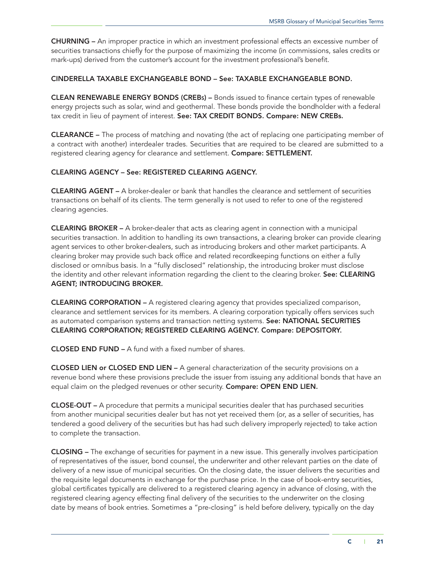CHURNING – An improper practice in which an investment professional effects an excessive number of securities transactions chiefly for the purpose of maximizing the income (in commissions, sales credits or mark-ups) derived from the customer's account for the investment professional's benefit.

# CINDERELLA TAXABLE EXCHANGEABLE BOND – See: TAXABLE EXCHANGEABLE BOND.

CLEAN RENEWABLE ENERGY BONDS (CREBs) – Bonds issued to finance certain types of renewable energy projects such as solar, wind and geothermal. These bonds provide the bondholder with a federal tax credit in lieu of payment of interest. See: TAX CREDIT BONDS. Compare: NEW CREBs.

CLEARANCE – The process of matching and novating (the act of replacing one participating member of a contract with another) interdealer trades. Securities that are required to be cleared are submitted to a registered clearing agency for clearance and settlement. Compare: SETTLEMENT.

# CLEARING AGENCY – See: REGISTERED CLEARING AGENCY.

CLEARING AGENT – A broker-dealer or bank that handles the clearance and settlement of securities transactions on behalf of its clients. The term generally is not used to refer to one of the registered clearing agencies.

CLEARING BROKER – A broker-dealer that acts as clearing agent in connection with a municipal securities transaction. In addition to handling its own transactions, a clearing broker can provide clearing agent services to other broker-dealers, such as introducing brokers and other market participants. A clearing broker may provide such back office and related recordkeeping functions on either a fully disclosed or omnibus basis. In a "fully disclosed" relationship, the introducing broker must disclose the identity and other relevant information regarding the client to the clearing broker. See: CLEARING AGENT; INTRODUCING BROKER.

CLEARING CORPORATION – A registered clearing agency that provides specialized comparison, clearance and settlement services for its members. A clearing corporation typically offers services such as automated comparison systems and transaction netting systems. See: NATIONAL SECURITIES CLEARING CORPORATION; REGISTERED CLEARING AGENCY. Compare: DEPOSITORY.

CLOSED END FUND – A fund with a fixed number of shares.

CLOSED LIEN or CLOSED END LIEN – A general characterization of the security provisions on a revenue bond where these provisions preclude the issuer from issuing any additional bonds that have an equal claim on the pledged revenues or other security. Compare: OPEN END LIEN.

CLOSE-OUT – A procedure that permits a municipal securities dealer that has purchased securities from another municipal securities dealer but has not yet received them (or, as a seller of securities, has tendered a good delivery of the securities but has had such delivery improperly rejected) to take action to complete the transaction.

CLOSING – The exchange of securities for payment in a new issue. This generally involves participation of representatives of the issuer, bond counsel, the underwriter and other relevant parties on the date of delivery of a new issue of municipal securities. On the closing date, the issuer delivers the securities and the requisite legal documents in exchange for the purchase price. In the case of book-entry securities, global certificates typically are delivered to a registered clearing agency in advance of closing, with the registered clearing agency effecting final delivery of the securities to the underwriter on the closing date by means of book entries. Sometimes a "pre-closing" is held before delivery, typically on the day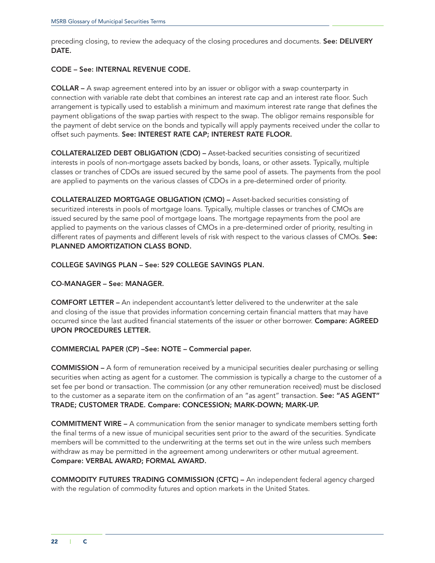preceding closing, to review the adequacy of the closing procedures and documents. See: DELIVERY DATE.

#### CODE – See: INTERNAL REVENUE CODE.

COLLAR – A swap agreement entered into by an issuer or obligor with a swap counterparty in connection with variable rate debt that combines an interest rate cap and an interest rate floor. Such arrangement is typically used to establish a minimum and maximum interest rate range that defines the payment obligations of the swap parties with respect to the swap. The obligor remains responsible for the payment of debt service on the bonds and typically will apply payments received under the collar to offset such payments. See: INTEREST RATE CAP; INTEREST RATE FLOOR.

COLLATERALIZED DEBT OBLIGATION (CDO) – Asset-backed securities consisting of securitized interests in pools of non-mortgage assets backed by bonds, loans, or other assets. Typically, multiple classes or tranches of CDOs are issued secured by the same pool of assets. The payments from the pool are applied to payments on the various classes of CDOs in a pre-determined order of priority.

COLLATERALIZED MORTGAGE OBLIGATION (CMO) – Asset-backed securities consisting of securitized interests in pools of mortgage loans. Typically, multiple classes or tranches of CMOs are issued secured by the same pool of mortgage loans. The mortgage repayments from the pool are applied to payments on the various classes of CMOs in a pre-determined order of priority, resulting in different rates of payments and different levels of risk with respect to the various classes of CMOs. See: PLANNED AMORTIZATION CLASS BOND.

# COLLEGE SAVINGS PLAN – See: 529 COLLEGE SAVINGS PLAN.

#### CO-MANAGER – See: MANAGER.

COMFORT LETTER – An independent accountant's letter delivered to the underwriter at the sale and closing of the issue that provides information concerning certain financial matters that may have occurred since the last audited financial statements of the issuer or other borrower. Compare: AGREED UPON PROCEDURES LETTER.

#### COMMERCIAL PAPER (CP) –See: NOTE – Commercial paper.

COMMISSION – A form of remuneration received by a municipal securities dealer purchasing or selling securities when acting as agent for a customer. The commission is typically a charge to the customer of a set fee per bond or transaction. The commission (or any other remuneration received) must be disclosed to the customer as a separate item on the confirmation of an "as agent" transaction. See: "AS AGENT" TRADE; CUSTOMER TRADE. Compare: CONCESSION; MARK-DOWN; MARK-UP.

COMMITMENT WIRE – A communication from the senior manager to syndicate members setting forth the final terms of a new issue of municipal securities sent prior to the award of the securities. Syndicate members will be committed to the underwriting at the terms set out in the wire unless such members withdraw as may be permitted in the agreement among underwriters or other mutual agreement. Compare: VERBAL AWARD; FORMAL AWARD.

COMMODITY FUTURES TRADING COMMISSION (CFTC) – An independent federal agency charged with the regulation of commodity futures and option markets in the United States.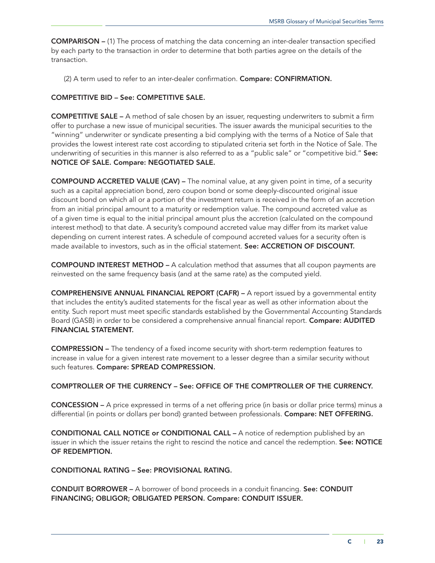COMPARISON – (1) The process of matching the data concerning an inter-dealer transaction specified by each party to the transaction in order to determine that both parties agree on the details of the transaction.

(2) A term used to refer to an inter-dealer confirmation. Compare: CONFIRMATION.

# COMPETITIVE BID – See: COMPETITIVE SALE.

COMPETITIVE SALE – A method of sale chosen by an issuer, requesting underwriters to submit a firm offer to purchase a new issue of municipal securities. The issuer awards the municipal securities to the "winning" underwriter or syndicate presenting a bid complying with the terms of a Notice of Sale that provides the lowest interest rate cost according to stipulated criteria set forth in the Notice of Sale. The underwriting of securities in this manner is also referred to as a "public sale" or "competitive bid." See: NOTICE OF SALE. Compare: NEGOTIATED SALE.

COMPOUND ACCRETED VALUE (CAV) – The nominal value, at any given point in time, of a security such as a capital appreciation bond, zero coupon bond or some deeply-discounted original issue discount bond on which all or a portion of the investment return is received in the form of an accretion from an initial principal amount to a maturity or redemption value. The compound accreted value as of a given time is equal to the initial principal amount plus the accretion (calculated on the compound interest method) to that date. A security's compound accreted value may differ from its market value depending on current interest rates. A schedule of compound accreted values for a security often is made available to investors, such as in the official statement. See: ACCRETION OF DISCOUNT.

COMPOUND INTEREST METHOD – A calculation method that assumes that all coupon payments are reinvested on the same frequency basis (and at the same rate) as the computed yield.

COMPREHENSIVE ANNUAL FINANCIAL REPORT (CAFR) – A report issued by a governmental entity that includes the entity's audited statements for the fiscal year as well as other information about the entity. Such report must meet specific standards established by the Governmental Accounting Standards Board (GASB) in order to be considered a comprehensive annual financial report. Compare: AUDITED FINANCIAL STATEMENT.

COMPRESSION – The tendency of a fixed income security with short-term redemption features to increase in value for a given interest rate movement to a lesser degree than a similar security without such features. Compare: SPREAD COMPRESSION.

#### COMPTROLLER OF THE CURRENCY – See: OFFICE OF THE COMPTROLLER OF THE CURRENCY.

CONCESSION – A price expressed in terms of a net offering price (in basis or dollar price terms) minus a differential (in points or dollars per bond) granted between professionals. Compare: NET OFFERING.

CONDITIONAL CALL NOTICE or CONDITIONAL CALL – A notice of redemption published by an issuer in which the issuer retains the right to rescind the notice and cancel the redemption. See: NOTICE OF REDEMPTION.

CONDITIONAL RATING – See: PROVISIONAL RATING.

CONDUIT BORROWER – A borrower of bond proceeds in a conduit financing. See: CONDUIT FINANCING; OBLIGOR; OBLIGATED PERSON. Compare: CONDUIT ISSUER.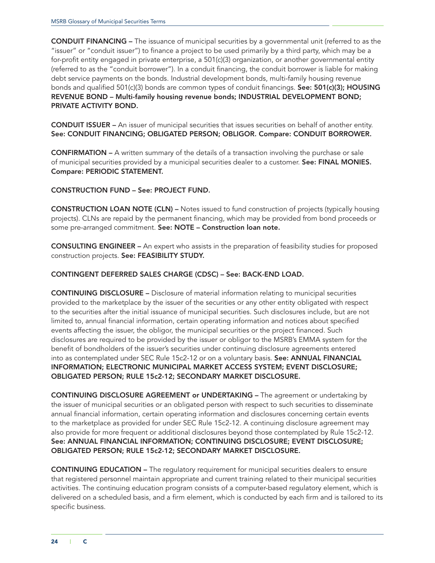CONDUIT FINANCING – The issuance of municipal securities by a governmental unit (referred to as the "issuer" or "conduit issuer") to finance a project to be used primarily by a third party, which may be a for-profit entity engaged in private enterprise, a 501(c)(3) organization, or another governmental entity (referred to as the "conduit borrower"). In a conduit financing, the conduit borrower is liable for making debt service payments on the bonds. Industrial development bonds, multi-family housing revenue bonds and qualified 501(c)(3) bonds are common types of conduit financings. See: 501(c)(3); HOUSING REVENUE BOND – Multi-family housing revenue bonds; INDUSTRIAL DEVELOPMENT BOND; PRIVATE ACTIVITY BOND.

CONDUIT ISSUER – An issuer of municipal securities that issues securities on behalf of another entity. See: CONDUIT FINANCING; OBLIGATED PERSON; OBLIGOR. Compare: CONDUIT BORROWER.

CONFIRMATION – A written summary of the details of a transaction involving the purchase or sale of municipal securities provided by a municipal securities dealer to a customer. See: FINAL MONIES. Compare: PERIODIC STATEMENT.

# CONSTRUCTION FUND – See: PROJECT FUND.

CONSTRUCTION LOAN NOTE (CLN) – Notes issued to fund construction of projects (typically housing projects). CLNs are repaid by the permanent financing, which may be provided from bond proceeds or some pre-arranged commitment. See: NOTE – Construction loan note.

CONSULTING ENGINEER – An expert who assists in the preparation of feasibility studies for proposed construction projects. See: FEASIBILITY STUDY.

# CONTINGENT DEFERRED SALES CHARGE (CDSC) – See: BACK-END LOAD.

CONTINUING DISCLOSURE – Disclosure of material information relating to municipal securities provided to the marketplace by the issuer of the securities or any other entity obligated with respect to the securities after the initial issuance of municipal securities. Such disclosures include, but are not limited to, annual financial information, certain operating information and notices about specified events affecting the issuer, the obligor, the municipal securities or the project financed. Such disclosures are required to be provided by the issuer or obligor to the MSRB's EMMA system for the benefit of bondholders of the issuer's securities under continuing disclosure agreements entered into as contemplated under SEC Rule 15c2-12 or on a voluntary basis. See: ANNUAL FINANCIAL INFORMATION; ELECTRONIC MUNICIPAL MARKET ACCESS SYSTEM; EVENT DISCLOSURE; OBLIGATED PERSON; RULE 15c2-12; SECONDARY MARKET DISCLOSURE.

CONTINUING DISCLOSURE AGREEMENT or UNDERTAKING – The agreement or undertaking by the issuer of municipal securities or an obligated person with respect to such securities to disseminate annual financial information, certain operating information and disclosures concerning certain events to the marketplace as provided for under SEC Rule 15c2-12. A continuing disclosure agreement may also provide for more frequent or additional disclosures beyond those contemplated by Rule 15c2-12. See: ANNUAL FINANCIAL INFORMATION; CONTINUING DISCLOSURE; EVENT DISCLOSURE; OBLIGATED PERSON; RULE 15c2-12; SECONDARY MARKET DISCLOSURE.

CONTINUING EDUCATION – The regulatory requirement for municipal securities dealers to ensure that registered personnel maintain appropriate and current training related to their municipal securities activities. The continuing education program consists of a computer-based regulatory element, which is delivered on a scheduled basis, and a firm element, which is conducted by each firm and is tailored to its specific business.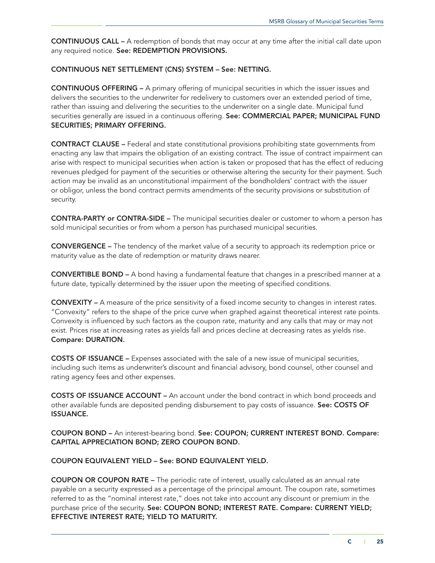CONTINUOUS CALL – A redemption of bonds that may occur at any time after the initial call date upon any required notice. See: REDEMPTION PROVISIONS.

# CONTINUOUS NET SETTLEMENT (CNS) SYSTEM – See: NETTING.

CONTINUOUS OFFERING – A primary offering of municipal securities in which the issuer issues and delivers the securities to the underwriter for redelivery to customers over an extended period of time, rather than issuing and delivering the securities to the underwriter on a single date. Municipal fund securities generally are issued in a continuous offering. See: COMMERCIAL PAPER; MUNICIPAL FUND SECURITIES; PRIMARY OFFERING.

CONTRACT CLAUSE – Federal and state constitutional provisions prohibiting state governments from enacting any law that impairs the obligation of an existing contract. The issue of contract impairment can arise with respect to municipal securities when action is taken or proposed that has the effect of reducing revenues pledged for payment of the securities or otherwise altering the security for their payment. Such action may be invalid as an unconstitutional impairment of the bondholders' contract with the issuer or obligor, unless the bond contract permits amendments of the security provisions or substitution of security.

CONTRA-PARTY or CONTRA-SIDE – The municipal securities dealer or customer to whom a person has sold municipal securities or from whom a person has purchased municipal securities.

CONVERGENCE – The tendency of the market value of a security to approach its redemption price or maturity value as the date of redemption or maturity draws nearer.

CONVERTIBLE BOND – A bond having a fundamental feature that changes in a prescribed manner at a future date, typically determined by the issuer upon the meeting of specified conditions.

CONVEXITY – A measure of the price sensitivity of a fixed income security to changes in interest rates. "Convexity" refers to the shape of the price curve when graphed against theoretical interest rate points. Convexity is influenced by such factors as the coupon rate, maturity and any calls that may or may not exist. Prices rise at increasing rates as yields fall and prices decline at decreasing rates as yields rise. Compare: DURATION.

COSTS OF ISSUANCE – Expenses associated with the sale of a new issue of municipal securities, including such items as underwriter's discount and financial advisory, bond counsel, other counsel and rating agency fees and other expenses.

COSTS OF ISSUANCE ACCOUNT – An account under the bond contract in which bond proceeds and other available funds are deposited pending disbursement to pay costs of issuance. See: COSTS OF ISSUANCE.

COUPON BOND – An interest-bearing bond. See: COUPON; CURRENT INTEREST BOND. Compare: CAPITAL APPRECIATION BOND; ZERO COUPON BOND.

#### COUPON EQUIVALENT YIELD – See: BOND EQUIVALENT YIELD.

COUPON OR COUPON RATE – The periodic rate of interest, usually calculated as an annual rate payable on a security expressed as a percentage of the principal amount. The coupon rate, sometimes referred to as the "nominal interest rate," does not take into account any discount or premium in the purchase price of the security. See: COUPON BOND; INTEREST RATE. Compare: CURRENT YIELD; EFFECTIVE INTEREST RATE; YIELD TO MATURITY.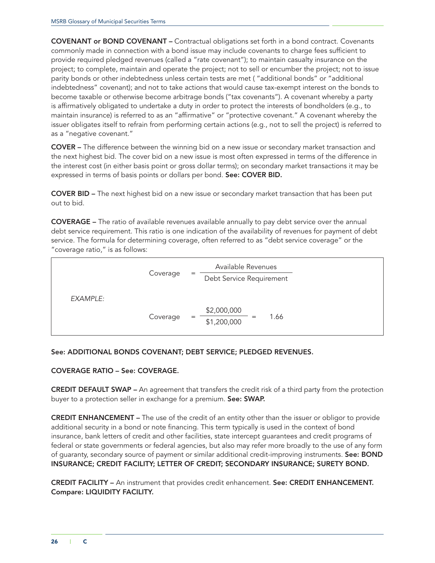COVENANT or BOND COVENANT – Contractual obligations set forth in a bond contract. Covenants commonly made in connection with a bond issue may include covenants to charge fees sufficient to provide required pledged revenues (called a "rate covenant"); to maintain casualty insurance on the project; to complete, maintain and operate the project; not to sell or encumber the project; not to issue parity bonds or other indebtedness unless certain tests are met ( "additional bonds" or "additional indebtedness" covenant); and not to take actions that would cause tax-exempt interest on the bonds to become taxable or otherwise become arbitrage bonds ("tax covenants"). A covenant whereby a party is affirmatively obligated to undertake a duty in order to protect the interests of bondholders (e.g., to maintain insurance) is referred to as an "affirmative" or "protective covenant." A covenant whereby the issuer obligates itself to refrain from performing certain actions (e.g*.*, not to sell the project) is referred to as a "negative covenant."

COVER – The difference between the winning bid on a new issue or secondary market transaction and the next highest bid. The cover bid on a new issue is most often expressed in terms of the difference in the interest cost (in either basis point or gross dollar terms); on secondary market transactions it may be expressed in terms of basis points or dollars per bond. See: COVER BID.

COVER BID – The next highest bid on a new issue or secondary market transaction that has been put out to bid.

COVERAGE – The ratio of available revenues available annually to pay debt service over the annual debt service requirement. This ratio is one indication of the availability of revenues for payment of debt service. The formula for determining coverage, often referred to as "debt service coverage" or the "coverage ratio," is as follows:

|          | Coverage | $=$ | Available Revenues<br>Debt Service Requirement |
|----------|----------|-----|------------------------------------------------|
| EXAMPLE: | Coverage | $=$ | \$2,000,000<br>1.66<br>$=$<br>\$1,200,000      |

# See: ADDITIONAL BONDS COVENANT; DEBT SERVICE; PLEDGED REVENUES.

# COVERAGE RATIO – See: COVERAGE.

CREDIT DEFAULT SWAP – An agreement that transfers the credit risk of a third party from the protection buyer to a protection seller in exchange for a premium. See: SWAP.

CREDIT ENHANCEMENT – The use of the credit of an entity other than the issuer or obligor to provide additional security in a bond or note financing. This term typically is used in the context of bond insurance, bank letters of credit and other facilities, state intercept guarantees and credit programs of federal or state governments or federal agencies, but also may refer more broadly to the use of any form of guaranty, secondary source of payment or similar additional credit-improving instruments. See: BOND INSURANCE; CREDIT FACILITY; LETTER OF CREDIT; SECONDARY INSURANCE; SURETY BOND.

CREDIT FACILITY – An instrument that provides credit enhancement. See: CREDIT ENHANCEMENT. Compare: LIQUIDITY FACILITY.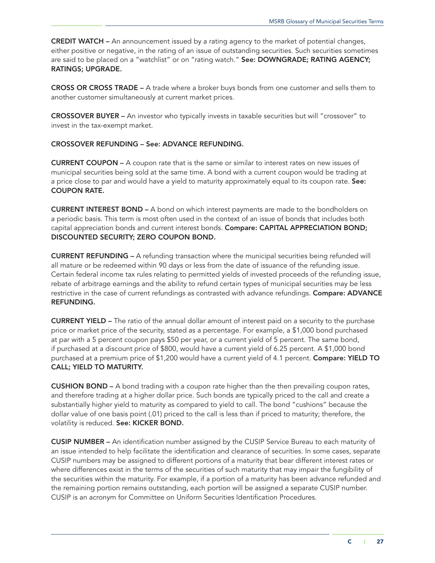CREDIT WATCH – An announcement issued by a rating agency to the market of potential changes, either positive or negative, in the rating of an issue of outstanding securities. Such securities sometimes are said to be placed on a "watchlist" or on "rating watch." See: DOWNGRADE; RATING AGENCY; RATINGS; UPGRADE.

CROSS OR CROSS TRADE – A trade where a broker buys bonds from one customer and sells them to another customer simultaneously at current market prices.

CROSSOVER BUYER – An investor who typically invests in taxable securities but will "crossover" to invest in the tax-exempt market.

#### CROSSOVER REFUNDING – See: ADVANCE REFUNDING.

CURRENT COUPON – A coupon rate that is the same or similar to interest rates on new issues of municipal securities being sold at the same time. A bond with a current coupon would be trading at a price close to par and would have a yield to maturity approximately equal to its coupon rate. See: COUPON RATE.

CURRENT INTEREST BOND – A bond on which interest payments are made to the bondholders on a periodic basis. This term is most often used in the context of an issue of bonds that includes both capital appreciation bonds and current interest bonds. Compare: CAPITAL APPRECIATION BOND; DISCOUNTED SECURITY; ZERO COUPON BOND.

CURRENT REFUNDING – A refunding transaction where the municipal securities being refunded will all mature or be redeemed within 90 days or less from the date of issuance of the refunding issue. Certain federal income tax rules relating to permitted yields of invested proceeds of the refunding issue, rebate of arbitrage earnings and the ability to refund certain types of municipal securities may be less restrictive in the case of current refundings as contrasted with advance refundings. Compare: ADVANCE REFUNDING.

CURRENT YIELD – The ratio of the annual dollar amount of interest paid on a security to the purchase price or market price of the security, stated as a percentage. For example, a \$1,000 bond purchased at par with a 5 percent coupon pays \$50 per year, or a current yield of 5 percent. The same bond, if purchased at a discount price of \$800, would have a current yield of 6.25 percent. A \$1,000 bond purchased at a premium price of \$1,200 would have a current yield of 4.1 percent. Compare: YIELD TO CALL; YIELD TO MATURITY.

CUSHION BOND – A bond trading with a coupon rate higher than the then prevailing coupon rates, and therefore trading at a higher dollar price. Such bonds are typically priced to the call and create a substantially higher yield to maturity as compared to yield to call. The bond "cushions" because the dollar value of one basis point (.01) priced to the call is less than if priced to maturity; therefore, the volatility is reduced. See: KICKER BOND.

CUSIP NUMBER – An identification number assigned by the CUSIP Service Bureau to each maturity of an issue intended to help facilitate the identification and clearance of securities. In some cases, separate CUSIP numbers may be assigned to different portions of a maturity that bear different interest rates or where differences exist in the terms of the securities of such maturity that may impair the fungibility of the securities within the maturity. For example, if a portion of a maturity has been advance refunded and the remaining portion remains outstanding, each portion will be assigned a separate CUSIP number. CUSIP is an acronym for Committee on Uniform Securities Identification Procedures.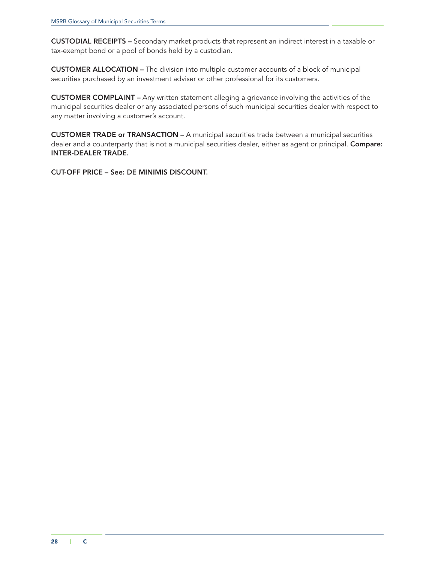CUSTODIAL RECEIPTS – Secondary market products that represent an indirect interest in a taxable or tax-exempt bond or a pool of bonds held by a custodian.

CUSTOMER ALLOCATION – The division into multiple customer accounts of a block of municipal securities purchased by an investment adviser or other professional for its customers.

CUSTOMER COMPLAINT – Any written statement alleging a grievance involving the activities of the municipal securities dealer or any associated persons of such municipal securities dealer with respect to any matter involving a customer's account.

CUSTOMER TRADE or TRANSACTION – A municipal securities trade between a municipal securities dealer and a counterparty that is not a municipal securities dealer, either as agent or principal. Compare: INTER-DEALER TRADE.

CUT-OFF PRICE – See: DE MINIMIS DISCOUNT.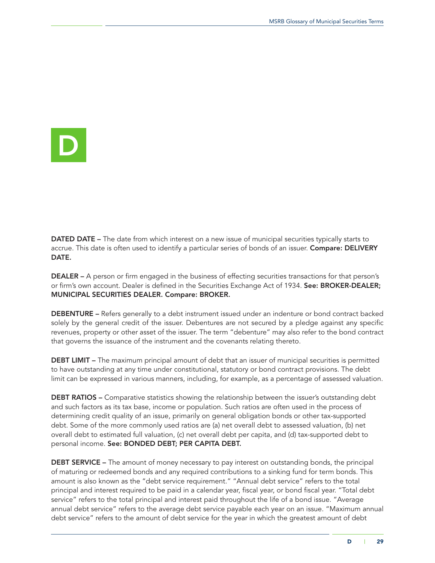<span id="page-32-0"></span>

**DATED DATE –** The date from which interest on a new issue of municipal securities typically starts to accrue. This date is often used to identify a particular series of bonds of an issuer. Compare: DELIVERY DATE.

DEALER – A person or firm engaged in the business of effecting securities transactions for that person's or firm's own account. Dealer is defined in the Securities Exchange Act of 1934. See: BROKER-DEALER; MUNICIPAL SECURITIES DEALER. Compare: BROKER.

DEBENTURE – Refers generally to a debt instrument issued under an indenture or bond contract backed solely by the general credit of the issuer. Debentures are not secured by a pledge against any specific revenues, property or other asset of the issuer. The term "debenture" may also refer to the bond contract that governs the issuance of the instrument and the covenants relating thereto.

DEBT LIMIT – The maximum principal amount of debt that an issuer of municipal securities is permitted to have outstanding at any time under constitutional, statutory or bond contract provisions. The debt limit can be expressed in various manners, including, for example, as a percentage of assessed valuation.

**DEBT RATIOS –** Comparative statistics showing the relationship between the issuer's outstanding debt and such factors as its tax base, income or population. Such ratios are often used in the process of determining credit quality of an issue, primarily on general obligation bonds or other tax-supported debt. Some of the more commonly used ratios are (a) net overall debt to assessed valuation, (b) net overall debt to estimated full valuation, (c) net overall debt per capita, and (d) tax-supported debt to personal income. See: BONDED DEBT; PER CAPITA DEBT.

DEBT SERVICE – The amount of money necessary to pay interest on outstanding bonds, the principal of maturing or redeemed bonds and any required contributions to a sinking fund for term bonds. This amount is also known as the "debt service requirement." "Annual debt service" refers to the total principal and interest required to be paid in a calendar year, fiscal year, or bond fiscal year. "Total debt service" refers to the total principal and interest paid throughout the life of a bond issue. "Average annual debt service" refers to the average debt service payable each year on an issue. "Maximum annual debt service" refers to the amount of debt service for the year in which the greatest amount of debt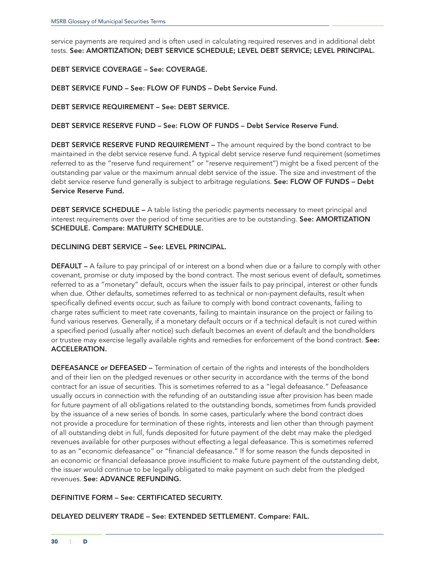service payments are required and is often used in calculating required reserves and in additional debt tests. See: AMORTIZATION; DEBT SERVICE SCHEDULE; LEVEL DEBT SERVICE; LEVEL PRINCIPAL.

# DEBT SERVICE COVERAGE – See: COVERAGE.

DEBT SERVICE FUND – See: FLOW OF FUNDS – Debt Service Fund.

DEBT SERVICE REQUIREMENT – See: DEBT SERVICE.

### DEBT SERVICE RESERVE FUND – See: FLOW OF FUNDS – Debt Service Reserve Fund.

DEBT SERVICE RESERVE FUND REQUIREMENT - The amount required by the bond contract to be maintained in the debt service reserve fund. A typical debt service reserve fund requirement (sometimes referred to as the "reserve fund requirement" or "reserve requirement") might be a fixed percent of the outstanding par value or the maximum annual debt service of the issue. The size and investment of the debt service reserve fund generally is subject to arbitrage regulations. See: FLOW OF FUNDS - Debt Service Reserve Fund.

DEBT SERVICE SCHEDULE - A table listing the periodic payments necessary to meet principal and interest requirements over the period of time securities are to be outstanding. See: AMORTIZATION SCHEDULE. Compare: MATURITY SCHEDULE.

# DECLINING DEBT SERVICE – See: LEVEL PRINCIPAL.

DEFAULT – A failure to pay principal of or interest on a bond when due or a failure to comply with other covenant, promise or duty imposed by the bond contract. The most serious event of default, sometimes referred to as a "monetary" default, occurs when the issuer fails to pay principal, interest or other funds when due. Other defaults, sometimes referred to as technical or non-payment defaults, result when specifically defined events occur, such as failure to comply with bond contract covenants, failing to charge rates sufficient to meet rate covenants, failing to maintain insurance on the project or failing to fund various reserves. Generally, if a monetary default occurs or if a technical default is not cured within a specified period (usually after notice) such default becomes an event of default and the bondholders or trustee may exercise legally available rights and remedies for enforcement of the bond contract. See: ACCELERATION.

DEFEASANCE or DEFEASED – Termination of certain of the rights and interests of the bondholders and of their lien on the pledged revenues or other security in accordance with the terms of the bond contract for an issue of securities. This is sometimes referred to as a "legal defeasance." Defeasance usually occurs in connection with the refunding of an outstanding issue after provision has been made for future payment of all obligations related to the outstanding bonds, sometimes from funds provided by the issuance of a new series of bonds. In some cases, particularly where the bond contract does not provide a procedure for termination of these rights, interests and lien other than through payment of all outstanding debt in full, funds deposited for future payment of the debt may make the pledged revenues available for other purposes without effecting a legal defeasance. This is sometimes referred to as an "economic defeasance" or "financial defeasance." If for some reason the funds deposited in an economic or financial defeasance prove insufficient to make future payment of the outstanding debt, the issuer would continue to be legally obligated to make payment on such debt from the pledged revenues. See: ADVANCE REFUNDING.

# DEFINITIVE FORM – See: CERTIFICATED SECURITY.

# DELAYED DELIVERY TRADE – See: EXTENDED SETTLEMENT. Compare: FAIL.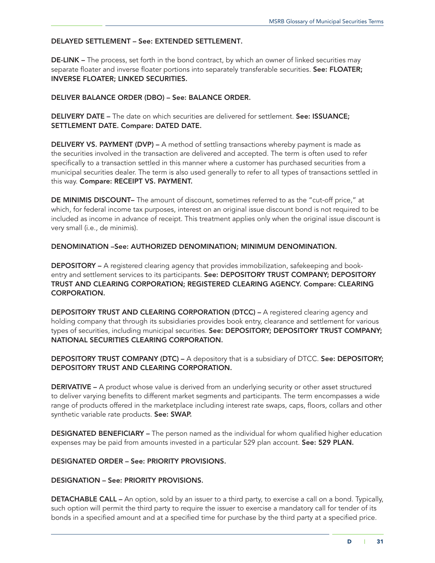# DELAYED SETTLEMENT – See: EXTENDED SETTLEMENT.

DE-LINK – The process, set forth in the bond contract, by which an owner of linked securities may separate floater and inverse floater portions into separately transferable securities. See: FLOATER; INVERSE FLOATER; LINKED SECURITIES.

# DELIVER BALANCE ORDER (DBO) – See: BALANCE ORDER.

DELIVERY DATE – The date on which securities are delivered for settlement. See: ISSUANCE; SETTLEMENT DATE. Compare: DATED DATE.

DELIVERY VS. PAYMENT (DVP) – A method of settling transactions whereby payment is made as the securities involved in the transaction are delivered and accepted. The term is often used to refer specifically to a transaction settled in this manner where a customer has purchased securities from a municipal securities dealer. The term is also used generally to refer to all types of transactions settled in this way. Compare: RECEIPT VS. PAYMENT.

DE MINIMIS DISCOUNT- The amount of discount, sometimes referred to as the "cut-off price," at which, for federal income tax purposes, interest on an original issue discount bond is not required to be included as income in advance of receipt. This treatment applies only when the original issue discount is very small (i.e.*,* de minimis).

# DENOMINATION –See: AUTHORIZED DENOMINATION; MINIMUM DENOMINATION.

DEPOSITORY - A registered clearing agency that provides immobilization, safekeeping and bookentry and settlement services to its participants. See: DEPOSITORY TRUST COMPANY; DEPOSITORY TRUST AND CLEARING CORPORATION; REGISTERED CLEARING AGENCY. Compare: CLEARING CORPORATION.

DEPOSITORY TRUST AND CLEARING CORPORATION (DTCC) – A registered clearing agency and holding company that through its subsidiaries provides book entry, clearance and settlement for various types of securities, including municipal securities. See: DEPOSITORY; DEPOSITORY TRUST COMPANY; NATIONAL SECURITIES CLEARING CORPORATION.

DEPOSITORY TRUST COMPANY (DTC) - A depository that is a subsidiary of DTCC. See: DEPOSITORY; DEPOSITORY TRUST AND CLEARING CORPORATION.

DERIVATIVE – A product whose value is derived from an underlying security or other asset structured to deliver varying benefits to different market segments and participants. The term encompasses a wide range of products offered in the marketplace including interest rate swaps, caps, floors, collars and other synthetic variable rate products. See: SWAP.

DESIGNATED BENEFICIARY – The person named as the individual for whom qualified higher education expenses may be paid from amounts invested in a particular 529 plan account. See: 529 PLAN.

# DESIGNATED ORDER – See: PRIORITY PROVISIONS.

#### DESIGNATION – See: PRIORITY PROVISIONS.

**DETACHABLE CALL –** An option, sold by an issuer to a third party, to exercise a call on a bond. Typically, such option will permit the third party to require the issuer to exercise a mandatory call for tender of its bonds in a specified amount and at a specified time for purchase by the third party at a specified price.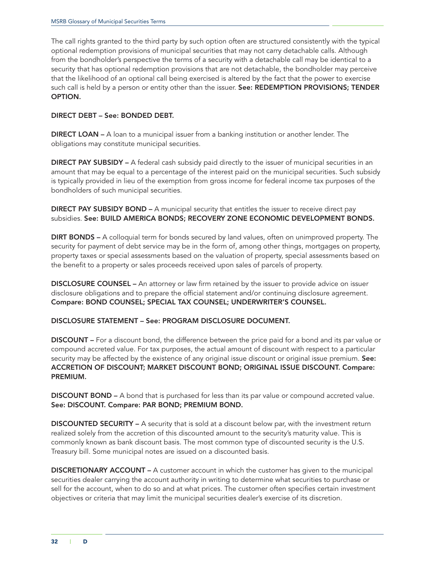The call rights granted to the third party by such option often are structured consistently with the typical optional redemption provisions of municipal securities that may not carry detachable calls. Although from the bondholder's perspective the terms of a security with a detachable call may be identical to a security that has optional redemption provisions that are not detachable, the bondholder may perceive that the likelihood of an optional call being exercised is altered by the fact that the power to exercise such call is held by a person or entity other than the issuer. See: REDEMPTION PROVISIONS; TENDER OPTION.

# DIRECT DEBT – See: BONDED DEBT.

**DIRECT LOAN** – A loan to a municipal issuer from a banking institution or another lender. The obligations may constitute municipal securities.

DIRECT PAY SUBSIDY – A federal cash subsidy paid directly to the issuer of municipal securities in an amount that may be equal to a percentage of the interest paid on the municipal securities. Such subsidy is typically provided in lieu of the exemption from gross income for federal income tax purposes of the bondholders of such municipal securities.

DIRECT PAY SUBSIDY BOND – A municipal security that entitles the issuer to receive direct pay subsidies. See: BUILD AMERICA BONDS; RECOVERY ZONE ECONOMIC DEVELOPMENT BONDS.

DIRT BONDS – A colloquial term for bonds secured by land values, often on unimproved property. The security for payment of debt service may be in the form of, among other things, mortgages on property, property taxes or special assessments based on the valuation of property, special assessments based on the benefit to a property or sales proceeds received upon sales of parcels of property.

DISCLOSURE COUNSEL – An attorney or law firm retained by the issuer to provide advice on issuer disclosure obligations and to prepare the official statement and/or continuing disclosure agreement. Compare: BOND COUNSEL; SPECIAL TAX COUNSEL; UNDERWRITER'S COUNSEL.

# DISCLOSURE STATEMENT – See: PROGRAM DISCLOSURE DOCUMENT.

DISCOUNT – For a discount bond, the difference between the price paid for a bond and its par value or compound accreted value. For tax purposes, the actual amount of discount with respect to a particular security may be affected by the existence of any original issue discount or original issue premium. See: ACCRETION OF DISCOUNT; MARKET DISCOUNT BOND; ORIGINAL ISSUE DISCOUNT. Compare: PREMIUM.

**DISCOUNT BOND –** A bond that is purchased for less than its par value or compound accreted value. See: DISCOUNT. Compare: PAR BOND; PREMIUM BOND.

DISCOUNTED SECURITY – A security that is sold at a discount below par, with the investment return realized solely from the accretion of this discounted amount to the security's maturity value. This is commonly known as bank discount basis. The most common type of discounted security is the U.S. Treasury bill. Some municipal notes are issued on a discounted basis.

DISCRETIONARY ACCOUNT – A customer account in which the customer has given to the municipal securities dealer carrying the account authority in writing to determine what securities to purchase or sell for the account, when to do so and at what prices. The customer often specifies certain investment objectives or criteria that may limit the municipal securities dealer's exercise of its discretion.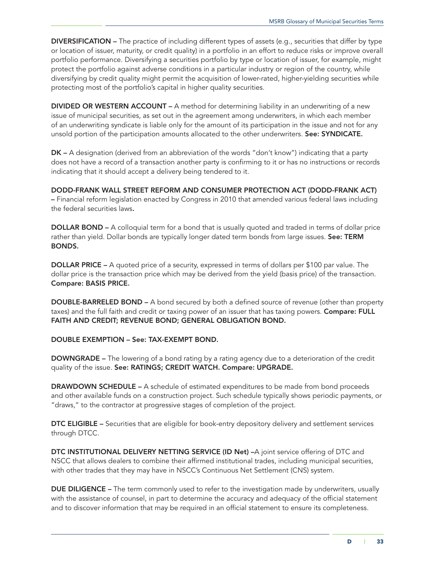DIVERSIFICATION – The practice of including different types of assets (e.g., securities that differ by type or location of issuer, maturity, or credit quality) in a portfolio in an effort to reduce risks or improve overall portfolio performance. Diversifying a securities portfolio by type or location of issuer, for example, might protect the portfolio against adverse conditions in a particular industry or region of the country, while diversifying by credit quality might permit the acquisition of lower-rated, higher-yielding securities while protecting most of the portfolio's capital in higher quality securities.

DIVIDED OR WESTERN ACCOUNT – A method for determining liability in an underwriting of a new issue of municipal securities, as set out in the agreement among underwriters, in which each member of an underwriting syndicate is liable only for the amount of its participation in the issue and not for any unsold portion of the participation amounts allocated to the other underwriters. See: SYNDICATE.

DK – A designation (derived from an abbreviation of the words "don't know") indicating that a party does not have a record of a transaction another party is confirming to it or has no instructions or records indicating that it should accept a delivery being tendered to it.

DODD-FRANK WALL STREET REFORM AND CONSUMER PROTECTION ACT (DODD-FRANK ACT) – Financial reform legislation enacted by Congress in 2010 that amended various federal laws including the federal securities laws.

DOLLAR BOND – A colloquial term for a bond that is usually quoted and traded in terms of dollar price rather than yield. Dollar bonds are typically longer dated term bonds from large issues. See: TERM BONDS.

DOLLAR PRICE – A quoted price of a security, expressed in terms of dollars per \$100 par value. The dollar price is the transaction price which may be derived from the yield (basis price) of the transaction. Compare: BASIS PRICE.

DOUBLE-BARRELED BOND – A bond secured by both a defined source of revenue (other than property taxes) and the full faith and credit or taxing power of an issuer that has taxing powers. **Compare: FULL** FAITH AND CREDIT; REVENUE BOND; GENERAL OBLIGATION BOND.

# DOUBLE EXEMPTION – See: TAX-EXEMPT BOND.

DOWNGRADE – The lowering of a bond rating by a rating agency due to a deterioration of the credit quality of the issue. See: RATINGS; CREDIT WATCH. Compare: UPGRADE.

DRAWDOWN SCHEDULE – A schedule of estimated expenditures to be made from bond proceeds and other available funds on a construction project. Such schedule typically shows periodic payments, or "draws," to the contractor at progressive stages of completion of the project.

DTC ELIGIBLE – Securities that are eligible for book-entry depository delivery and settlement services through DTCC.

DTC INSTITUTIONAL DELIVERY NETTING SERVICE (ID Net) –A joint service offering of DTC and NSCC that allows dealers to combine their affirmed institutional trades, including municipal securities, with other trades that they may have in NSCC's Continuous Net Settlement (CNS) system.

DUE DILIGENCE – The term commonly used to refer to the investigation made by underwriters, usually with the assistance of counsel, in part to determine the accuracy and adequacy of the official statement and to discover information that may be required in an official statement to ensure its completeness.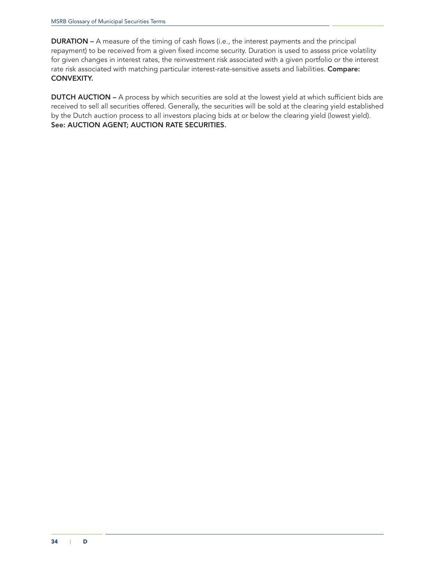DURATION – A measure of the timing of cash flows (i.e., the interest payments and the principal repayment) to be received from a given fixed income security. Duration is used to assess price volatility for given changes in interest rates, the reinvestment risk associated with a given portfolio or the interest rate risk associated with matching particular interest-rate-sensitive assets and liabilities. Compare: CONVEXITY.

DUTCH AUCTION – A process by which securities are sold at the lowest yield at which sufficient bids are received to sell all securities offered. Generally, the securities will be sold at the clearing yield established by the Dutch auction process to all investors placing bids at or below the clearing yield (lowest yield). See: AUCTION AGENT; AUCTION RATE SECURITIES.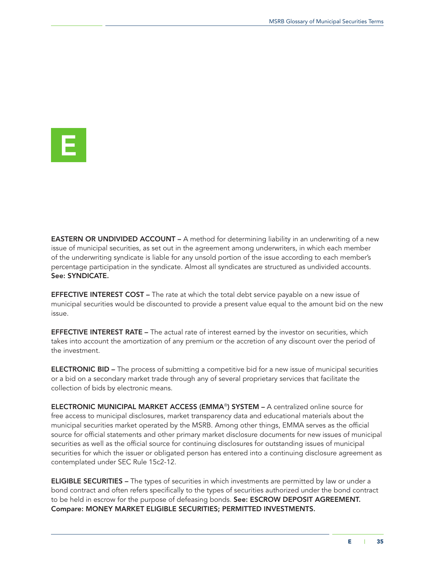E

**EASTERN OR UNDIVIDED ACCOUNT –** A method for determining liability in an underwriting of a new issue of municipal securities, as set out in the agreement among underwriters, in which each member of the underwriting syndicate is liable for any unsold portion of the issue according to each member's percentage participation in the syndicate. Almost all syndicates are structured as undivided accounts. See: SYNDICATE.

**EFFECTIVE INTEREST COST –** The rate at which the total debt service payable on a new issue of municipal securities would be discounted to provide a present value equal to the amount bid on the new issue.

**EFFECTIVE INTEREST RATE –** The actual rate of interest earned by the investor on securities, which takes into account the amortization of any premium or the accretion of any discount over the period of the investment.

ELECTRONIC BID – The process of submitting a competitive bid for a new issue of municipal securities or a bid on a secondary market trade through any of several proprietary services that facilitate the collection of bids by electronic means.

ELECTRONIC MUNICIPAL MARKET ACCESS (EMMA®) SYSTEM – A centralized online source for free access to municipal disclosures, market transparency data and educational materials about the municipal securities market operated by the MSRB. Among other things, EMMA serves as the official source for official statements and other primary market disclosure documents for new issues of municipal securities as well as the official source for continuing disclosures for outstanding issues of municipal securities for which the issuer or obligated person has entered into a continuing disclosure agreement as contemplated under SEC Rule 15c2-12.

**ELIGIBLE SECURITIES** – The types of securities in which investments are permitted by law or under a bond contract and often refers specifically to the types of securities authorized under the bond contract to be held in escrow for the purpose of defeasing bonds. See: ESCROW DEPOSIT AGREEMENT. Compare: MONEY MARKET ELIGIBLE SECURITIES; PERMITTED INVESTMENTS.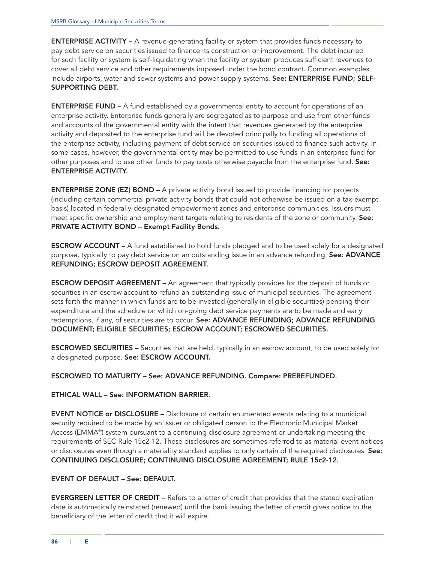ENTERPRISE ACTIVITY – A revenue-generating facility or system that provides funds necessary to pay debt service on securities issued to finance its construction or improvement. The debt incurred for such facility or system is self-liquidating when the facility or system produces sufficient revenues to cover all debt service and other requirements imposed under the bond contract. Common examples include airports, water and sewer systems and power supply systems. See: ENTERPRISE FUND; SELF-SUPPORTING DEBT.

ENTERPRISE FUND – A fund established by a governmental entity to account for operations of an enterprise activity. Enterprise funds generally are segregated as to purpose and use from other funds and accounts of the governmental entity with the intent that revenues generated by the enterprise activity and deposited to the enterprise fund will be devoted principally to funding all operations of the enterprise activity, including payment of debt service on securities issued to finance such activity. In some cases, however, the governmental entity may be permitted to use funds in an enterprise fund for other purposes and to use other funds to pay costs otherwise payable from the enterprise fund. See: ENTERPRISE ACTIVITY.

ENTERPRISE ZONE (EZ) BOND – A private activity bond issued to provide financing for projects (including certain commercial private activity bonds that could not otherwise be issued on a tax-exempt basis) located in federally-designated empowerment zones and enterprise communities. Issuers must meet specific ownership and employment targets relating to residents of the zone or community. See: PRIVATE ACTIVITY BOND – Exempt Facility Bonds.

ESCROW ACCOUNT – A fund established to hold funds pledged and to be used solely for a designated purpose, typically to pay debt service on an outstanding issue in an advance refunding. See: ADVANCE REFUNDING; ESCROW DEPOSIT AGREEMENT.

ESCROW DEPOSIT AGREEMENT – An agreement that typically provides for the deposit of funds or securities in an escrow account to refund an outstanding issue of municipal securities. The agreement sets forth the manner in which funds are to be invested (generally in eligible securities) pending their expenditure and the schedule on which on-going debt service payments are to be made and early redemptions, if any, of securities are to occur. See: ADVANCE REFUNDING; ADVANCE REFUNDING DOCUMENT; ELIGIBLE SECURITIES; ESCROW ACCOUNT; ESCROWED SECURITIES.

ESCROWED SECURITIES – Securities that are held, typically in an escrow account, to be used solely for a designated purpose. See: ESCROW ACCOUNT.

ESCROWED TO MATURITY – See: ADVANCE REFUNDING. Compare: PREREFUNDED.

# ETHICAL WALL – See: INFORMATION BARRIER.

EVENT NOTICE or DISCLOSURE – Disclosure of certain enumerated events relating to a municipal security required to be made by an issuer or obligated person to the Electronic Municipal Market Access (EMMA®) system pursuant to a continuing disclosure agreement or undertaking meeting the requirements of SEC Rule 15c2-12. These disclosures are sometimes referred to as material event notices or disclosures even though a materiality standard applies to only certain of the required disclosures. See: CONTINUING DISCLOSURE; CONTINUING DISCLOSURE AGREEMENT; RULE 15c2-12.

# EVENT OF DEFAULT – See: DEFAULT.

EVERGREEN LETTER OF CREDIT – Refers to a letter of credit that provides that the stated expiration date is automatically reinstated (renewed) until the bank issuing the letter of credit gives notice to the beneficiary of the letter of credit that it will expire.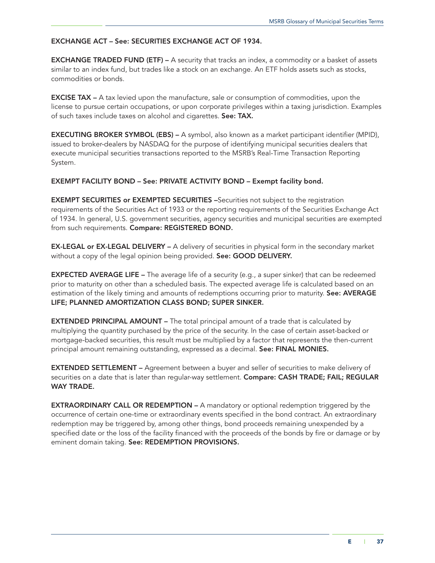## EXCHANGE ACT – See: SECURITIES EXCHANGE ACT OF 1934.

**EXCHANGE TRADED FUND (ETF) – A security that tracks an index, a commodity or a basket of assets** similar to an index [fund](http://www.investopedia.com/terms/e/etf.asp), but trades like a stock on an exchange. An ETF holds assets such as stocks, commodities or bonds.

**EXCISE TAX** – A tax levied upon the manufacture, sale or consumption of commodities, upon the license to pursue certain occupations, or upon corporate privileges within a taxing jurisdiction. Examples of such taxes include taxes on alcohol and cigarettes. See: TAX.

EXECUTING BROKER SYMBOL (EBS) – A symbol, also known as a market participant identifier (MPID), issued to broker-dealers by NASDAQ for the purpose of identifying municipal securities dealers that execute municipal securities transactions reported to the MSRB's Real-Time Transaction Reporting System.

### EXEMPT FACILITY BOND – See: PRIVATE ACTIVITY BOND – Exempt facility bond.

EXEMPT SECURITIES or EXEMPTED SECURITIES –Securities not subject to the registration requirements of the Securities Act of 1933 or the reporting requirements of the Securities Exchange Act of 1934. In general, U.S. government securities, agency securities and municipal securities are exempted from such requirements. Compare: REGISTERED BOND.

EX-LEGAL or EX-LEGAL DELIVERY – A delivery of securities in physical form in the secondary market without a copy of the legal opinion being provided. See: GOOD DELIVERY.

**EXPECTED AVERAGE LIFE –** The average life of a security (e.g., a super sinker) that can be redeemed prior to maturity on other than a scheduled basis. The expected average life is calculated based on an estimation of the likely timing and amounts of redemptions occurring prior to maturity. See: AVERAGE LIFE; PLANNED AMORTIZATION CLASS BOND; SUPER SINKER.

EXTENDED PRINCIPAL AMOUNT – The total principal amount of a trade that is calculated by multiplying the quantity purchased by the price of the security. In the case of certain asset-backed or mortgage-backed securities, this result must be multiplied by a factor that represents the then-current principal amount remaining outstanding, expressed as a decimal. See: FINAL MONIES.

EXTENDED SETTLEMENT – Agreement between a buyer and seller of securities to make delivery of securities on a date that is later than regular-way settlement. Compare: CASH TRADE; FAIL; REGULAR WAY TRADE.

**EXTRAORDINARY CALL OR REDEMPTION – A** mandatory or optional redemption triggered by the occurrence of certain one-time or extraordinary events specified in the bond contract. An extraordinary redemption may be triggered by, among other things, bond proceeds remaining unexpended by a specified date or the loss of the facility financed with the proceeds of the bonds by fire or damage or by eminent domain taking. See: REDEMPTION PROVISIONS.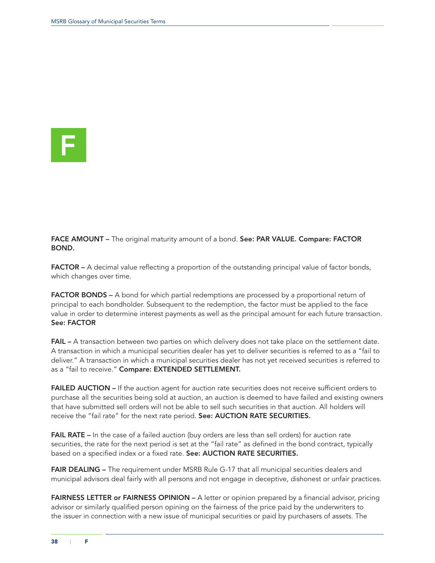

FACE AMOUNT – The original maturity amount of a bond. See: PAR VALUE. Compare: FACTOR BOND.

FACTOR – A decimal value reflecting a proportion of the outstanding principal value of factor bonds, which changes over time.

FACTOR BONDS – A bond for which partial redemptions are processed by a proportional return of principal to each bondholder. Subsequent to the redemption, the factor must be applied to the face value in order to determine interest payments as well as the principal amount for each future transaction. See: FACTOR

FAIL – A transaction between two parties on which delivery does not take place on the settlement date. A transaction in which a municipal securities dealer has yet to deliver securities is referred to as a "fail to deliver." A transaction in which a municipal securities dealer has not yet received securities is referred to as a "fail to receive." Compare: EXTENDED SETTLEMENT.

FAILED AUCTION – If the auction agent for auction rate securities does not receive sufficient orders to purchase all the securities being sold at auction, an auction is deemed to have failed and existing owners that have submitted sell orders will not be able to sell such securities in that auction. All holders will receive the "fail rate" for the next rate period. See: AUCTION RATE SECURITIES.

FAIL RATE – In the case of a failed auction (buy orders are less than sell orders) for auction rate securities, the rate for the next period is set at the "fail rate" as defined in the bond contract, typically based on a specified index or a fixed rate. See: AUCTION RATE SECURITIES.

FAIR DEALING – The requirement under MSRB Rule G-17 that all municipal securities dealers and municipal advisors deal fairly with all persons and not engage in deceptive, dishonest or unfair practices.

FAIRNESS LETTER or FAIRNESS OPINION – A letter or opinion prepared by a financial advisor, pricing advisor or similarly qualified person opining on the fairness of the price paid by the underwriters to the issuer in connection with a new issue of municipal securities or paid by purchasers of assets. The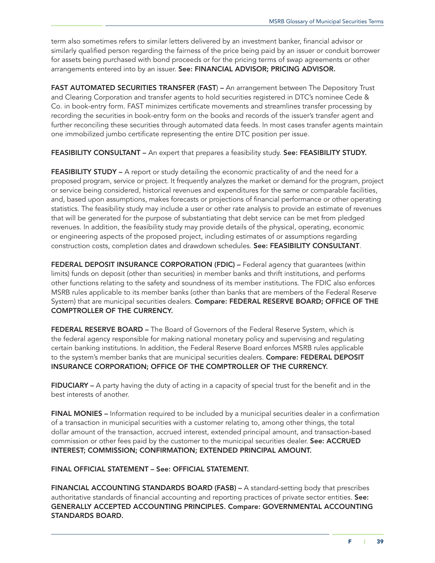term also sometimes refers to similar letters delivered by an investment banker, financial advisor or similarly qualified person regarding the fairness of the price being paid by an issuer or conduit borrower for assets being purchased with bond proceeds or for the pricing terms of swap agreements or other arrangements entered into by an issuer. See: FINANCIAL ADVISOR; PRICING ADVISOR.

FAST AUTOMATED SECURITIES TRANSFER (FAST) – An arrangement between The Depository Trust and Clearing Corporation and transfer agents to hold securities registered in DTC's nominee Cede & Co. in book-entry form. FAST minimizes certificate movements and streamlines transfer processing by recording the securities in book-entry form on the books and records of the issuer's transfer agent and further reconciling these securities through automated data feeds. In most cases transfer agents maintain one immobilized jumbo certificate representing the entire DTC position per issue.

FEASIBILITY CONSULTANT – An expert that prepares a feasibility study. See: FEASIBILITY STUDY.

FEASIBILITY STUDY – A report or study detailing the economic practicality of and the need for a proposed program, service or project. It frequently analyzes the market or demand for the program, project or service being considered, historical revenues and expenditures for the same or comparable facilities, and, based upon assumptions, makes forecasts or projections of financial performance or other operating statistics. The feasibility study may include a user or other rate analysis to provide an estimate of revenues that will be generated for the purpose of substantiating that debt service can be met from pledged revenues. In addition, the feasibility study may provide details of the physical, operating, economic or engineering aspects of the proposed project, including estimates of or assumptions regarding construction costs, completion dates and drawdown schedules. See: FEASIBILITY CONSULTANT.

FEDERAL DEPOSIT INSURANCE CORPORATION (FDIC) - Federal agency that guarantees (within limits) funds on deposit (other than securities) in member banks and thrift institutions, and performs other functions relating to the safety and soundness of its member institutions. The FDIC also enforces MSRB rules applicable to its member banks (other than banks that are members of the Federal Reserve System) that are municipal securities dealers. Compare: FEDERAL RESERVE BOARD; OFFICE OF THE COMPTROLLER OF THE CURRENCY.

FEDERAL RESERVE BOARD – The Board of Governors of the Federal Reserve System, which is the federal agency responsible for making national monetary policy and supervising and regulating certain banking institutions. In addition, the Federal Reserve Board enforces MSRB rules applicable to the system's member banks that are municipal securities dealers. Compare: FEDERAL DEPOSIT INSURANCE CORPORATION; OFFICE OF THE COMPTROLLER OF THE CURRENCY.

FIDUCIARY – A party having the duty of acting in a capacity of special trust for the benefit and in the best interests of another.

FINAL MONIES – Information required to be included by a municipal securities dealer in a confirmation of a transaction in municipal securities with a customer relating to, among other things, the total dollar amount of the transaction, accrued interest, extended principal amount, and transaction-based commission or other fees paid by the customer to the municipal securities dealer. See: ACCRUED INTEREST; COMMISSION; CONFIRMATION; EXTENDED PRINCIPAL AMOUNT.

FINAL OFFICIAL STATEMENT – See: OFFICIAL STATEMENT.

FINANCIAL ACCOUNTING STANDARDS BOARD (FASB) – A standard-setting body that prescribes authoritative standards of financial accounting and reporting practices of private sector entities. See: GENERALLY ACCEPTED ACCOUNTING PRINCIPLES. Compare: GOVERNMENTAL ACCOUNTING STANDARDS BOARD.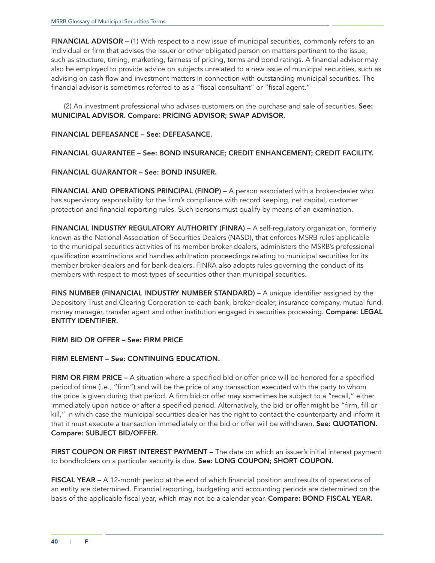FINANCIAL ADVISOR – (1) With respect to a new issue of municipal securities, commonly refers to an individual or firm that advises the issuer or other obligated person on matters pertinent to the issue, such as structure, timing, marketing, fairness of pricing, terms and bond ratings. A financial advisor may also be employed to provide advice on subjects unrelated to a new issue of municipal securities, such as advising on cash flow and investment matters in connection with outstanding municipal securities. The financial advisor is sometimes referred to as a "fiscal consultant" or "fiscal agent."

(2) An investment professional who advises customers on the purchase and sale of securities. See: MUNICIPAL ADVISOR. Compare: PRICING ADVISOR; SWAP ADVISOR.

#### FINANCIAL DEFEASANCE – See: DEFEASANCE.

FINANCIAL GUARANTEE – See: BOND INSURANCE; CREDIT ENHANCEMENT; CREDIT FACILITY.

### FINANCIAL GUARANTOR – See: BOND INSURER.

FINANCIAL AND OPERATIONS PRINCIPAL (FINOP) – A person associated with a broker-dealer who has supervisory responsibility for the firm's compliance with record keeping, net capital, customer protection and financial reporting rules. Such persons must qualify by means of an examination.

FINANCIAL INDUSTRY REGULATORY AUTHORITY (FINRA) - A self-regulatory organization, formerly known as the National Association of Securities Dealers (NASD), that enforces MSRB rules applicable to the municipal securities activities of its member broker-dealers, administers the MSRB's professional qualification examinations and handles arbitration proceedings relating to municipal securities for its member broker-dealers and for bank dealers. FINRA also adopts rules governing the conduct of its members with respect to most types of securities other than municipal securities.

FINS NUMBER (FINANCIAL INDUSTRY NUMBER STANDARD) – A unique identifier assigned by the Depository Trust and Clearing Corporation to each bank, broker-dealer, insurance company, mutual fund, money manager, transfer agent and other institution engaged in securities processing. Compare: LEGAL ENTITY IDENTIFIER.

FIRM BID OR OFFER – See: FIRM PRICE

# FIRM ELEMENT – See: CONTINUING EDUCATION.

FIRM OR FIRM PRICE – A situation where a specified bid or offer price will be honored for a specified period of time (i.e., "firm") and will be the price of any transaction executed with the party to whom the price is given during that period. A firm bid or offer may sometimes be subject to a "recall," either immediately upon notice or after a specified period. Alternatively, the bid or offer might be "firm, fill or kill," in which case the municipal securities dealer has the right to contact the counterparty and inform it that it must execute a transaction immediately or the bid or offer will be withdrawn. See: QUOTATION. Compare: SUBJECT BID/OFFER.

FIRST COUPON OR FIRST INTEREST PAYMENT – The date on which an issuer's initial interest payment to bondholders on a particular security is due. See: LONG COUPON; SHORT COUPON.

FISCAL YEAR – A 12-month period at the end of which financial position and results of operations of an entity are determined. Financial reporting, budgeting and accounting periods are determined on the basis of the applicable fiscal year, which may not be a calendar year. Compare: BOND FISCAL YEAR.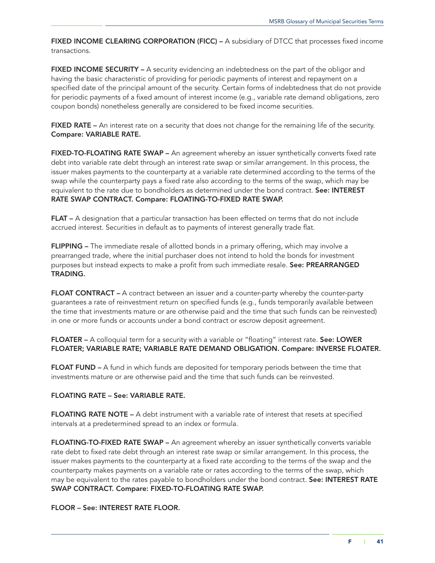FIXED INCOME CLEARING CORPORATION (FICC) – A subsidiary of DTCC that processes fixed income transactions.

FIXED INCOME SECURITY – A security evidencing an indebtedness on the part of the obligor and having the basic characteristic of providing for periodic payments of interest and repayment on a specified date of the principal amount of the security. Certain forms of indebtedness that do not provide for periodic payments of a fixed amount of interest income (e.g., variable rate demand obligations, zero coupon bonds) nonetheless generally are considered to be fixed income securities.

FIXED RATE – An interest rate on a security that does not change for the remaining life of the security. Compare: VARIABLE RATE.

FIXED-TO-FLOATING RATE SWAP - An agreement whereby an issuer synthetically converts fixed rate debt into variable rate debt through an interest rate swap or similar arrangement. In this process, the issuer makes payments to the counterparty at a variable rate determined according to the terms of the swap while the counterparty pays a fixed rate also according to the terms of the swap, which may be equivalent to the rate due to bondholders as determined under the bond contract. See: INTEREST RATE SWAP CONTRACT. Compare: FLOATING-TO-FIXED RATE SWAP.

FLAT – A designation that a particular transaction has been effected on terms that do not include accrued interest. Securities in default as to payments of interest generally trade flat.

FLIPPING – The immediate resale of allotted bonds in a primary offering, which may involve a prearranged trade, where the initial purchaser does not intend to hold the bonds for investment purposes but instead expects to make a profit from such immediate resale. See: PREARRANGED TRADING.

FLOAT CONTRACT – A contract between an issuer and a counter-party whereby the counter-party guarantees a rate of reinvestment return on specified funds (e.g., funds temporarily available between the time that investments mature or are otherwise paid and the time that such funds can be reinvested) in one or more funds or accounts under a bond contract or escrow deposit agreement.

FLOATER - A colloquial term for a security with a variable or "floating" interest rate. See: LOWER FLOATER; VARIABLE RATE; VARIABLE RATE DEMAND OBLIGATION. Compare: INVERSE FLOATER.

FLOAT FUND – A fund in which funds are deposited for temporary periods between the time that investments mature or are otherwise paid and the time that such funds can be reinvested.

# FLOATING RATE – See: VARIABLE RATE.

FLOATING RATE NOTE – A debt instrument with a variable rate of interest that resets at specified intervals at a predetermined spread to an index or formula.

FLOATING-TO-FIXED RATE SWAP – An agreement whereby an issuer synthetically converts variable rate debt to fixed rate debt through an interest rate swap or similar arrangement. In this process, the issuer makes payments to the counterparty at a fixed rate according to the terms of the swap and the counterparty makes payments on a variable rate or rates according to the terms of the swap, which may be equivalent to the rates payable to bondholders under the bond contract. See: INTEREST RATE SWAP CONTRACT. Compare: FIXED-TO-FLOATING RATE SWAP.

FLOOR – See: INTEREST RATE FLOOR.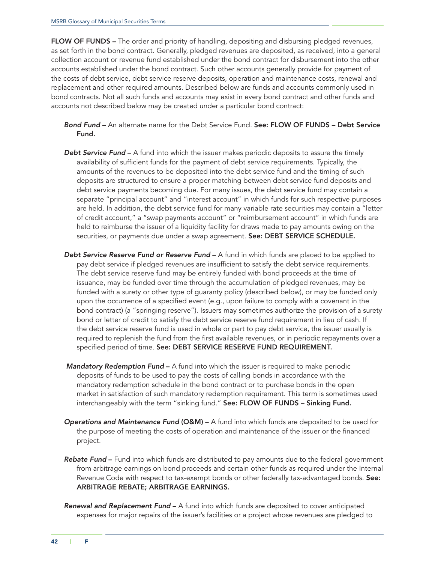FLOW OF FUNDS – The order and priority of handling, depositing and disbursing pledged revenues, as set forth in the bond contract. Generally, pledged revenues are deposited, as received, into a general collection account or revenue fund established under the bond contract for disbursement into the other accounts established under the bond contract. Such other accounts generally provide for payment of the costs of debt service, debt service reserve deposits, operation and maintenance costs, renewal and replacement and other required amounts. Described below are funds and accounts commonly used in bond contracts. Not all such funds and accounts may exist in every bond contract and other funds and accounts not described below may be created under a particular bond contract:

- *Bond Fund* An alternate name for the Debt Service Fund. See: FLOW OF FUNDS Debt Service Fund.
- **Debt Service Fund** A fund into which the issuer makes periodic deposits to assure the timely availability of sufficient funds for the payment of debt service requirements. Typically, the amounts of the revenues to be deposited into the debt service fund and the timing of such deposits are structured to ensure a proper matching between debt service fund deposits and debt service payments becoming due. For many issues, the debt service fund may contain a separate "principal account" and "interest account" in which funds for such respective purposes are held. In addition, the debt service fund for many variable rate securities may contain a "letter of credit account," a "swap payments account" or "reimbursement account" in which funds are held to reimburse the issuer of a liquidity facility for draws made to pay amounts owing on the securities, or payments due under a swap agreement. See: DEBT SERVICE SCHEDULE.
- **Debt Service Reserve Fund or Reserve Fund** A fund in which funds are placed to be applied to pay debt service if pledged revenues are insufficient to satisfy the debt service requirements. The debt service reserve fund may be entirely funded with bond proceeds at the time of issuance, may be funded over time through the accumulation of pledged revenues, may be funded with a surety or other type of guaranty policy (described below), or may be funded only upon the occurrence of a specified event (e.g., upon failure to comply with a covenant in the bond contract) (a "springing reserve"). Issuers may sometimes authorize the provision of a surety bond or letter of credit to satisfy the debt service reserve fund requirement in lieu of cash. If the debt service reserve fund is used in whole or part to pay debt service, the issuer usually is required to replenish the fund from the first available revenues, or in periodic repayments over a specified period of time. See: DEBT SERVICE RESERVE FUND REQUIREMENT.
- *Mandatory Redemption Fund* A fund into which the issuer is required to make periodic deposits of funds to be used to pay the costs of calling bonds in accordance with the mandatory redemption schedule in the bond contract or to purchase bonds in the open market in satisfaction of such mandatory redemption requirement. This term is sometimes used interchangeably with the term "sinking fund." See: FLOW OF FUNDS - Sinking Fund.
- *Operations and Maintenance Fund* (O&M) A fund into which funds are deposited to be used for the purpose of meeting the costs of operation and maintenance of the issuer or the financed project.
- *Rebate Fund* Fund into which funds are distributed to pay amounts due to the federal government from arbitrage earnings on bond proceeds and certain other funds as required under the Internal Revenue Code with respect to tax-exempt bonds or other federally tax-advantaged bonds. See: ARBITRAGE REBATE; ARBITRAGE EARNINGS.
- *Renewal and Replacement Fund* A fund into which funds are deposited to cover anticipated expenses for major repairs of the issuer's facilities or a project whose revenues are pledged to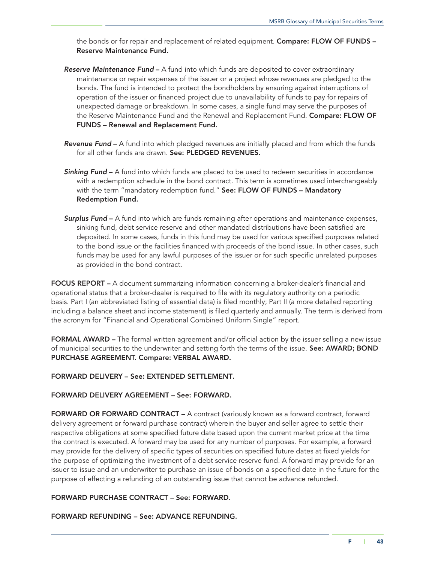the bonds or for repair and replacement of related equipment. Compare: FLOW OF FUNDS -Reserve Maintenance Fund.

- *Reserve Maintenance Fund* A fund into which funds are deposited to cover extraordinary maintenance or repair expenses of the issuer or a project whose revenues are pledged to the bonds. The fund is intended to protect the bondholders by ensuring against interruptions of operation of the issuer or financed project due to unavailability of funds to pay for repairs of unexpected damage or breakdown. In some cases, a single fund may serve the purposes of the Reserve Maintenance Fund and the Renewal and Replacement Fund. Compare: FLOW OF FUNDS – Renewal and Replacement Fund.
- *Revenue Fund* A fund into which pledged revenues are initially placed and from which the funds for all other funds are drawn. See: PLEDGED REVENUES.
- **Sinking Fund** A fund into which funds are placed to be used to redeem securities in accordance with a redemption schedule in the bond contract. This term is sometimes used interchangeably with the term "mandatory redemption fund." See: FLOW OF FUNDS - Mandatory Redemption Fund.
- *Surplus Fund* A fund into which are funds remaining after operations and maintenance expenses, sinking fund, debt service reserve and other mandated distributions have been satisfied are deposited. In some cases, funds in this fund may be used for various specified purposes related to the bond issue or the facilities financed with proceeds of the bond issue. In other cases, such funds may be used for any lawful purposes of the issuer or for such specific unrelated purposes as provided in the bond contract.

FOCUS REPORT – A document summarizing information concerning a broker-dealer's financial and operational status that a broker-dealer is required to file with its regulatory authority on a periodic basis. Part I (an abbreviated listing of essential data) is filed monthly; Part II (a more detailed reporting including a balance sheet and income statement) is filed quarterly and annually. The term is derived from the acronym for "Financial and Operational Combined Uniform Single" report.

FORMAL AWARD – The formal written agreement and/or official action by the issuer selling a new issue of municipal securities to the underwriter and setting forth the terms of the issue. See: AWARD; BOND PURCHASE AGREEMENT. Compare: VERBAL AWARD.

FORWARD DELIVERY – See: EXTENDED SETTLEMENT.

#### FORWARD DELIVERY AGREEMENT – See: FORWARD.

FORWARD OR FORWARD CONTRACT – A contract (variously known as a forward contract, forward delivery agreement or forward purchase contract) wherein the buyer and seller agree to settle their respective obligations at some specified future date based upon the current market price at the time the contract is executed. A forward may be used for any number of purposes. For example, a forward may provide for the delivery of specific types of securities on specified future dates at fixed yields for the purpose of optimizing the investment of a debt service reserve fund. A forward may provide for an issuer to issue and an underwriter to purchase an issue of bonds on a specified date in the future for the purpose of effecting a refunding of an outstanding issue that cannot be advance refunded.

#### FORWARD PURCHASE CONTRACT – See: FORWARD.

FORWARD REFUNDING – See: ADVANCE REFUNDING.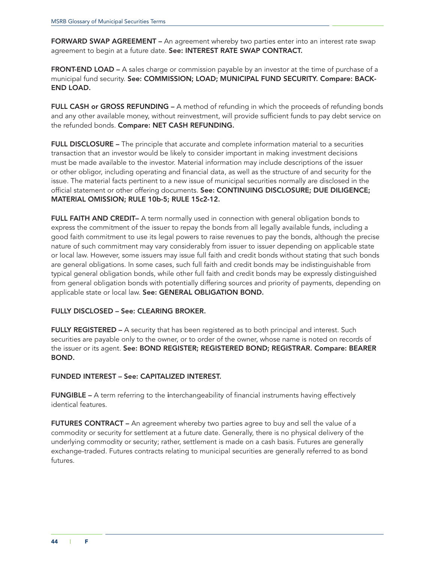FORWARD SWAP AGREEMENT - An agreement whereby two parties enter into an interest rate swap agreement to begin at a future date. See: INTEREST RATE SWAP CONTRACT.

FRONT-END LOAD – A sales charge or commission payable by an investor at the time of purchase of a municipal fund security. See: COMMISSION; LOAD; MUNICIPAL FUND SECURITY. Compare: BACK-END LOAD.

FULL CASH or GROSS REFUNDING – A method of refunding in which the proceeds of refunding bonds and any other available money, without reinvestment, will provide sufficient funds to pay debt service on the refunded bonds. Compare: NET CASH REFUNDING.

FULL DISCLOSURE – The principle that accurate and complete information material to a securities transaction that an investor would be likely to consider important in making investment decisions must be made available to the investor. Material information may include descriptions of the issuer or other obligor, including operating and financial data, as well as the structure of and security for the issue. The material facts pertinent to a new issue of municipal securities normally are disclosed in the official statement or other offering documents. See: CONTINUING DISCLOSURE; DUE DILIGENCE; MATERIAL OMISSION; RULE 10b-5; RULE 15c2-12.

FULL FAITH AND CREDIT- A term normally used in connection with general obligation bonds to express the commitment of the issuer to repay the bonds from all legally available funds, including a good faith commitment to use its legal powers to raise revenues to pay the bonds, although the precise nature of such commitment may vary considerably from issuer to issuer depending on applicable state or local law. However, some issuers may issue full faith and credit bonds without stating that such bonds are general obligations. In some cases, such full faith and credit bonds may be indistinguishable from typical general obligation bonds, while other full faith and credit bonds may be expressly distinguished from general obligation bonds with potentially differing sources and priority of payments, depending on applicable state or local law. See: GENERAL OBLIGATION BOND.

#### FULLY DISCLOSED – See: CLEARING BROKER.

FULLY REGISTERED - A security that has been registered as to both principal and interest. Such securities are payable only to the owner, or to order of the owner, whose name is noted on records of the issuer or its agent. See: BOND REGISTER; REGISTERED BOND; REGISTRAR. Compare: BEARER BOND.

#### FUNDED INTEREST – See: CAPITALIZED INTEREST.

FUNGIBLE – A term referring to the interchangeability of financial instruments having effectively identical features.

FUTURES CONTRACT – An agreement whereby two parties agree to buy and sell the value of a commodity or security for settlement at a future date. Generally, there is no physical delivery of the underlying commodity or security; rather, settlement is made on a cash basis. Futures are generally exchange-traded. Futures contracts relating to municipal securities are generally referred to as bond futures.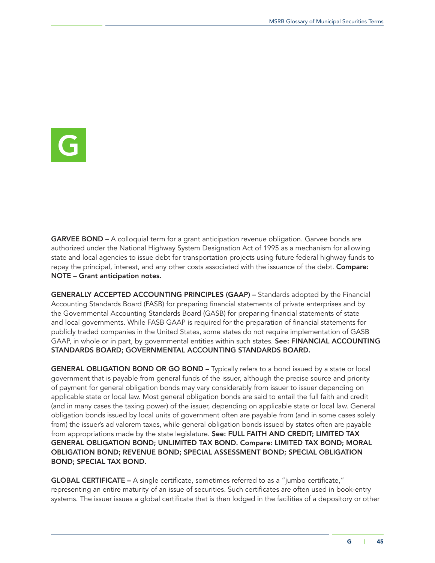

GARVEE BOND – A colloquial term for a grant anticipation revenue obligation. Garvee bonds are authorized under the National Highway System Designation Act of 1995 as a mechanism for allowing state and local agencies to issue debt for transportation projects using future federal highway funds to repay the principal, interest, and any other costs associated with the issuance of the debt. Compare: NOTE – Grant anticipation notes.

GENERALLY ACCEPTED ACCOUNTING PRINCIPLES (GAAP) – Standards adopted by the Financial Accounting Standards Board (FASB) for preparing financial statements of private enterprises and by the Governmental Accounting Standards Board (GASB) for preparing financial statements of state and local governments. While FASB GAAP is required for the preparation of financial statements for publicly traded companies in the United States, some states do not require implementation of GASB GAAP, in whole or in part, by governmental entities within such states. See: FINANCIAL ACCOUNTING STANDARDS BOARD; GOVERNMENTAL ACCOUNTING STANDARDS BOARD.

GENERAL OBLIGATION BOND OR GO BOND – Typically refers to a bond issued by a state or local government that is payable from general funds of the issuer, although the precise source and priority of payment for general obligation bonds may vary considerably from issuer to issuer depending on applicable state or local law. Most general obligation bonds are said to entail the full faith and credit (and in many cases the taxing power) of the issuer, depending on applicable state or local law. General obligation bonds issued by local units of government often are payable from (and in some cases solely from) the issuer's ad valorem taxes, while general obligation bonds issued by states often are payable from appropriations made by the state legislature. See: FULL FAITH AND CREDIT; LIMITED TAX GENERAL OBLIGATION BOND; UNLIMITED TAX BOND. Compare: LIMITED TAX BOND; MORAL OBLIGATION BOND; REVENUE BOND; SPECIAL ASSESSMENT BOND; SPECIAL OBLIGATION BOND; SPECIAL TAX BOND.

GLOBAL CERTIFICATE – A single certificate, sometimes referred to as a "jumbo certificate," representing an entire maturity of an issue of securities. Such certificates are often used in book-entry systems. The issuer issues a global certificate that is then lodged in the facilities of a depository or other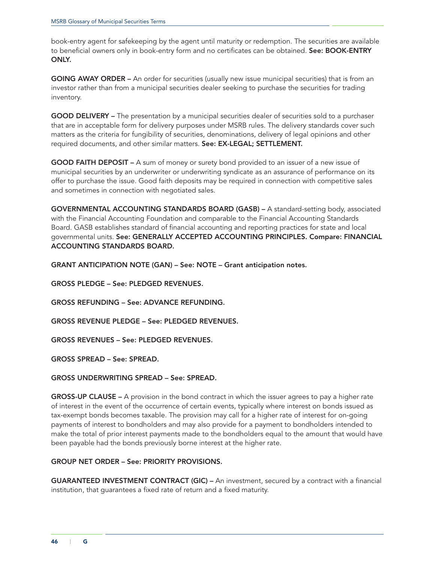book-entry agent for safekeeping by the agent until maturity or redemption. The securities are available to beneficial owners only in book-entry form and no certificates can be obtained. See: BOOK-ENTRY ONLY.

GOING AWAY ORDER – An order for securities (usually new issue municipal securities) that is from an investor rather than from a municipal securities dealer seeking to purchase the securities for trading inventory.

GOOD DELIVERY – The presentation by a municipal securities dealer of securities sold to a purchaser that are in acceptable form for delivery purposes under MSRB rules. The delivery standards cover such matters as the criteria for fungibility of securities, denominations, delivery of legal opinions and other required documents, and other similar matters. See: EX-LEGAL; SETTLEMENT.

GOOD FAITH DEPOSIT – A sum of money or surety bond provided to an issuer of a new issue of municipal securities by an underwriter or underwriting syndicate as an assurance of performance on its offer to purchase the issue. Good faith deposits may be required in connection with competitive sales and sometimes in connection with negotiated sales.

GOVERNMENTAL ACCOUNTING STANDARDS BOARD (GASB) – A standard-setting body, associated with the Financial Accounting Foundation and comparable to the Financial Accounting Standards Board. GASB establishes standard of financial accounting and reporting practices for state and local governmental units. See: GENERALLY ACCEPTED ACCOUNTING PRINCIPLES. Compare: FINANCIAL ACCOUNTING STANDARDS BOARD.

GRANT ANTICIPATION NOTE (GAN) – See: NOTE – Grant anticipation notes.

GROSS PLEDGE – See: PLEDGED REVENUES.

GROSS REFUNDING – See: ADVANCE REFUNDING.

GROSS REVENUE PLEDGE – See: PLEDGED REVENUES.

GROSS REVENUES – See: PLEDGED REVENUES.

GROSS SPREAD – See: SPREAD.

#### GROSS UNDERWRITING SPREAD – See: SPREAD.

GROSS-UP CLAUSE – A provision in the bond contract in which the issuer agrees to pay a higher rate of interest in the event of the occurrence of certain events, typically where interest on bonds issued as tax-exempt bonds becomes taxable. The provision may call for a higher rate of interest for on-going payments of interest to bondholders and may also provide for a payment to bondholders intended to make the total of prior interest payments made to the bondholders equal to the amount that would have been payable had the bonds previously borne interest at the higher rate.

### GROUP NET ORDER – See: PRIORITY PROVISIONS.

GUARANTEED INVESTMENT CONTRACT (GIC) – An investment, secured by a contract with a financial institution, that guarantees a fixed rate of return and a fixed maturity.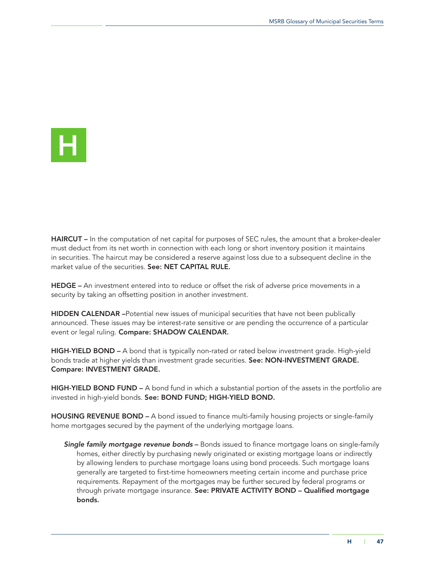

HAIRCUT – In the computation of net capital for purposes of SEC rules, the amount that a broker-dealer must deduct from its net worth in connection with each long or short inventory position it maintains in securities. The haircut may be considered a reserve against loss due to a subsequent decline in the market value of the securities. See: NET CAPITAL RULE.

HEDGE – An investment entered into to reduce or offset the risk of adverse price movements in a security by taking an offsetting position in another investment.

HIDDEN CALENDAR –Potential new issues of municipal securities that have not been publically announced. These issues may be interest-rate sensitive or are pending the occurrence of a particular event or legal ruling. Compare: SHADOW CALENDAR.

HIGH-YIELD BOND – A bond that is typically non-rated or rated below investment grade. High-yield bonds trade at higher yields than investment grade securities. See: NON-INVESTMENT GRADE. Compare: INVESTMENT GRADE.

HIGH-YIELD BOND FUND – A bond fund in which a substantial portion of the assets in the portfolio are invested in high-yield bonds. See: BOND FUND; HIGH-YIELD BOND.

HOUSING REVENUE BOND – A bond issued to finance multi-family housing projects or single-family home mortgages secured by the payment of the underlying mortgage loans.

*Single family mortgage revenue bonds* – Bonds issued to finance mortgage loans on single-family homes, either directly by purchasing newly originated or existing mortgage loans or indirectly by allowing lenders to purchase mortgage loans using bond proceeds. Such mortgage loans generally are targeted to first-time homeowners meeting certain income and purchase price requirements. Repayment of the mortgages may be further secured by federal programs or through private mortgage insurance. See: PRIVATE ACTIVITY BOND - Qualified mortgage bonds.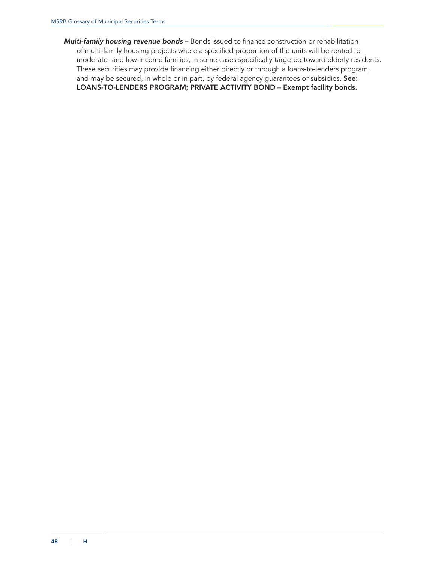*Multi-family housing revenue bonds* – Bonds issued to finance construction or rehabilitation of multi-family housing projects where a specified proportion of the units will be rented to moderate- and low-income families, in some cases specifically targeted toward elderly residents. These securities may provide financing either directly or through a loans-to-lenders program, and may be secured, in whole or in part, by federal agency guarantees or subsidies. See: LOANS-TO-LENDERS PROGRAM; PRIVATE ACTIVITY BOND – Exempt facility bonds.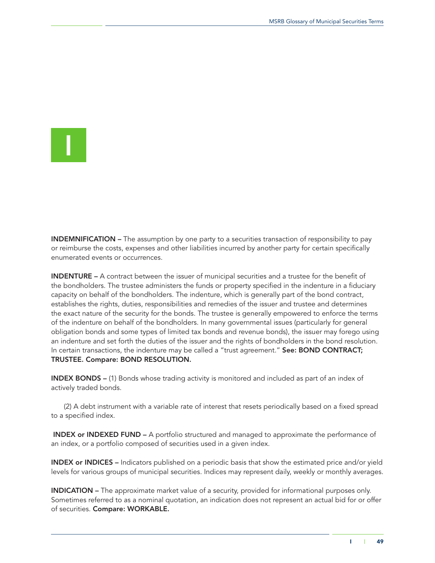I

INDEMNIFICATION – The assumption by one party to a securities transaction of responsibility to pay or reimburse the costs, expenses and other liabilities incurred by another party for certain specifically enumerated events or occurrences.

INDENTURE – A contract between the issuer of municipal securities and a trustee for the benefit of the bondholders. The trustee administers the funds or property specified in the indenture in a fiduciary capacity on behalf of the bondholders. The indenture, which is generally part of the bond contract, establishes the rights, duties, responsibilities and remedies of the issuer and trustee and determines the exact nature of the security for the bonds. The trustee is generally empowered to enforce the terms of the indenture on behalf of the bondholders. In many governmental issues (particularly for general obligation bonds and some types of limited tax bonds and revenue bonds), the issuer may forego using an indenture and set forth the duties of the issuer and the rights of bondholders in the bond resolution. In certain transactions, the indenture may be called a "trust agreement." See: BOND CONTRACT; TRUSTEE. Compare: BOND RESOLUTION.

INDEX BONDS – (1) Bonds whose trading activity is monitored and included as part of an index of actively traded bonds.

(2) A debt instrument with a variable rate of interest that resets periodically based on a fixed spread to a specified index.

INDEX or INDEXED FUND – A portfolio structured and managed to approximate the performance of an index, or a portfolio composed of securities used in a given index.

INDEX or INDICES – Indicators published on a periodic basis that show the estimated price and/or yield levels for various groups of municipal securities. Indices may represent daily, weekly or monthly averages.

INDICATION – The approximate market value of a security, provided for informational purposes only. Sometimes referred to as a nominal quotation, an indication does not represent an actual bid for or offer of securities. Compare: WORKABLE.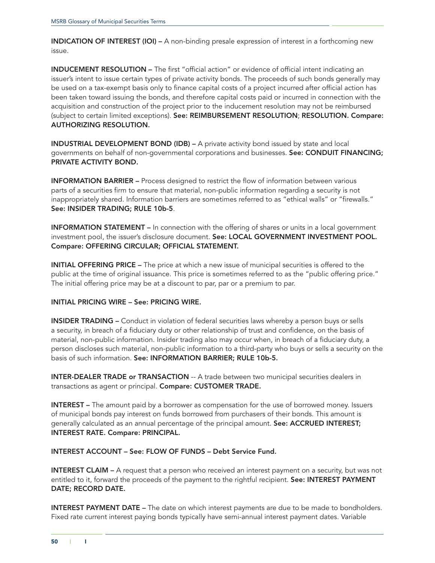INDICATION OF INTEREST (IOI) – A non-binding presale expression of interest in a forthcoming new issue.

INDUCEMENT RESOLUTION – The first "official action" or evidence of official intent indicating an issuer's intent to issue certain types of private activity bonds. The proceeds of such bonds generally may be used on a tax-exempt basis only to finance capital costs of a project incurred after official action has been taken toward issuing the bonds, and therefore capital costs paid or incurred in connection with the acquisition and construction of the project prior to the inducement resolution may not be reimbursed (subject to certain limited exceptions). See: REIMBURSEMENT RESOLUTION; RESOLUTION. Compare: AUTHORIZING RESOLUTION.

INDUSTRIAL DEVELOPMENT BOND (IDB) – A private activity bond issued by state and local governments on behalf of non-governmental corporations and businesses. See: CONDUIT FINANCING; PRIVATE ACTIVITY BOND.

INFORMATION BARRIER – Process designed to restrict the flow of information between various parts of a securities firm to ensure that material, non-public information regarding a security is not inappropriately shared. Information barriers are sometimes referred to as "ethical walls" or "firewalls." See: INSIDER TRADING; RULE 10b-5.

**INFORMATION STATEMENT** – In connection with the offering of shares or units in a local government investment pool, the issuer's disclosure document. See: LOCAL GOVERNMENT INVESTMENT POOL. Compare: OFFERING CIRCULAR; OFFICIAL STATEMENT.

INITIAL OFFERING PRICE – The price at which a new issue of municipal securities is offered to the public at the time of original issuance. This price is sometimes referred to as the "public offering price." The initial offering price may be at a discount to par, par or a premium to par.

### INITIAL PRICING WIRE – See: PRICING WIRE.

INSIDER TRADING – Conduct in violation of federal securities laws whereby a person buys or sells a security, in breach of a fiduciary duty or other relationship of trust and confidence, on the basis of material, non-public information. Insider trading also may occur when, in breach of a fiduciary duty, a person discloses such material, non-public information to a third-party who buys or sells a security on the basis of such information. See: INFORMATION BARRIER; RULE 10b-5.

**INTER-DEALER TRADE or TRANSACTION** -- A trade between two municipal securities dealers in transactions as agent or principal. Compare: CUSTOMER TRADE.

INTEREST – The amount paid by a borrower as compensation for the use of borrowed money. Issuers of municipal bonds pay interest on funds borrowed from purchasers of their bonds. This amount is generally calculated as an annual percentage of the principal amount. See: ACCRUED INTEREST; INTEREST RATE. Compare: PRINCIPAL.

# INTEREST ACCOUNT – See: FLOW OF FUNDS – Debt Service Fund.

INTEREST CLAIM – A request that a person who received an interest payment on a security, but was not entitled to it, forward the proceeds of the payment to the rightful recipient. See: INTEREST PAYMENT DATE; RECORD DATE.

**INTEREST PAYMENT DATE** – The date on which interest payments are due to be made to bondholders. Fixed rate current interest paying bonds typically have semi-annual interest payment dates. Variable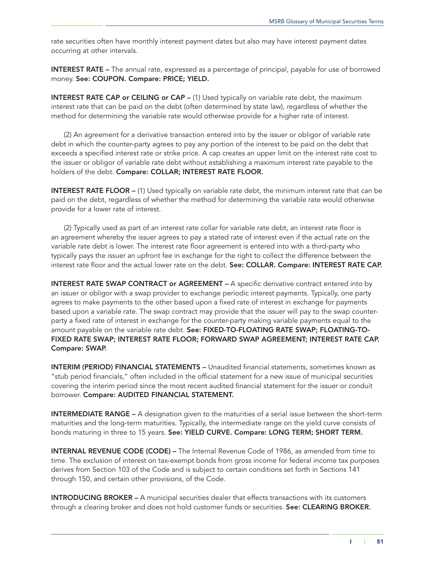rate securities often have monthly interest payment dates but also may have interest payment dates occurring at other intervals.

INTEREST RATE – The annual rate, expressed as a percentage of principal, payable for use of borrowed money. See: COUPON. Compare: PRICE; YIELD.

INTEREST RATE CAP or CEILING or CAP - (1) Used typically on variable rate debt, the maximum interest rate that can be paid on the debt (often determined by state law), regardless of whether the method for determining the variable rate would otherwise provide for a higher rate of interest.

(2) An agreement for a derivative transaction entered into by the issuer or obligor of variable rate debt in which the counter-party agrees to pay any portion of the interest to be paid on the debt that exceeds a specified interest rate or strike price. A cap creates an upper limit on the interest rate cost to the issuer or obligor of variable rate debt without establishing a maximum interest rate payable to the holders of the debt. Compare: COLLAR; INTEREST RATE FLOOR.

INTEREST RATE FLOOR - (1) Used typically on variable rate debt, the minimum interest rate that can be paid on the debt, regardless of whether the method for determining the variable rate would otherwise provide for a lower rate of interest.

(2) Typically used as part of an interest rate collar for variable rate debt, an interest rate floor is an agreement whereby the issuer agrees to pay a stated rate of interest even if the actual rate on the variable rate debt is lower. The interest rate floor agreement is entered into with a third-party who typically pays the issuer an upfront fee in exchange for the right to collect the difference between the interest rate floor and the actual lower rate on the debt. See: COLLAR. Compare: INTEREST RATE CAP.

INTEREST RATE SWAP CONTRACT or AGREEMENT – A specific derivative contract entered into by an issuer or obligor with a swap provider to exchange periodic interest payments. Typically, one party agrees to make payments to the other based upon a fixed rate of interest in exchange for payments based upon a variable rate. The swap contract may provide that the issuer will pay to the swap counterparty a fixed rate of interest in exchange for the counter-party making variable payments equal to the amount payable on the variable rate debt. See: FIXED-TO-FLOATING RATE SWAP; FLOATING-TO-FIXED RATE SWAP; INTEREST RATE FLOOR; FORWARD SWAP AGREEMENT; INTEREST RATE CAP. Compare: SWAP.

INTERIM (PERIOD) FINANCIAL STATEMENTS – Unaudited financial statements, sometimes known as "stub period financials," often included in the official statement for a new issue of municipal securities covering the interim period since the most recent audited financial statement for the issuer or conduit borrower. Compare: AUDITED FINANCIAL STATEMENT.

INTERMEDIATE RANGE – A designation given to the maturities of a serial issue between the short-term maturities and the long-term maturities. Typically, the intermediate range on the yield curve consists of bonds maturing in three to 15 years. See: YIELD CURVE. Compare: LONG TERM; SHORT TERM.

INTERNAL REVENUE CODE (CODE) – The Internal Revenue Code of 1986, as amended from time to time. The exclusion of interest on tax-exempt bonds from gross income for federal income tax purposes derives from Section 103 of the Code and is subject to certain conditions set forth in Sections 141 through 150, and certain other provisions, of the Code.

INTRODUCING BROKER – A municipal securities dealer that effects transactions with its customers through a clearing broker and does not hold customer funds or securities. See: CLEARING BROKER.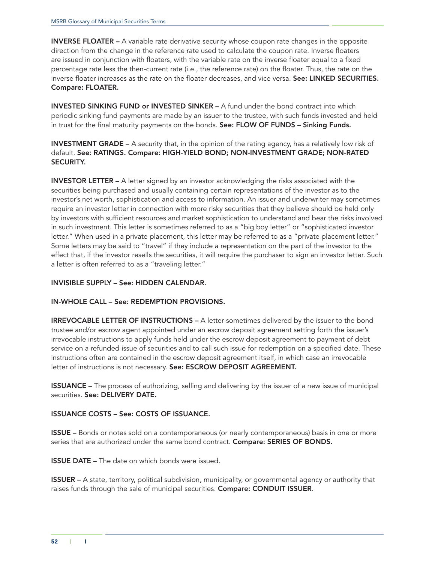INVERSE FLOATER - A variable rate derivative security whose coupon rate changes in the opposite direction from the change in the reference rate used to calculate the coupon rate. Inverse floaters are issued in conjunction with floaters, with the variable rate on the inverse floater equal to a fixed percentage rate less the then-current rate (i.e., the reference rate) on the floater. Thus, the rate on the inverse floater increases as the rate on the floater decreases, and vice versa. See: LINKED SECURITIES. Compare: FLOATER.

INVESTED SINKING FUND or INVESTED SINKER – A fund under the bond contract into which periodic sinking fund payments are made by an issuer to the trustee, with such funds invested and held in trust for the final maturity payments on the bonds. See: FLOW OF FUNDS - Sinking Funds.

INVESTMENT GRADE – A security that, in the opinion of the rating agency, has a relatively low risk of default. See: RATINGS. Compare: HIGH-YIELD BOND; NON-INVESTMENT GRADE; NON-RATED SECURITY.

**INVESTOR LETTER** – A letter signed by an investor acknowledging the risks associated with the securities being purchased and usually containing certain representations of the investor as to the investor's net worth, sophistication and access to information. An issuer and underwriter may sometimes require an investor letter in connection with more risky securities that they believe should be held only by investors with sufficient resources and market sophistication to understand and bear the risks involved in such investment. This letter is sometimes referred to as a "big boy letter" or "sophisticated investor letter." When used in a private placement, this letter may be referred to as a "private placement letter." Some letters may be said to "travel" if they include a representation on the part of the investor to the effect that, if the investor resells the securities, it will require the purchaser to sign an investor letter. Such a letter is often referred to as a "traveling letter."

# INVISIBLE SUPPLY – See: HIDDEN CALENDAR.

# IN-WHOLE CALL – See: REDEMPTION PROVISIONS.

IRREVOCABLE LETTER OF INSTRUCTIONS – A letter sometimes delivered by the issuer to the bond trustee and/or escrow agent appointed under an escrow deposit agreement setting forth the issuer's irrevocable instructions to apply funds held under the escrow deposit agreement to payment of debt service on a refunded issue of securities and to call such issue for redemption on a specified date. These instructions often are contained in the escrow deposit agreement itself, in which case an irrevocable letter of instructions is not necessary. See: ESCROW DEPOSIT AGREEMENT.

ISSUANCE – The process of authorizing, selling and delivering by the issuer of a new issue of municipal securities. See: DELIVERY DATE.

# ISSUANCE COSTS – See: COSTS OF ISSUANCE.

ISSUE – Bonds or notes sold on a contemporaneous (or nearly contemporaneous) basis in one or more series that are authorized under the same bond contract. Compare: SERIES OF BONDS.

ISSUE DATE – The date on which bonds were issued.

ISSUER – A state, territory, political subdivision, municipality, or governmental agency or authority that raises funds through the sale of municipal securities. Compare: CONDUIT ISSUER.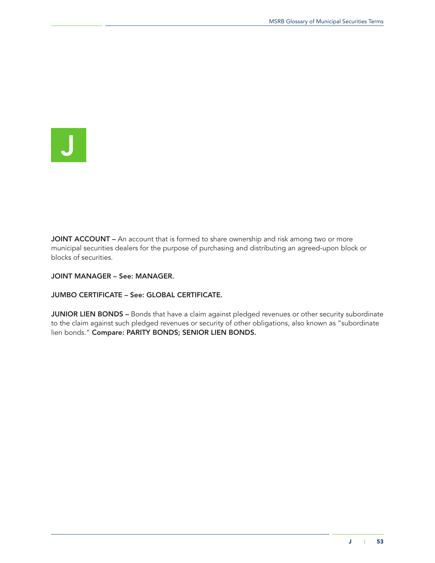

JOINT ACCOUNT – An account that is formed to share ownership and risk among two or more municipal securities dealers for the purpose of purchasing and distributing an agreed-upon block or blocks of securities.

JOINT MANAGER – See: MANAGER.

JUMBO CERTIFICATE – See: GLOBAL CERTIFICATE.

JUNIOR LIEN BONDS - Bonds that have a claim against pledged revenues or other security subordinate to the claim against such pledged revenues or security of other obligations, also known as "subordinate lien bonds." Compare: PARITY BONDS; SENIOR LIEN BONDS.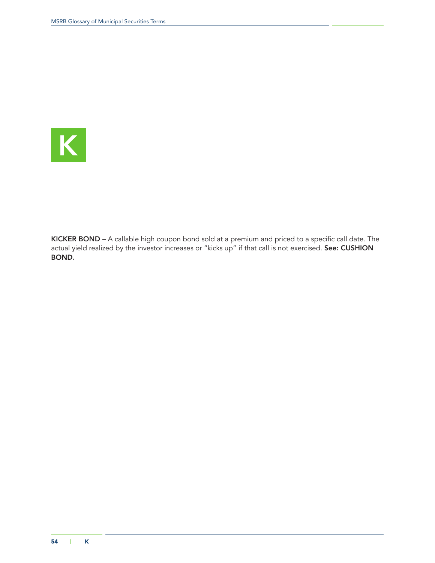

KICKER BOND – A callable high coupon bond sold at a premium and priced to a specific call date. The actual yield realized by the investor increases or "kicks up" if that call is not exercised. **See: CUSHION** BOND.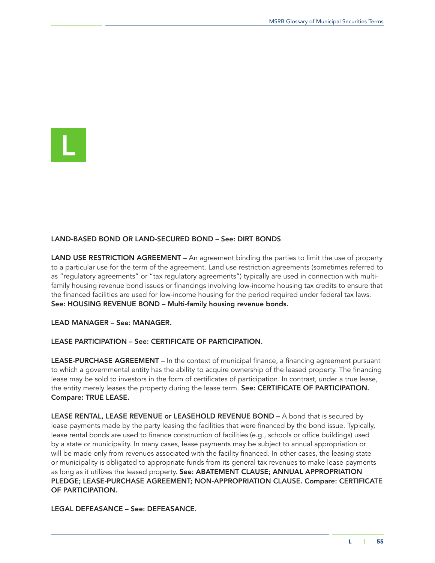

### LAND-BASED BOND OR LAND-SECURED BOND – See: DIRT BONDS.

LAND USE RESTRICTION AGREEMENT – An agreement binding the parties to limit the use of property to a particular use for the term of the agreement. Land use restriction agreements (sometimes referred to as "regulatory agreements" or "tax regulatory agreements") typically are used in connection with multifamily housing revenue bond issues or financings involving low-income housing tax credits to ensure that the financed facilities are used for low-income housing for the period required under federal tax laws. See: HOUSING REVENUE BOND – Multi-family housing revenue bonds.

LEAD MANAGER – See: MANAGER.

#### LEASE PARTICIPATION – See: CERTIFICATE OF PARTICIPATION.

LEASE-PURCHASE AGREEMENT – In the context of municipal finance, a financing agreement pursuant to which a governmental entity has the ability to acquire ownership of the leased property. The financing lease may be sold to investors in the form of certificates of participation. In contrast, under a true lease, the entity merely leases the property during the lease term. See: CERTIFICATE OF PARTICIPATION. Compare: TRUE LEASE.

LEASE RENTAL, LEASE REVENUE or LEASEHOLD REVENUE BOND - A bond that is secured by lease payments made by the party leasing the facilities that were financed by the bond issue. Typically, lease rental bonds are used to finance construction of facilities (e.g., schools or office buildings) used by a state or municipality. In many cases, lease payments may be subject to annual appropriation or will be made only from revenues associated with the facility financed. In other cases, the leasing state or municipality is obligated to appropriate funds from its general tax revenues to make lease payments as long as it utilizes the leased property. See: ABATEMENT CLAUSE; ANNUAL APPROPRIATION PLEDGE; LEASE-PURCHASE AGREEMENT; NON-APPROPRIATION CLAUSE. Compare: CERTIFICATE OF PARTICIPATION.

LEGAL DEFEASANCE – See: DEFEASANCE.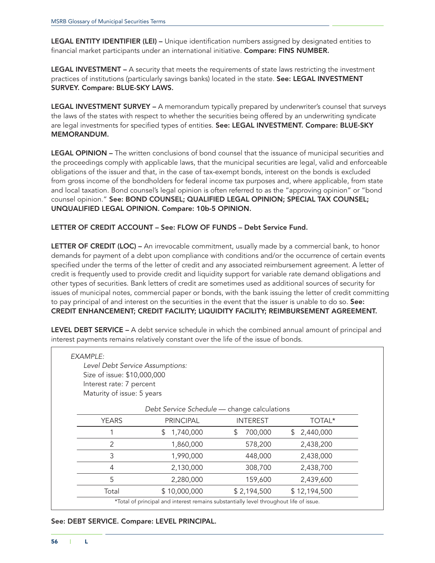LEGAL ENTITY IDENTIFIER (LEI) - Unique identification numbers assigned by designated entities to financial market participants under an international initiative. Compare: FINS NUMBER.

LEGAL INVESTMENT – A security that meets the requirements of state laws restricting the investment practices of institutions (particularly savings banks) located in the state. See: LEGAL INVESTMENT SURVEY. Compare: BLUE-SKY LAWS.

LEGAL INVESTMENT SURVEY - A memorandum typically prepared by underwriter's counsel that surveys the laws of the states with respect to whether the securities being offered by an underwriting syndicate are legal investments for specified types of entities. See: LEGAL INVESTMENT. Compare: BLUE-SKY MEMORANDUM.

LEGAL OPINION – The written conclusions of bond counsel that the issuance of municipal securities and the proceedings comply with applicable laws, that the municipal securities are legal, valid and enforceable obligations of the issuer and that, in the case of tax-exempt bonds, interest on the bonds is excluded from gross income of the bondholders for federal income tax purposes and, where applicable, from state and local taxation. Bond counsel's legal opinion is often referred to as the "approving opinion" or "bond counsel opinion." See: BOND COUNSEL; QUALIFIED LEGAL OPINION; SPECIAL TAX COUNSEL; UNQUALIFIED LEGAL OPINION. Compare: 10b-5 OPINION.

### LETTER OF CREDIT ACCOUNT – See: FLOW OF FUNDS – Debt Service Fund.

LETTER OF CREDIT (LOC) – An irrevocable commitment, usually made by a commercial bank, to honor demands for payment of a debt upon compliance with conditions and/or the occurrence of certain events specified under the terms of the letter of credit and any associated reimbursement agreement. A letter of credit is frequently used to provide credit and liquidity support for variable rate demand obligations and other types of securities. Bank letters of credit are sometimes used as additional sources of security for issues of municipal notes, commercial paper or bonds, with the bank issuing the letter of credit committing to pay principal of and interest on the securities in the event that the issuer is unable to do so. See: CREDIT ENHANCEMENT; CREDIT FACILITY; LIQUIDITY FACILITY; REIMBURSEMENT AGREEMENT.

LEVEL DEBT SERVICE - A debt service schedule in which the combined annual amount of principal and interest payments remains relatively constant over the life of the issue of bonds.

| Level Debt Service Assumptions: |                                             |                 |                 |
|---------------------------------|---------------------------------------------|-----------------|-----------------|
| Size of issue: \$10,000,000     |                                             |                 |                 |
| Interest rate: 7 percent        |                                             |                 |                 |
| Maturity of issue: 5 years      |                                             |                 |                 |
|                                 | Debt Service Schedule - change calculations |                 |                 |
| <b>YEARS</b>                    | <b>PRINCIPAL</b>                            | <b>INTEREST</b> | TOTAL*          |
|                                 | 1,740,000<br>\$.                            | \$.<br>700,000  | 2,440,000<br>S. |
| 2                               | 1,860,000                                   | 578,200         | 2,438,200       |
| 3                               | 1,990,000                                   | 448,000         | 2,438,000       |
| 4                               | 2,130,000                                   | 308,700         | 2,438,700       |
| 5                               | 2,280,000                                   | 159,600         | 2,439,600       |
|                                 |                                             | \$2,194,500     |                 |

#### See: DEBT SERVICE. Compare: LEVEL PRINCIPAL.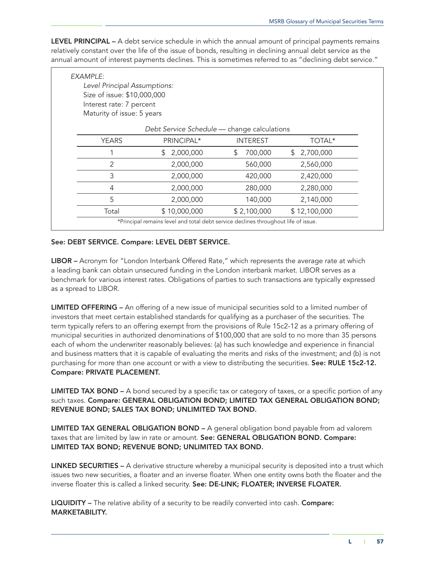LEVEL PRINCIPAL – A debt service schedule in which the annual amount of principal payments remains relatively constant over the life of the issue of bonds, resulting in declining annual debt service as the annual amount of interest payments declines. This is sometimes referred to as "declining debt service."

| Level Principal Assumptions:<br>Size of issue: \$10,000,000 |                                             |                 |                 |
|-------------------------------------------------------------|---------------------------------------------|-----------------|-----------------|
| Interest rate: 7 percent                                    |                                             |                 |                 |
| Maturity of issue: 5 years                                  |                                             |                 |                 |
|                                                             | Debt Service Schedule - change calculations |                 |                 |
| <b>YEARS</b>                                                | PRINCIPAL*                                  | <b>INTEREST</b> | TOTAL*          |
|                                                             | 2,000,000<br>\$                             | \$<br>700,000   | 2,700,000<br>\$ |
| $\overline{2}$                                              | 2,000,000                                   | 560,000         | 2,560,000       |
| 3                                                           | 2,000,000                                   | 420,000         | 2,420,000       |
| 4                                                           | 2,000,000                                   | 280,000         | 2,280,000       |
| 5                                                           | 2,000,000                                   | 140,000         | 2,140,000       |
| Total                                                       | \$10,000,000                                | \$2,100,000     | \$12,100,000    |

# See: DEBT SERVICE. Compare: LEVEL DEBT SERVICE.

LIBOR – Acronym for "London Interbank Offered Rate," which represents the average rate at which a leading bank can obtain unsecured funding in the London interbank market. LIBOR serves as a benchmark for various interest rates. Obligations of parties to such transactions are typically expressed as a spread to LIBOR.

LIMITED OFFERING – An offering of a new issue of municipal securities sold to a limited number of investors that meet certain established standards for qualifying as a purchaser of the securities. The term typically refers to an offering exempt from the provisions of Rule 15c2-12 as a primary offering of municipal securities in authorized denominations of \$100,000 that are sold to no more than 35 persons each of whom the underwriter reasonably believes: (a) has such knowledge and experience in financial and business matters that it is capable of evaluating the merits and risks of the investment; and (b) is not purchasing for more than one account or with a view to distributing the securities. See: RULE 15c2-12. Compare: PRIVATE PLACEMENT.

LIMITED TAX BOND – A bond secured by a specific tax or category of taxes, or a specific portion of any such taxes. Compare: GENERAL OBLIGATION BOND; LIMITED TAX GENERAL OBLIGATION BOND; REVENUE BOND; SALES TAX BOND; UNLIMITED TAX BOND.

LIMITED TAX GENERAL OBLIGATION BOND – A general obligation bond payable from ad valorem taxes that are limited by law in rate or amount. See: GENERAL OBLIGATION BOND. Compare: LIMITED TAX BOND; REVENUE BOND; UNLIMITED TAX BOND.

LINKED SECURITIES – A derivative structure whereby a municipal security is deposited into a trust which issues two new securities, a floater and an inverse floater. When one entity owns both the floater and the inverse floater this is called a linked security. See: DE-LINK; FLOATER; INVERSE FLOATER.

LIQUIDITY – The relative ability of a security to be readily converted into cash. Compare: MARKETABILITY.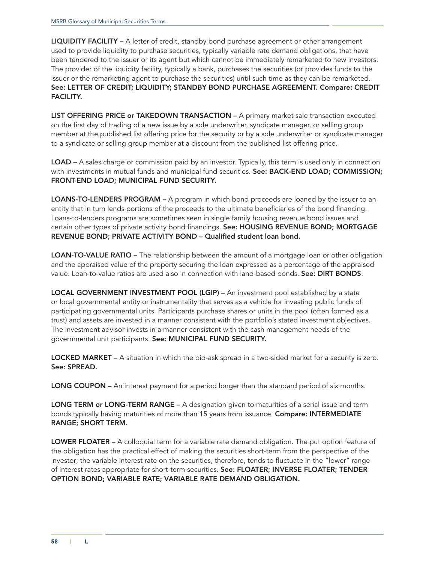LIQUIDITY FACILITY - A letter of credit, standby bond purchase agreement or other arrangement used to provide liquidity to purchase securities, typically variable rate demand obligations, that have been tendered to the issuer or its agent but which cannot be immediately remarketed to new investors. The provider of the liquidity facility, typically a bank, purchases the securities (or provides funds to the issuer or the remarketing agent to purchase the securities) until such time as they can be remarketed. See: LETTER OF CREDIT; LIQUIDITY; STANDBY BOND PURCHASE AGREEMENT. Compare: CREDIT FACILITY.

LIST OFFERING PRICE or TAKEDOWN TRANSACTION - A primary market sale transaction executed on the first day of trading of a new issue by a sole underwriter, syndicate manager, or selling group member at the published list offering price for the security or by a sole underwriter or syndicate manager to a syndicate or selling group member at a discount from the published list offering price.

LOAD – A sales charge or commission paid by an investor. Typically, this term is used only in connection with investments in mutual funds and municipal fund securities. See: BACK-END LOAD; COMMISSION; FRONT-END LOAD; MUNICIPAL FUND SECURITY.

LOANS-TO-LENDERS PROGRAM – A program in which bond proceeds are loaned by the issuer to an entity that in turn lends portions of the proceeds to the ultimate beneficiaries of the bond financing. Loans-to-lenders programs are sometimes seen in single family housing revenue bond issues and certain other types of private activity bond financings. See: HOUSING REVENUE BOND; MORTGAGE REVENUE BOND; PRIVATE ACTIVITY BOND – Qualified student loan bond.

LOAN-TO-VALUE RATIO – The relationship between the amount of a mortgage loan or other obligation and the appraised value of the property securing the loan expressed as a percentage of the appraised value. Loan-to-value ratios are used also in connection with land-based bonds. See: DIRT BONDS.

LOCAL GOVERNMENT INVESTMENT POOL (LGIP) – An investment pool established by a state or local governmental entity or instrumentality that serves as a vehicle for investing public funds of participating governmental units. Participants purchase shares or units in the pool (often formed as a trust) and assets are invested in a manner consistent with the portfolio's stated investment objectives. The investment advisor invests in a manner consistent with the cash management needs of the governmental unit participants. See: MUNICIPAL FUND SECURITY.

LOCKED MARKET – A situation in which the bid-ask spread in a two-sided market for a security is zero. See: SPREAD.

LONG COUPON – An interest payment for a period longer than the standard period of six months.

LONG TERM or LONG-TERM RANGE – A designation given to maturities of a serial issue and term bonds typically having maturities of more than 15 years from issuance. Compare: INTERMEDIATE RANGE; SHORT TERM.

LOWER FLOATER – A colloquial term for a variable rate demand obligation. The put option feature of the obligation has the practical effect of making the securities short-term from the perspective of the investor; the variable interest rate on the securities, therefore, tends to fluctuate in the "lower" range of interest rates appropriate for short-term securities. See: FLOATER; INVERSE FLOATER; TENDER OPTION BOND; VARIABLE RATE; VARIABLE RATE DEMAND OBLIGATION.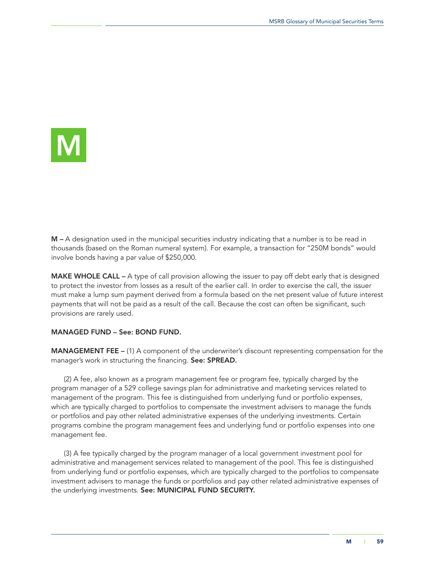

M – A designation used in the municipal securities industry indicating that a number is to be read in thousands (based on the Roman numeral system). For example, a transaction for "250M bonds" would involve bonds having a par value of \$250,000.

MAKE WHOLE CALL – A type of call provision allowing the issuer to pay off debt early that is designed to protect the investor from losses as a result of the earlier call. In order to exercise the call, the issuer must make a lump sum payment derived from a formula based on the net present value of future interest payments that will not be paid as a result of the call. Because the cost can often be significant, such provisions are rarely used.

#### MANAGED FUND – See: BOND FUND.

MANAGEMENT FEE – (1) A component of the underwriter's discount representing compensation for the manager's work in structuring the financing. See: SPREAD.

(2) A fee, also known as a program management fee or program fee, typically charged by the program manager of a 529 college savings plan for administrative and marketing services related to management of the program. This fee is distinguished from underlying fund or portfolio expenses, which are typically charged to portfolios to compensate the investment advisers to manage the funds or portfolios and pay other related administrative expenses of the underlying investments. Certain programs combine the program management fees and underlying fund or portfolio expenses into one management fee.

(3) A fee typically charged by the program manager of a local government investment pool for administrative and management services related to management of the pool. This fee is distinguished from underlying fund or portfolio expenses, which are typically charged to the portfolios to compensate investment advisers to manage the funds or portfolios and pay other related administrative expenses of the underlying investments. See: MUNICIPAL FUND SECURITY.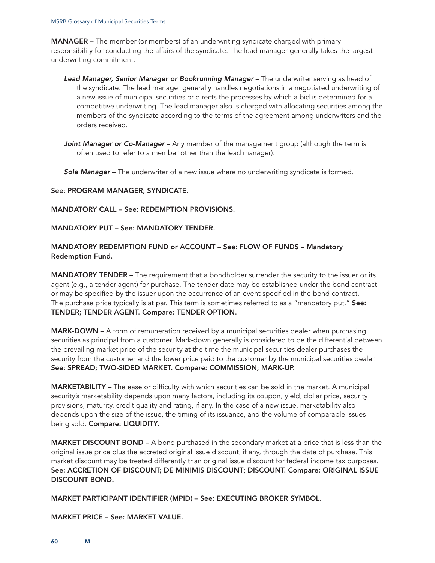MANAGER – The member (or members) of an underwriting syndicate charged with primary responsibility for conducting the affairs of the syndicate. The lead manager generally takes the largest underwriting commitment.

- *Lead Manager, Senior Manager or Bookrunning Manager* The underwriter serving as head of the syndicate. The lead manager generally handles negotiations in a negotiated underwriting of a new issue of municipal securities or directs the processes by which a bid is determined for a competitive underwriting. The lead manager also is charged with allocating securities among the members of the syndicate according to the terms of the agreement among underwriters and the orders received.
- *Joint Manager or Co-Manager* Any member of the management group (although the term is often used to refer to a member other than the lead manager).

*Sole Manager* – The underwriter of a new issue where no underwriting syndicate is formed.

#### See: PROGRAM MANAGER; SYNDICATE.

### MANDATORY CALL – See: REDEMPTION PROVISIONS.

### MANDATORY PUT – See: MANDATORY TENDER.

# MANDATORY REDEMPTION FUND or ACCOUNT – See: FLOW OF FUNDS – Mandatory Redemption Fund.

**MANDATORY TENDER** – The requirement that a bondholder surrender the security to the issuer or its agent (e.g., a tender agent) for purchase. The tender date may be established under the bond contract or may be specified by the issuer upon the occurrence of an event specified in the bond contract. The purchase price typically is at par. This term is sometimes referred to as a "mandatory put." See: TENDER; TENDER AGENT. Compare: TENDER OPTION.

MARK-DOWN – A form of remuneration received by a municipal securities dealer when purchasing securities as principal from a customer. Mark-down generally is considered to be the differential between the prevailing market price of the security at the time the municipal securities dealer purchases the security from the customer and the lower price paid to the customer by the municipal securities dealer. See: SPREAD; TWO-SIDED MARKET. Compare: COMMISSION; MARK-UP.

MARKETABILITY – The ease or difficulty with which securities can be sold in the market. A municipal security's marketability depends upon many factors, including its coupon, yield, dollar price, security provisions, maturity, credit quality and rating, if any. In the case of a new issue, marketability also depends upon the size of the issue, the timing of its issuance, and the volume of comparable issues being sold. Compare: LIQUIDITY.

MARKET DISCOUNT BOND – A bond purchased in the secondary market at a price that is less than the original issue price plus the accreted original issue discount, if any, through the date of purchase. This market discount may be treated differently than original issue discount for federal income tax purposes. See: ACCRETION OF DISCOUNT; DE MINIMIS DISCOUNT; DISCOUNT. Compare: ORIGINAL ISSUE DISCOUNT BOND.

MARKET PARTICIPANT IDENTIFIER (MPID) – See: EXECUTING BROKER SYMBOL.

MARKET PRICE – See: MARKET VALUE.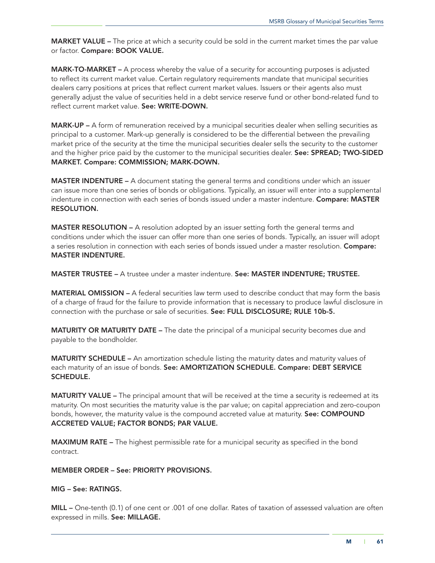**MARKET VALUE** – The price at which a security could be sold in the current market times the par value or factor. Compare: BOOK VALUE.

MARK-TO-MARKET – A process whereby the value of a security for accounting purposes is adjusted to reflect its current market value. Certain regulatory requirements mandate that municipal securities dealers carry positions at prices that reflect current market values. Issuers or their agents also must generally adjust the value of securities held in a debt service reserve fund or other bond-related fund to reflect current market value. See: WRITE-DOWN.

MARK-UP – A form of remuneration received by a municipal securities dealer when selling securities as principal to a customer. Mark-up generally is considered to be the differential between the prevailing market price of the security at the time the municipal securities dealer sells the security to the customer and the higher price paid by the customer to the municipal securities dealer. See: SPREAD; TWO-SIDED MARKET. Compare: COMMISSION; MARK-DOWN.

**MASTER INDENTURE –** A document stating the general terms and conditions under which an issuer can issue more than one series of bonds or obligations. Typically, an issuer will enter into a supplemental indenture in connection with each series of bonds issued under a master indenture. Compare: MASTER RESOLUTION.

MASTER RESOLUTION – A resolution adopted by an issuer setting forth the general terms and conditions under which the issuer can offer more than one series of bonds. Typically, an issuer will adopt a series resolution in connection with each series of bonds issued under a master resolution. Compare: MASTER INDENTURE.

MASTER TRUSTEE – A trustee under a master indenture. See: MASTER INDENTURE; TRUSTEE.

MATERIAL OMISSION – A federal securities law term used to describe conduct that may form the basis of a charge of fraud for the failure to provide information that is necessary to produce lawful disclosure in connection with the purchase or sale of securities. See: FULL DISCLOSURE; RULE 10b-5.

**MATURITY OR MATURITY DATE –** The date the principal of a municipal security becomes due and payable to the bondholder.

**MATURITY SCHEDULE –** An amortization schedule listing the maturity dates and maturity values of each maturity of an issue of bonds. See: AMORTIZATION SCHEDULE. Compare: DEBT SERVICE SCHEDULE.

**MATURITY VALUE** – The principal amount that will be received at the time a security is redeemed at its maturity. On most securities the maturity value is the par value; on capital appreciation and zero-coupon bonds, however, the maturity value is the compound accreted value at maturity. See: COMPOUND ACCRETED VALUE; FACTOR BONDS; PAR VALUE.

MAXIMUM RATE – The highest permissible rate for a municipal security as specified in the bond contract.

### MEMBER ORDER – See: PRIORITY PROVISIONS.

### MIG – See: RATINGS.

MILL – One-tenth (0.1) of one cent or .001 of one dollar. Rates of taxation of assessed valuation are often expressed in mills. See: MILLAGE.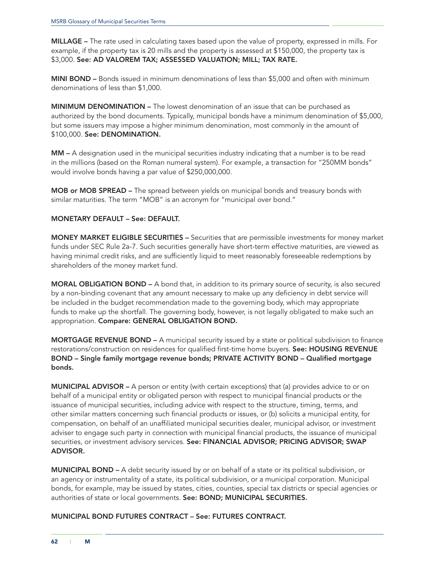MILLAGE – The rate used in calculating taxes based upon the value of property, expressed in mills. For example, if the property tax is 20 mills and the property is assessed at \$150,000, the property tax is \$3,000. See: AD VALOREM TAX; ASSESSED VALUATION; MILL; TAX RATE.

MINI BOND – Bonds issued in minimum denominations of less than \$5,000 and often with minimum denominations of less than \$1,000.

MINIMUM DENOMINATION – The lowest denomination of an issue that can be purchased as authorized by the bond documents. Typically, municipal bonds have a minimum denomination of \$5,000, but some issuers may impose a higher minimum denomination, most commonly in the amount of \$100,000. See: DENOMINATION.

MM – A designation used in the municipal securities industry indicating that a number is to be read in the millions (based on the Roman numeral system). For example, a transaction for "250MM bonds" would involve bonds having a par value of \$250,000,000.

MOB or MOB SPREAD – The spread between yields on municipal bonds and treasury bonds with similar maturities. The term "MOB" is an acronym for "municipal over bond."

## MONETARY DEFAULT – See: DEFAULT.

MONEY MARKET ELIGIBLE SECURITIES – Securities that are permissible investments for money market funds under SEC Rule 2a-7. Such securities generally have short-term effective maturities, are viewed as having minimal credit risks, and are sufficiently liquid to meet reasonably foreseeable redemptions by shareholders of the money market fund.

MORAL OBLIGATION BOND – A bond that, in addition to its primary source of security, is also secured by a non-binding covenant that any amount necessary to make up any deficiency in debt service will be included in the budget recommendation made to the governing body, which may appropriate funds to make up the shortfall. The governing body, however, is not legally obligated to make such an appropriation. Compare: GENERAL OBLIGATION BOND.

MORTGAGE REVENUE BOND – A municipal security issued by a state or political subdivision to finance restorations/construction on residences for qualified first-time home buyers. See: HOUSING REVENUE BOND – Single family mortgage revenue bonds; PRIVATE ACTIVITY BOND – Qualified mortgage bonds.

MUNICIPAL ADVISOR – A person or entity (with certain exceptions) that (a) provides advice to or on behalf of a municipal entity or obligated person with respect to municipal financial products or the issuance of municipal securities, including advice with respect to the structure, timing, terms, and other similar matters concerning such financial products or issues, or (b) solicits a municipal entity, for compensation, on behalf of an unaffiliated municipal securities dealer, municipal advisor, or investment adviser to engage such party in connection with municipal financial products, the issuance of municipal securities, or investment advisory services. See: FINANCIAL ADVISOR; PRICING ADVISOR; SWAP ADVISOR.

MUNICIPAL BOND – A debt security issued by or on behalf of a state or its political subdivision, or an agency or instrumentality of a state, its political subdivision, or a municipal corporation. Municipal bonds, for example, may be issued by states, cities, counties, special tax districts or special agencies or authorities of state or local governments. See: BOND; MUNICIPAL SECURITIES.

#### MUNICIPAL BOND FUTURES CONTRACT – See: FUTURES CONTRACT.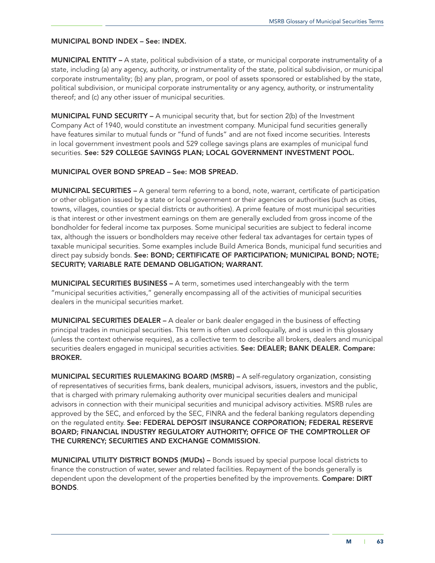### MUNICIPAL BOND INDEX – See: INDEX.

MUNICIPAL ENTITY – A state, political subdivision of a state, or municipal corporate instrumentality of a state, including (a) any agency, authority, or instrumentality of the state, political subdivision, or municipal corporate instrumentality; (b) any plan, program, or pool of assets sponsored or established by the state, political subdivision, or municipal corporate instrumentality or any agency, authority, or instrumentality thereof; and (c) any other issuer of municipal securities.

**MUNICIPAL FUND SECURITY –** A municipal security that, but for section 2(b) of the Investment Company Act of 1940, would constitute an investment company. Municipal fund securities generally have features similar to mutual funds or "fund of funds" and are not fixed income securities. Interests in local government investment pools and 529 college savings plans are examples of municipal fund securities. See: 529 COLLEGE SAVINGS PLAN; LOCAL GOVERNMENT INVESTMENT POOL.

## MUNICIPAL OVER BOND SPREAD – See: MOB SPREAD.

MUNICIPAL SECURITIES – A general term referring to a bond, note, warrant, certificate of participation or other obligation issued by a state or local government or their agencies or authorities (such as cities, towns, villages, counties or special districts or authorities). A prime feature of most municipal securities is that interest or other investment earnings on them are generally excluded from gross income of the bondholder for federal income tax purposes. Some municipal securities are subject to federal income tax, although the issuers or bondholders may receive other federal tax advantages for certain types of taxable municipal securities. Some examples include Build America Bonds, municipal fund securities and direct pay subsidy bonds. See: BOND; CERTIFICATE OF PARTICIPATION; MUNICIPAL BOND; NOTE; SECURITY; VARIABLE RATE DEMAND OBLIGATION; WARRANT.

MUNICIPAL SECURITIES BUSINESS – A term, sometimes used interchangeably with the term "municipal securities activities," generally encompassing all of the activities of municipal securities dealers in the municipal securities market.

MUNICIPAL SECURITIES DEALER – A dealer or bank dealer engaged in the business of effecting principal trades in municipal securities. This term is often used colloquially, and is used in this glossary (unless the context otherwise requires), as a collective term to describe all brokers, dealers and municipal securities dealers engaged in municipal securities activities. See: DEALER; BANK DEALER. Compare: BROKER.

MUNICIPAL SECURITIES RULEMAKING BOARD (MSRB) – A self-regulatory organization, consisting of representatives of securities firms, bank dealers, municipal advisors, issuers, investors and the public, that is charged with primary rulemaking authority over municipal securities dealers and municipal advisors in connection with their municipal securities and municipal advisory activities. MSRB rules are approved by the SEC, and enforced by the SEC, FINRA and the federal banking regulators depending on the regulated entity. See: FEDERAL DEPOSIT INSURANCE CORPORATION; FEDERAL RESERVE BOARD; FINANCIAL INDUSTRY REGULATORY AUTHORITY; OFFICE OF THE COMPTROLLER OF THE CURRENCY; SECURITIES AND EXCHANGE COMMISSION.

MUNICIPAL UTILITY DISTRICT BONDS (MUDs) – Bonds issued by special purpose local districts to finance the construction of water, sewer and related facilities. Repayment of the bonds generally is dependent upon the development of the properties benefited by the improvements. **Compare: DIRT** BONDS.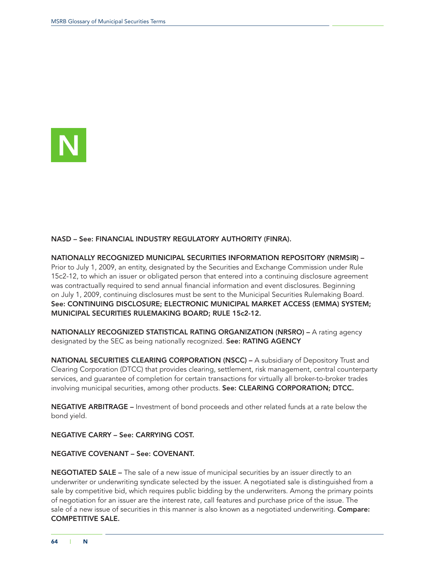

# NASD – See: FINANCIAL INDUSTRY REGULATORY AUTHORITY (FINRA).

NATIONALLY RECOGNIZED MUNICIPAL SECURITIES INFORMATION REPOSITORY (NRMSIR) – Prior to July 1, 2009, an entity, designated by the Securities and Exchange Commission under Rule 15c2-12, to which an [issuer](http://www.msrb.org/msrb1/glossary/view_def.asp?param=ISSUER) or [obligated person](http://www.msrb.org/msrb1/glossary/view_def.asp?param=OBLIGATEDPERSON) that entered into a [continuing disclosure agreement](http://www.msrb.org/msrb1/glossary/view_def.asp?param=CONTINUINGDISCLOSUREAGREEMENT) was contractually required to send [annual financial information](http://www.msrb.org/msrb1/glossary/view_def.asp?param=ANNUALFINANCIALINFORMATION) and event disclosures. Beginning on July 1, 2009, continuing disclosures must be sent to the Municipal Securities Rulemaking Board. See: CONTINUING DISCLOSURE; ELECTRONIC MUNICIPAL MARKET ACCESS (EMMA) SYSTEM; MUNICIPAL SECURITIES RULEMAKING BOARD; RULE 15c2-12.

NATIONALLY RECOGNIZED STATISTICAL RATING ORGANIZATION (NRSRO) – A rating agency designated by the SEC as being nationally recognized. See: RATING AGENCY

NATIONAL SECURITIES CLEARING CORPORATION (NSCC) – A subsidiary of Depository Trust and Clearing Corporation (DTCC) that provides clearing, settlement, risk management, central counterparty services, and guarantee of completion for certain transactions for virtually all broker-to-broker trades involving municipal securities, among other products. See: CLEARING CORPORATION; DTCC.

NEGATIVE ARBITRAGE – Investment of bond proceeds and other related funds at a rate below the bond yield.

NEGATIVE CARRY – See: CARRYING COST.

#### NEGATIVE COVENANT – See: COVENANT.

NEGOTIATED SALE – The sale of a new issue of municipal securities by an issuer directly to an underwriter or underwriting syndicate selected by the issuer. A negotiated sale is distinguished from a sale by competitive bid, which requires public bidding by the underwriters. Among the primary points of negotiation for an issuer are the interest rate, call features and purchase price of the issue. The sale of a new issue of securities in this manner is also known as a negotiated underwriting. Compare: COMPETITIVE SALE.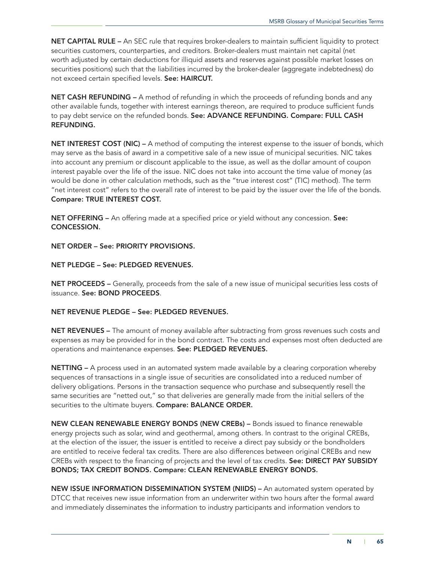NET CAPITAL RULE - An SEC rule that requires broker-dealers to maintain sufficient liquidity to protect securities customers, counterparties, and creditors. Broker-dealers must maintain net capital (net worth adjusted by certain deductions for illiquid assets and reserves against possible market losses on securities positions) such that the liabilities incurred by the broker-dealer (aggregate indebtedness) do not exceed certain specified levels. See: HAIRCUT.

NET CASH REFUNDING – A method of refunding in which the proceeds of refunding bonds and any other available funds, together with interest earnings thereon, are required to produce sufficient funds to pay debt service on the refunded bonds. See: ADVANCE REFUNDING. Compare: FULL CASH REFUNDING.

NET INTEREST COST (NIC) – A method of computing the interest expense to the issuer of bonds, which may serve as the basis of award in a competitive sale of a new issue of municipal securities. NIC takes into account any premium or discount applicable to the issue, as well as the dollar amount of coupon interest payable over the life of the issue. NIC does not take into account the time value of money (as would be done in other calculation methods, such as the "true interest cost" (TIC) method). The term "net interest cost" refers to the overall rate of interest to be paid by the issuer over the life of the bonds. Compare: TRUE INTEREST COST.

NET OFFERING – An offering made at a specified price or yield without any concession. See: CONCESSION.

NET ORDER – See: PRIORITY PROVISIONS.

NET PLEDGE – See: PLEDGED REVENUES.

NET PROCEEDS – Generally, proceeds from the sale of a new issue of municipal securities less costs of issuance. See: BOND PROCEEDS.

#### NET REVENUE PLEDGE – See: PLEDGED REVENUES.

NET REVENUES – The amount of money available after subtracting from gross revenues such costs and expenses as may be provided for in the bond contract. The costs and expenses most often deducted are operations and maintenance expenses. See: PLEDGED REVENUES.

NETTING – A process used in an automated system made available by a clearing corporation whereby sequences of transactions in a single issue of securities are consolidated into a reduced number of delivery obligations. Persons in the transaction sequence who purchase and subsequently resell the same securities are "netted out," so that deliveries are generally made from the initial sellers of the securities to the ultimate buyers. Compare: BALANCE ORDER.

NEW CLEAN RENEWABLE ENERGY BONDS (NEW CREBs) – Bonds issued to finance renewable energy projects such as solar, wind and geothermal, among others. In contrast to the original CREBs, at the election of the issuer, the issuer is entitled to receive a direct pay subsidy or the bondholders are entitled to receive federal tax credits. There are also differences between original CREBs and new CREBs with respect to the financing of projects and the level of tax credits. See: DIRECT PAY SUBSIDY BONDS; TAX CREDIT BONDS. Compare: CLEAN RENEWABLE ENERGY BONDS.

NEW ISSUE INFORMATION DISSEMINATION SYSTEM (NIIDS) – An automated system operated by DTCC that receives new issue information from an underwriter within two hours after the formal award and immediately disseminates the information to industry participants and information vendors to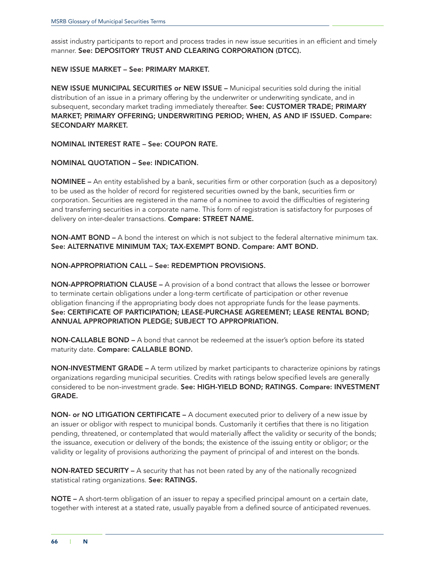assist industry participants to report and process trades in new issue securities in an efficient and timely manner. See: DEPOSITORY TRUST AND CLEARING CORPORATION (DTCC).

#### NEW ISSUE MARKET – See: PRIMARY MARKET.

NEW ISSUE MUNICIPAL SECURITIES or NEW ISSUE – Municipal securities sold during the initial distribution of an issue in a primary offering by the underwriter or underwriting syndicate, and in subsequent, secondary market trading immediately thereafter. See: CUSTOMER TRADE; PRIMARY MARKET; PRIMARY OFFERING; UNDERWRITING PERIOD; WHEN, AS AND IF ISSUED. Compare: SECONDARY MARKET.

NOMINAL INTEREST RATE – See: COUPON RATE.

#### NOMINAL QUOTATION – See: INDICATION.

NOMINEE – An entity established by a bank, securities firm or other corporation (such as a depository) to be used as the holder of record for registered securities owned by the bank, securities firm or corporation. Securities are registered in the name of a nominee to avoid the difficulties of registering and transferring securities in a corporate name. This form of registration is satisfactory for purposes of delivery on inter-dealer transactions. Compare: STREET NAME.

NON-AMT BOND – A bond the interest on which is not subject to the federal alternative minimum tax. See: ALTERNATIVE MINIMUM TAX; TAX-EXEMPT BOND. Compare: AMT BOND.

NON-APPROPRIATION CALL – See: REDEMPTION PROVISIONS.

NON-APPROPRIATION CLAUSE – A provision of a bond contract that allows the lessee or borrower to terminate certain obligations under a long-term certificate of participation or other revenue obligation financing if the appropriating body does not appropriate funds for the lease payments. See: CERTIFICATE OF PARTICIPATION; LEASE-PURCHASE AGREEMENT; LEASE RENTAL BOND; ANNUAL APPROPRIATION PLEDGE; SUBJECT TO APPROPRIATION.

NON-CALLABLE BOND – A bond that cannot be redeemed at the issuer's option before its stated maturity date. Compare: CALLABLE BOND.

NON-INVESTMENT GRADE – A term utilized by market participants to characterize opinions by ratings organizations regarding municipal securities. Credits with ratings below specified levels are generally considered to be non-investment grade. See: HIGH-YIELD BOND; RATINGS. Compare: INVESTMENT GRADE.

NON- or NO LITIGATION CERTIFICATE – A document executed prior to delivery of a new issue by an issuer or obligor with respect to municipal bonds. Customarily it certifies that there is no litigation pending, threatened, or contemplated that would materially affect the validity or security of the bonds; the issuance, execution or delivery of the bonds; the existence of the issuing entity or obligor; or the validity or legality of provisions authorizing the payment of principal of and interest on the bonds.

NON-RATED SECURITY – A security that has not been rated by any of the nationally recognized statistical rating organizations. See: RATINGS.

NOTE – A short-term obligation of an issuer to repay a specified principal amount on a certain date, together with interest at a stated rate, usually payable from a defined source of anticipated revenues.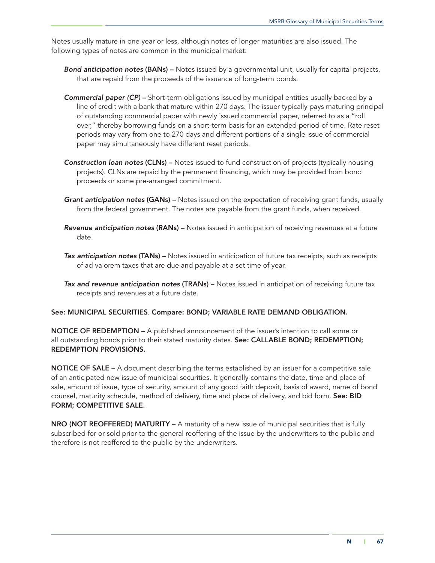Notes usually mature in one year or less, although notes of longer maturities are also issued. The following types of notes are common in the municipal market:

- *Bond anticipation notes* (BANs) Notes issued by a governmental unit, usually for capital projects, that are repaid from the proceeds of the issuance of long-term bonds.
- *Commercial paper (CP)* Short-term obligations issued by municipal entities usually backed by a line of credit with a bank that mature within 270 days. The issuer typically pays maturing principal of outstanding commercial paper with newly issued commercial paper, referred to as a "roll over," thereby borrowing funds on a short-term basis for an extended period of time. Rate reset periods may vary from one to 270 days and different portions of a single issue of commercial paper may simultaneously have different reset periods.
- *Construction loan notes* (CLNs) Notes issued to fund construction of projects (typically housing projects). CLNs are repaid by the permanent financing, which may be provided from bond proceeds or some pre-arranged commitment.
- *Grant anticipation notes* (GANs) Notes issued on the expectation of receiving grant funds, usually from the federal government. The notes are payable from the grant funds, when received.
- *Revenue anticipation notes* (RANs) Notes issued in anticipation of receiving revenues at a future date.
- *Tax anticipation notes* (TANs) Notes issued in anticipation of future tax receipts, such as receipts of ad valorem taxes that are due and payable at a set time of year.
- *Tax and revenue anticipation notes* (TRANs) Notes issued in anticipation of receiving future tax receipts and revenues at a future date.

#### See: MUNICIPAL SECURITIES. Compare: BOND; VARIABLE RATE DEMAND OBLIGATION.

NOTICE OF REDEMPTION – A published announcement of the issuer's intention to call some or all outstanding bonds prior to their stated maturity dates. See: CALLABLE BOND; REDEMPTION; REDEMPTION PROVISIONS.

NOTICE OF SALE – A document describing the terms established by an issuer for a competitive sale of an anticipated new issue of municipal securities. It generally contains the date, time and place of sale, amount of issue, type of security, amount of any good faith deposit, basis of award, name of bond counsel, maturity schedule, method of delivery, time and place of delivery, and bid form. See: BID FORM; COMPETITIVE SALE.

NRO (NOT REOFFERED) MATURITY – A maturity of a new issue of municipal securities that is fully subscribed for or sold prior to the general reoffering of the issue by the underwriters to the public and therefore is not reoffered to the public by the underwriters.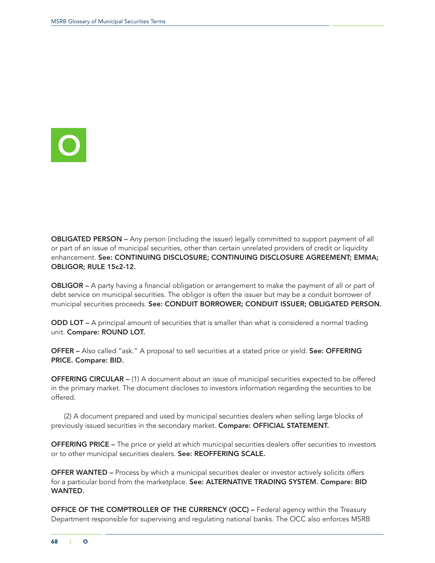

OBLIGATED PERSON – Any person (including the issuer) legally committed to support payment of all or part of an issue of municipal securities, other than certain unrelated providers of credit or liquidity enhancement. See: CONTINUING DISCLOSURE; CONTINUING DISCLOSURE AGREEMENT; EMMA; OBLIGOR; RULE 15c2-12.

OBLIGOR – A party having a financial obligation or arrangement to make the payment of all or part of debt service on municipal securities. The obligor is often the issuer but may be a conduit borrower of municipal securities proceeds. See: CONDUIT BORROWER; CONDUIT ISSUER; OBLIGATED PERSON.

ODD LOT – A principal amount of securities that is smaller than what is considered a normal trading unit. Compare: ROUND LOT.

OFFER – Also called "ask." A proposal to sell securities at a stated price or yield. See: OFFERING PRICE. Compare: BID.

OFFERING CIRCULAR – (1) A document about an issue of municipal securities expected to be offered in the primary market. The document discloses to investors information regarding the securities to be offered.

(2) A document prepared and used by municipal securities dealers when selling large blocks of previously issued securities in the secondary market. Compare: OFFICIAL STATEMENT.

OFFERING PRICE – The price or yield at which municipal securities dealers offer securities to investors or to other municipal securities dealers. See: REOFFERING SCALE.

OFFER WANTED – Process by which a municipal securities dealer or investor actively solicits offers for a particular bond from the marketplace. See: ALTERNATIVE TRADING SYSTEM. Compare: BID WANTED.

OFFICE OF THE COMPTROLLER OF THE CURRENCY (OCC) – Federal agency within the Treasury Department responsible for supervising and regulating national banks. The OCC also enforces MSRB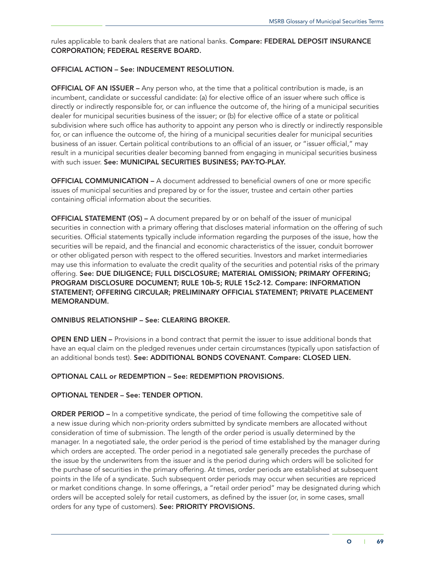rules applicable to bank dealers that are national banks. Compare: FEDERAL DEPOSIT INSURANCE CORPORATION; FEDERAL RESERVE BOARD.

# OFFICIAL ACTION – See: INDUCEMENT RESOLUTION.

OFFICIAL OF AN ISSUER – Any person who, at the time that a political contribution is made, is an incumbent, candidate or successful candidate: (a) for elective office of an issuer where such office is directly or indirectly responsible for, or can influence the outcome of, the hiring of a municipal securities dealer for municipal securities business of the issuer; or (b) for elective office of a state or political subdivision where such office has authority to appoint any person who is directly or indirectly responsible for, or can influence the outcome of, the hiring of a municipal securities dealer for municipal securities business of an issuer. Certain political contributions to an official of an issuer, or "issuer official," may result in a municipal securities dealer becoming banned from engaging in municipal securities business with such issuer. See: MUNICIPAL SECURITIES BUSINESS; PAY-TO-PLAY.

OFFICIAL COMMUNICATION – A document addressed to beneficial owners of one or more specific issues of municipal securities and prepared by or for the issuer, trustee and certain other parties containing official information about the securities.

OFFICIAL STATEMENT (OS) – A document prepared by or on behalf of the issuer of municipal securities in connection with a primary offering that discloses material information on the offering of such securities. Official statements typically include information regarding the purposes of the issue, how the securities will be repaid, and the financial and economic characteristics of the issuer, conduit borrower or other obligated person with respect to the offered securities. Investors and market intermediaries may use this information to evaluate the credit quality of the securities and potential risks of the primary offering. See: DUE DILIGENCE; FULL DISCLOSURE; MATERIAL OMISSION; PRIMARY OFFERING; PROGRAM DISCLOSURE DOCUMENT; RULE 10b-5; RULE 15c2-12. Compare: INFORMATION STATEMENT; OFFERING CIRCULAR; PRELIMINARY OFFICIAL STATEMENT; PRIVATE PLACEMENT MEMORANDUM.

## OMNIBUS RELATIONSHIP – See: CLEARING BROKER.

OPEN END LIEN – Provisions in a bond contract that permit the issuer to issue additional bonds that have an equal claim on the pledged revenues under certain circumstances (typically upon satisfaction of an additional bonds test). See: ADDITIONAL BONDS COVENANT. Compare: CLOSED LIEN.

#### OPTIONAL CALL or REDEMPTION – See: REDEMPTION PROVISIONS.

## OPTIONAL TENDER – See: TENDER OPTION.

ORDER PERIOD – In a competitive syndicate, the period of time following the competitive sale of a new issue during which non-priority orders submitted by syndicate members are allocated without consideration of time of submission. The length of the order period is usually determined by the manager. In a negotiated sale, the order period is the period of time established by the manager during which orders are accepted. The order period in a negotiated sale generally precedes the purchase of the issue by the underwriters from the issuer and is the period during which orders will be solicited for the purchase of securities in the primary offering. At times, order periods are established at subsequent points in the life of a syndicate. Such subsequent order periods may occur when securities are repriced or market conditions change. In some offerings, a "retail order period" may be designated during which orders will be accepted solely for retail customers, as defined by the issuer (or, in some cases, small orders for any type of customers). See: PRIORITY PROVISIONS.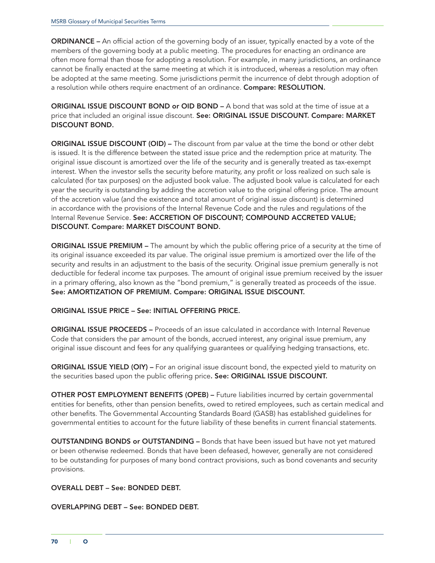ORDINANCE – An official action of the governing body of an issuer, typically enacted by a vote of the members of the governing body at a public meeting. The procedures for enacting an ordinance are often more formal than those for adopting a resolution. For example, in many jurisdictions, an ordinance cannot be finally enacted at the same meeting at which it is introduced, whereas a resolution may often be adopted at the same meeting. Some jurisdictions permit the incurrence of debt through adoption of a resolution while others require enactment of an ordinance. Compare: RESOLUTION.

ORIGINAL ISSUE DISCOUNT BOND or OID BOND – A bond that was sold at the time of issue at a price that included an original issue discount. See: ORIGINAL ISSUE DISCOUNT. Compare: MARKET DISCOUNT BOND.

ORIGINAL ISSUE DISCOUNT (OID) – The discount from par value at the time the bond or other debt is issued. It is the difference between the stated issue price and the redemption price at maturity. The original issue discount is amortized over the life of the security and is generally treated as tax-exempt interest. When the investor sells the security before maturity, any profit or loss realized on such sale is calculated (for tax purposes) on the adjusted book value. The adjusted book value is calculated for each year the security is outstanding by adding the accretion value to the original offering price. The amount of the accretion value (and the existence and total amount of original issue discount) is determined in accordance with the provisions of the Internal Revenue Code and the rules and regulations of the Internal Revenue Service. See: ACCRETION OF DISCOUNT; COMPOUND ACCRETED VALUE; DISCOUNT. Compare: MARKET DISCOUNT BOND.

ORIGINAL ISSUE PREMIUM – The amount by which the public offering price of a security at the time of its original issuance exceeded its par value. The original issue premium is amortized over the life of the security and results in an adjustment to the basis of the security. Original issue premium generally is not deductible for federal income tax purposes. The amount of original issue premium received by the issuer in a primary offering, also known as the "bond premium," is generally treated as proceeds of the issue. See: AMORTIZATION OF PREMIUM. Compare: ORIGINAL ISSUE DISCOUNT.

# ORIGINAL ISSUE PRICE – See: INITIAL OFFERING PRICE.

ORIGINAL ISSUE PROCEEDS – Proceeds of an issue calculated in accordance with Internal Revenue Code that considers the par amount of the bonds, accrued interest, any original issue premium, any original issue discount and fees for any qualifying guarantees or qualifying hedging transactions, etc.

ORIGINAL ISSUE YIELD (OIY) – For an original issue discount bond, the expected yield to maturity on the securities based upon the public offering price. See: ORIGINAL ISSUE DISCOUNT.

OTHER POST EMPLOYMENT BENEFITS (OPEB) – Future liabilities incurred by certain governmental entities for benefits, other than pension benefits, owed to retired employees, such as certain medical and other benefits. The Governmental Accounting Standards Board (GASB) has established guidelines for governmental entities to account for the future liability of these benefits in current financial statements.

OUTSTANDING BONDS or OUTSTANDING – Bonds that have been issued but have not yet matured or been otherwise redeemed. Bonds that have been defeased, however, generally are not considered to be outstanding for purposes of many bond contract provisions, such as bond covenants and security provisions.

## OVERALL DEBT – See: BONDED DEBT.

#### OVERLAPPING DEBT – See: BONDED DEBT.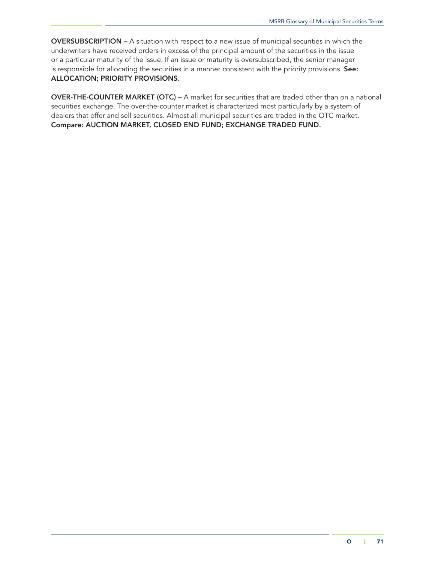OVERSUBSCRIPTION – A situation with respect to a new issue of municipal securities in which the underwriters have received orders in excess of the principal amount of the securities in the issue or a particular maturity of the issue. If an issue or maturity is oversubscribed, the senior manager is responsible for allocating the securities in a manner consistent with the priority provisions. See: ALLOCATION; PRIORITY PROVISIONS.

OVER-THE-COUNTER MARKET (OTC) – A market for securities that are traded other than on a national securities exchange. The over-the-counter market is characterized most particularly by a system of dealers that offer and sell securities. Almost all municipal securities are traded in the OTC market. Compare: AUCTION MARKET, CLOSED END FUND; EXCHANGE TRADED FUND.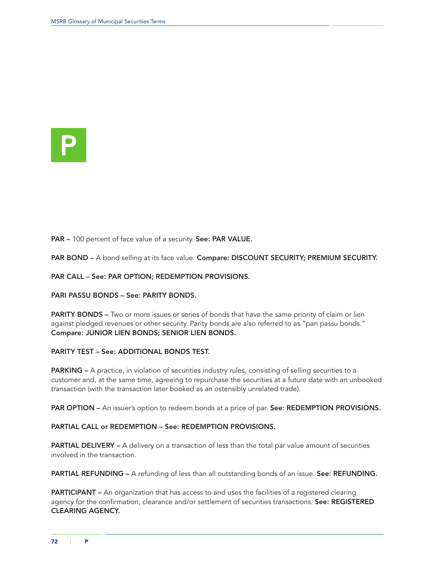

PAR - 100 percent of face value of a security. See: PAR VALUE.

PAR BOND – A bond selling at its face value. Compare: DISCOUNT SECURITY; PREMIUM SECURITY.

PAR CALL – See: PAR OPTION; REDEMPTION PROVISIONS.

PARI PASSU BONDS – See: PARITY BONDS.

PARITY BONDS – Two or more issues or series of bonds that have the same priority of claim or lien against pledged revenues or other security. Parity bonds are also referred to as "pari passu bonds." Compare: JUNIOR LIEN BONDS; SENIOR LIEN BONDS.

### PARITY TEST – See: ADDITIONAL BONDS TEST.

PARKING – A practice, in violation of securities industry rules, consisting of selling securities to a customer and, at the same time, agreeing to repurchase the securities at a future date with an unbooked transaction (with the transaction later booked as an ostensibly unrelated trade).

PAR OPTION – An issuer's option to redeem bonds at a price of par. See: REDEMPTION PROVISIONS.

### PARTIAL CALL or REDEMPTION – See: REDEMPTION PROVISIONS.

PARTIAL DELIVERY – A delivery on a transaction of less than the total par value amount of securities involved in the transaction.

PARTIAL REFUNDING – A refunding of less than all outstanding bonds of an issue. See: REFUNDING.

PARTICIPANT – An organization that has access to and uses the facilities of a registered clearing agency for the confirmation, clearance and/or settlement of securities transactions. See: REGISTERED CLEARING AGENCY.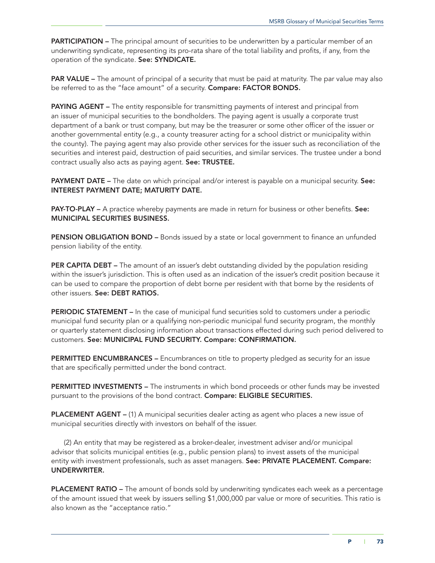**PARTICIPATION** – The principal amount of securities to be underwritten by a particular member of an underwriting syndicate, representing its pro-rata share of the total liability and profits, if any, from the operation of the syndicate. See: SYNDICATE.

**PAR VALUE** – The amount of principal of a security that must be paid at maturity. The par value may also be referred to as the "face amount" of a security. Compare: FACTOR BONDS.

**PAYING AGENT** – The entity responsible for transmitting payments of interest and principal from an issuer of municipal securities to the bondholders. The paying agent is usually a corporate trust department of a bank or trust company, but may be the treasurer or some other officer of the issuer or another governmental entity (e.g., a county treasurer acting for a school district or municipality within the county). The paying agent may also provide other services for the issuer such as reconciliation of the securities and interest paid, destruction of paid securities, and similar services. The trustee under a bond contract usually also acts as paying agent. See: TRUSTEE.

PAYMENT DATE – The date on which principal and/or interest is payable on a municipal security. See: INTEREST PAYMENT DATE; MATURITY DATE.

PAY-TO-PLAY – A practice whereby payments are made in return for business or other benefits. See: MUNICIPAL SECURITIES BUSINESS.

PENSION OBLIGATION BOND – Bonds issued by a state or local government to finance an unfunded pension liability of the entity.

PER CAPITA DEBT – The amount of an issuer's debt outstanding divided by the population residing within the issuer's jurisdiction. This is often used as an indication of the issuer's credit position because it can be used to compare the proportion of debt borne per resident with that borne by the residents of other issuers. See: DEBT RATIOS.

PERIODIC STATEMENT – In the case of municipal fund securities sold to customers under a periodic municipal fund security plan or a qualifying non-periodic municipal fund security program, the monthly or quarterly statement disclosing information about transactions effected during such period delivered to customers. See: MUNICIPAL FUND SECURITY. Compare: CONFIRMATION.

**PERMITTED ENCUMBRANCES –** Encumbrances on title to property pledged as security for an issue that are specifically permitted under the bond contract.

PERMITTED INVESTMENTS – The instruments in which bond proceeds or other funds may be invested pursuant to the provisions of the bond contract. Compare: ELIGIBLE SECURITIES.

PLACEMENT AGENT – (1) A municipal securities dealer acting as agent who places a new issue of municipal securities directly with investors on behalf of the issuer.

(2) An entity that may be registered as a broker-dealer, investment adviser and/or municipal advisor that solicits municipal entities (e.g., public pension plans) to invest assets of the municipal entity with investment professionals, such as asset managers. See: PRIVATE PLACEMENT. Compare: UNDERWRITER.

PLACEMENT RATIO – The amount of bonds sold by underwriting syndicates each week as a percentage of the amount issued that week by issuers selling \$1,000,000 par value or more of securities. This ratio is also known as the "acceptance ratio."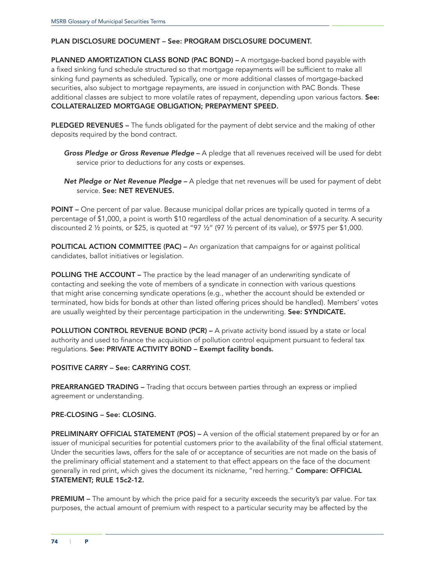### PLAN DISCLOSURE DOCUMENT – See: PROGRAM DISCLOSURE DOCUMENT.

PLANNED AMORTIZATION CLASS BOND (PAC BOND) - A mortgage-backed bond payable with a fixed sinking fund schedule structured so that mortgage repayments will be sufficient to make all sinking fund payments as scheduled. Typically, one or more additional classes of mortgage-backed securities, also subject to mortgage repayments, are issued in conjunction with PAC Bonds. These additional classes are subject to more volatile rates of repayment, depending upon various factors. See: COLLATERALIZED MORTGAGE OBLIGATION; PREPAYMENT SPEED.

PLEDGED REVENUES - The funds obligated for the payment of debt service and the making of other deposits required by the bond contract.

*Gross Pledge or Gross Revenue Pledge* – A pledge that all revenues received will be used for debt service prior to deductions for any costs or expenses.

*Net Pledge or Net Revenue Pledge* – A pledge that net revenues will be used for payment of debt service. See: NET REVENUES.

POINT – One percent of par value. Because municipal dollar prices are typically quoted in terms of a percentage of \$1,000, a point is worth \$10 regardless of the actual denomination of a security. A security discounted 2 ½ points, or \$25, is quoted at "97 ½" (97 ½ percent of its value), or \$975 per \$1,000.

POLITICAL ACTION COMMITTEE (PAC) – An organization that campaigns for or against political candidates, ballot initiatives or legislation.

POLLING THE ACCOUNT – The practice by the lead manager of an underwriting syndicate of contacting and seeking the vote of members of a syndicate in connection with various questions that might arise concerning syndicate operations (e.g., whether the account should be extended or terminated, how bids for bonds at other than listed offering prices should be handled). Members' votes are usually weighted by their percentage participation in the underwriting. See: SYNDICATE.

POLLUTION CONTROL REVENUE BOND (PCR) – A private activity bond issued by a state or local authority and used to finance the acquisition of pollution control equipment pursuant to federal tax regulations. See: PRIVATE ACTIVITY BOND – Exempt facility bonds.

## POSITIVE CARRY – See: CARRYING COST.

PREARRANGED TRADING – Trading that occurs between parties through an express or implied agreement or understanding.

#### PRE-CLOSING – See: CLOSING.

PRELIMINARY OFFICIAL STATEMENT (POS) – A version of the official statement prepared by or for an issuer of municipal securities for potential customers prior to the availability of the final official statement. Under the securities laws, offers for the sale of or acceptance of securities are not made on the basis of the preliminary official statement and a statement to that effect appears on the face of the document generally in red print, which gives the document its nickname, "red herring." Compare: OFFICIAL STATEMENT; RULE 15c2-12.

**PREMIUM** – The amount by which the price paid for a security exceeds the security's par value. For tax purposes, the actual amount of premium with respect to a particular security may be affected by the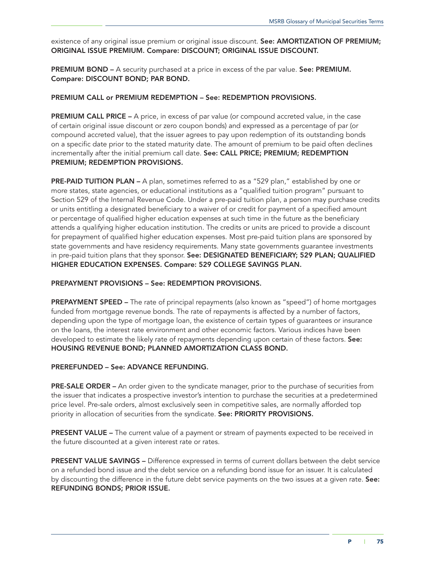existence of any original issue premium or original issue discount. See: AMORTIZATION OF PREMIUM; ORIGINAL ISSUE PREMIUM. Compare: DISCOUNT; ORIGINAL ISSUE DISCOUNT.

PREMIUM BOND – A security purchased at a price in excess of the par value. See: PREMIUM. Compare: DISCOUNT BOND; PAR BOND.

### PREMIUM CALL or PREMIUM REDEMPTION – See: REDEMPTION PROVISIONS.

PREMIUM CALL PRICE – A price, in excess of par value (or compound accreted value, in the case of certain original issue discount or zero coupon bonds) and expressed as a percentage of par (or compound accreted value), that the issuer agrees to pay upon redemption of its outstanding bonds on a specific date prior to the stated maturity date. The amount of premium to be paid often declines incrementally after the initial premium call date. See: CALL PRICE; PREMIUM; REDEMPTION PREMIUM; REDEMPTION PROVISIONS.

PRE-PAID TUITION PLAN – A plan, sometimes referred to as a "529 plan," established by one or more states, state agencies, or educational institutions as a "qualified tuition program" pursuant to Section 529 of the Internal Revenue Code. Under a pre-paid tuition plan, a person may purchase credits or units entitling a designated beneficiary to a waiver of or credit for payment of a specified amount or percentage of qualified higher education expenses at such time in the future as the beneficiary attends a qualifying higher education institution. The credits or units are priced to provide a discount for prepayment of qualified higher education expenses. Most pre-paid tuition plans are sponsored by state governments and have residency requirements. Many state governments guarantee investments in pre-paid tuition plans that they sponsor. See: DESIGNATED BENEFICIARY; 529 PLAN; QUALIFIED HIGHER EDUCATION EXPENSES. Compare: 529 COLLEGE SAVINGS PLAN.

#### PREPAYMENT PROVISIONS – See: REDEMPTION PROVISIONS.

PREPAYMENT SPEED – The rate of principal repayments (also known as "speed") of home mortgages funded from mortgage revenue bonds. The rate of repayments is affected by a number of factors, depending upon the type of mortgage loan, the existence of certain types of guarantees or insurance on the loans, the interest rate environment and other economic factors. Various indices have been developed to estimate the likely rate of repayments depending upon certain of these factors. See: HOUSING REVENUE BOND; PLANNED AMORTIZATION CLASS BOND.

## PREREFUNDED – See: ADVANCE REFUNDING.

PRE-SALE ORDER – An order given to the syndicate manager, prior to the purchase of securities from the issuer that indicates a prospective investor's intention to purchase the securities at a predetermined price level. Pre-sale orders, almost exclusively seen in competitive sales, are normally afforded top priority in allocation of securities from the syndicate. See: PRIORITY PROVISIONS.

PRESENT VALUE – The current value of a payment or stream of payments expected to be received in the future discounted at a given interest rate or rates.

PRESENT VALUE SAVINGS – Difference expressed in terms of current dollars between the debt service on a refunded bond issue and the debt service on a refunding bond issue for an issuer. It is calculated by discounting the difference in the future debt service payments on the two issues at a given rate. See: REFUNDING BONDS; PRIOR ISSUE.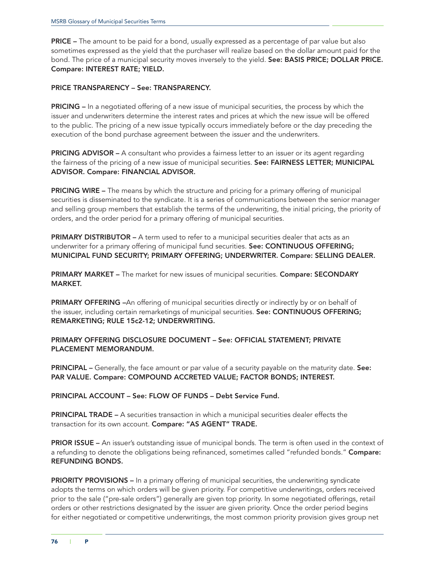PRICE – The amount to be paid for a bond, usually expressed as a percentage of par value but also sometimes expressed as the yield that the purchaser will realize based on the dollar amount paid for the bond. The price of a municipal security moves inversely to the yield. See: BASIS PRICE; DOLLAR PRICE. Compare: INTEREST RATE; YIELD.

### PRICE TRANSPARENCY – See: TRANSPARENCY.

**PRICING** – In a negotiated offering of a new issue of municipal securities, the process by which the issuer and underwriters determine the interest rates and prices at which the new issue will be offered to the public. The pricing of a new issue typically occurs immediately before or the day preceding the execution of the bond purchase agreement between the issuer and the underwriters.

PRICING ADVISOR – A consultant who provides a fairness letter to an issuer or its agent regarding the fairness of the pricing of a new issue of municipal securities. See: FAIRNESS LETTER; MUNICIPAL ADVISOR. Compare: FINANCIAL ADVISOR.

**PRICING WIRE –** The means by which the structure and pricing for a primary offering of municipal securities is disseminated to the syndicate. It is a series of communications between the senior manager and selling group members that establish the terms of the underwriting, the initial pricing, the priority of orders, and the order period for a primary offering of municipal securities.

PRIMARY DISTRIBUTOR - A term used to refer to a municipal securities dealer that acts as an underwriter for a primary offering of municipal fund securities. See: CONTINUOUS OFFERING; MUNICIPAL FUND SECURITY; PRIMARY OFFERING; UNDERWRITER. Compare: SELLING DEALER.

PRIMARY MARKET – The market for new issues of municipal securities. Compare: SECONDARY MARKET.

PRIMARY OFFERING -An offering of municipal securities directly or indirectly by or on behalf of the issuer, including certain remarketings of municipal securities. See: CONTINUOUS OFFERING; REMARKETING; RULE 15c2-12; UNDERWRITING.

PRIMARY OFFERING DISCLOSURE DOCUMENT – See: OFFICIAL STATEMENT; PRIVATE PLACEMENT MEMORANDUM.

PRINCIPAL – Generally, the face amount or par value of a security payable on the maturity date. See: PAR VALUE. Compare: COMPOUND ACCRETED VALUE; FACTOR BONDS; INTEREST.

PRINCIPAL ACCOUNT – See: FLOW OF FUNDS – Debt Service Fund.

**PRINCIPAL TRADE –** A securities transaction in which a municipal securities dealer effects the transaction for its own account. Compare: "AS AGENT" TRADE.

**PRIOR ISSUE –** An issuer's outstanding issue of municipal bonds. The term is often used in the context of a refunding to denote the obligations being refinanced, sometimes called "refunded bonds." Compare: REFUNDING BONDS.

**PRIORITY PROVISIONS –** In a primary offering of municipal securities, the underwriting syndicate adopts the terms on which orders will be given priority. For competitive underwritings, orders received prior to the sale ("pre-sale orders") generally are given top priority. In some negotiated offerings, retail orders or other restrictions designated by the issuer are given priority. Once the order period begins for either negotiated or competitive underwritings, the most common priority provision gives group net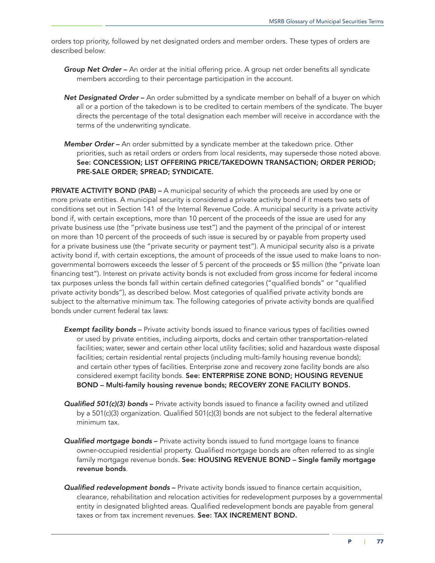orders top priority, followed by net designated orders and member orders. These types of orders are described below:

- *Group Net Order* An order at the initial offering price. A group net order benefits all syndicate members according to their percentage participation in the account.
- **Net Designated Order** An order submitted by a syndicate member on behalf of a buyer on which all or a portion of the takedown is to be credited to certain members of the syndicate. The buyer directs the percentage of the total designation each member will receive in accordance with the terms of the underwriting syndicate.
- *Member Order* An order submitted by a syndicate member at the takedown price. Other priorities, such as retail orders or orders from local residents, may supersede those noted above. See: CONCESSION; LIST OFFERING PRICE/TAKEDOWN TRANSACTION; ORDER PERIOD; PRE-SALE ORDER; SPREAD; SYNDICATE.

PRIVATE ACTIVITY BOND (PAB) – A municipal security of which the proceeds are used by one or more private entities. A municipal security is considered a private activity bond if it meets two sets of conditions set out in Section 141 of the Internal Revenue Code. A municipal security is a private activity bond if, with certain exceptions, more than 10 percent of the proceeds of the issue are used for any private business use (the "private business use test") and the payment of the principal of or interest on more than 10 percent of the proceeds of such issue is secured by or payable from property used for a private business use (the "private security or payment test"). A municipal security also is a private activity bond if, with certain exceptions, the amount of proceeds of the issue used to make loans to nongovernmental borrowers exceeds the lesser of 5 percent of the proceeds or \$5 million (the "private loan financing test"). Interest on private activity bonds is not excluded from gross income for federal income tax purposes unless the bonds fall within certain defined categories ("qualified bonds" or "qualified private activity bonds"), as described below. Most categories of qualified private activity bonds are subject to the alternative minimum tax. The following categories of private activity bonds are qualified bonds under current federal tax laws:

- **Exempt facility bonds** Private activity bonds issued to finance various types of facilities owned or used by private entities, including airports, docks and certain other transportation-related facilities; water, sewer and certain other local utility facilities; solid and hazardous waste disposal facilities; certain residential rental projects (including multi-family housing revenue bonds); and certain other types of facilities. Enterprise zone and recovery zone facility bonds are also considered exempt facility bonds. See: ENTERPRISE ZONE BOND; HOUSING REVENUE BOND – Multi-family housing revenue bonds; RECOVERY ZONE FACILITY BONDS.
- *Qualified 501(c)(3) bonds* Private activity bonds issued to finance a facility owned and utilized by a 501(c)(3) organization. Qualified 501(c)(3) bonds are not subject to the federal alternative minimum tax.
- *Qualified mortgage bonds* Private activity bonds issued to fund mortgage loans to finance owner-occupied residential property. Qualified mortgage bonds are often referred to as single family mortgage revenue bonds. See: HOUSING REVENUE BOND - Single family mortgage revenue bonds.
- *Qualified redevelopment bonds* Private activity bonds issued to finance certain acquisition, clearance, rehabilitation and relocation activities for redevelopment purposes by a governmental entity in designated blighted areas. Qualified redevelopment bonds are payable from general taxes or from tax increment revenues. See: TAX INCREMENT BOND.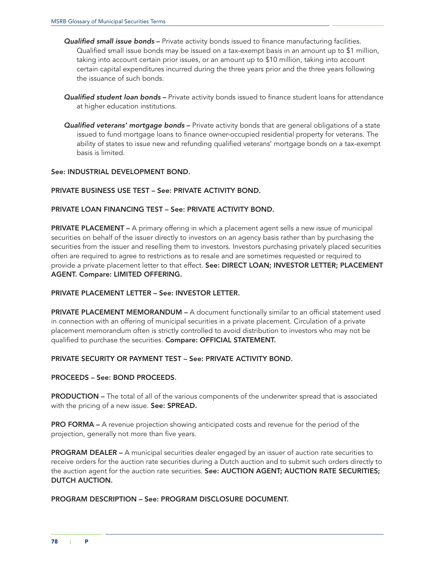- *Qualified small issue bonds* Private activity bonds issued to finance manufacturing facilities. Qualified small issue bonds may be issued on a tax-exempt basis in an amount up to \$1 million, taking into account certain prior issues, or an amount up to \$10 million, taking into account certain capital expenditures incurred during the three years prior and the three years following the issuance of such bonds.
- *Qualified student loan bonds* Private activity bonds issued to finance student loans for attendance at higher education institutions.
- *Qualified veterans' mortgage bonds* Private activity bonds that are general obligations of a state issued to fund mortgage loans to finance owner-occupied residential property for veterans. The ability of states to issue new and refunding qualified veterans' mortgage bonds on a tax-exempt basis is limited.

## See: INDUSTRIAL DEVELOPMENT BOND.

### PRIVATE BUSINESS USE TEST – See: PRIVATE ACTIVITY BOND.

### PRIVATE LOAN FINANCING TEST – See: PRIVATE ACTIVITY BOND.

**PRIVATE PLACEMENT** – A primary offering in which a placement agent sells a new issue of municipal securities on behalf of the issuer directly to investors on an agency basis rather than by purchasing the securities from the issuer and reselling them to investors. Investors purchasing privately placed securities often are required to agree to restrictions as to resale and are sometimes requested or required to provide a private placement letter to that effect. See: DIRECT LOAN; INVESTOR LETTER; PLACEMENT AGENT. Compare: LIMITED OFFERING.

#### PRIVATE PLACEMENT LETTER – See: INVESTOR LETTER.

PRIVATE PLACEMENT MEMORANDUM – A document functionally similar to an official statement used in connection with an offering of municipal securities in a private placement. Circulation of a private placement memorandum often is strictly controlled to avoid distribution to investors who may not be qualified to purchase the securities. Compare: OFFICIAL STATEMENT.

## PRIVATE SECURITY OR PAYMENT TEST – See: PRIVATE ACTIVITY BOND.

#### PROCEEDS – See: BOND PROCEEDS.

**PRODUCTION –** The total of all of the various components of the underwriter spread that is associated with the pricing of a new issue. See: SPREAD.

**PRO FORMA** – A revenue projection showing anticipated costs and revenue for the period of the projection, generally not more than five years.

PROGRAM DEALER – A municipal securities dealer engaged by an issuer of auction rate securities to receive orders for the auction rate securities during a Dutch auction and to submit such orders directly to the auction agent for the auction rate securities. See: AUCTION AGENT; AUCTION RATE SECURITIES; DUTCH AUCTION.

PROGRAM DESCRIPTION – See: PROGRAM DISCLOSURE DOCUMENT.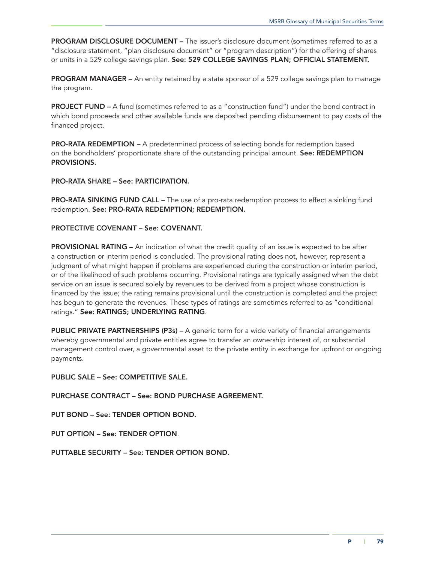PROGRAM DISCLOSURE DOCUMENT - The issuer's disclosure document (sometimes referred to as a "disclosure statement, "plan disclosure document" or "program description") for the offering of shares or units in a 529 college savings plan. See: 529 COLLEGE SAVINGS PLAN; OFFICIAL STATEMENT.

PROGRAM MANAGER – An entity retained by a state sponsor of a 529 college savings plan to manage the program.

PROJECT FUND – A fund (sometimes referred to as a "construction fund") under the bond contract in which bond proceeds and other available funds are deposited pending disbursement to pay costs of the financed project.

PRO-RATA REDEMPTION – A predetermined process of selecting bonds for redemption based on the bondholders' proportionate share of the outstanding principal amount. See: REDEMPTION PROVISIONS.

### PRO-RATA SHARE – See: PARTICIPATION.

**PRO-RATA SINKING FUND CALL –** The use of a pro-rata redemption process to effect a sinking fund redemption. See: PRO-RATA REDEMPTION; REDEMPTION.

### PROTECTIVE COVENANT – See: COVENANT.

PROVISIONAL RATING – An indication of what the credit quality of an issue is expected to be after a construction or interim period is concluded. The provisional rating does not, however, represent a judgment of what might happen if problems are experienced during the construction or interim period, or of the likelihood of such problems occurring. Provisional ratings are typically assigned when the debt service on an issue is secured solely by revenues to be derived from a project whose construction is financed by the issue; the rating remains provisional until the construction is completed and the project has begun to generate the revenues. These types of ratings are sometimes referred to as "conditional ratings." See: RATINGS; UNDERLYING RATING.

PUBLIC PRIVATE PARTNERSHIPS (P3s) - A generic term for a wide variety of financial arrangements whereby governmental and private entities agree to transfer an ownership interest of, or substantial management control over, a governmental asset to the private entity in exchange for upfront or ongoing payments.

PUBLIC SALE – See: COMPETITIVE SALE.

PURCHASE CONTRACT – See: BOND PURCHASE AGREEMENT.

PUT BOND – See: TENDER OPTION BOND.

PUT OPTION – See: TENDER OPTION.

PUTTABLE SECURITY – See: TENDER OPTION BOND.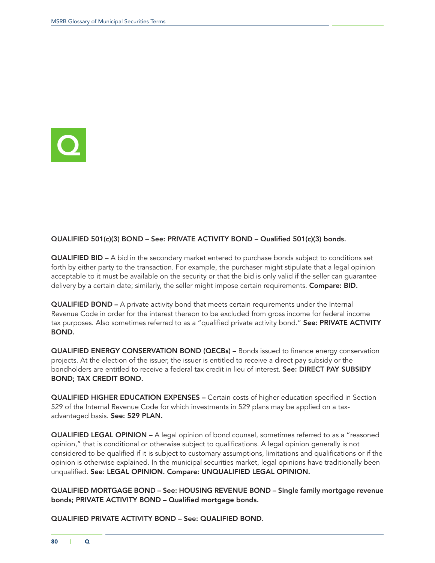

## QUALIFIED 501(c)(3) BOND – See: PRIVATE ACTIVITY BOND – Qualified 501(c)(3) bonds.

QUALIFIED BID – A bid in the secondary market entered to purchase bonds subject to conditions set forth by either party to the transaction. For example, the purchaser might stipulate that a legal opinion acceptable to it must be available on the security or that the bid is only valid if the seller can guarantee delivery by a certain date; similarly, the seller might impose certain requirements. Compare: BID.

QUALIFIED BOND – A private activity bond that meets certain requirements under the Internal Revenue Code in order for the interest thereon to be excluded from gross income for federal income tax purposes. Also sometimes referred to as a "qualified private activity bond." See: PRIVATE ACTIVITY BOND.

QUALIFIED ENERGY CONSERVATION BOND (QECBs) – Bonds issued to finance energy conservation projects. At the election of the issuer, the issuer is entitled to receive a direct pay subsidy or the bondholders are entitled to receive a federal tax credit in lieu of interest. See: DIRECT PAY SUBSIDY BOND; TAX CREDIT BOND.

QUALIFIED HIGHER EDUCATION EXPENSES – Certain costs of higher education specified in Section 529 of the Internal Revenue Code for which investments in 529 plans may be applied on a taxadvantaged basis. See: 529 PLAN.

QUALIFIED LEGAL OPINION – A legal opinion of bond counsel, sometimes referred to as a "reasoned opinion," that is conditional or otherwise subject to qualifications. A legal opinion generally is not considered to be qualified if it is subject to customary assumptions, limitations and qualifications or if the opinion is otherwise explained. In the municipal securities market, legal opinions have traditionally been unqualified. See: LEGAL OPINION. Compare: UNQUALIFIED LEGAL OPINION.

QUALIFIED MORTGAGE BOND – See: HOUSING REVENUE BOND – Single family mortgage revenue bonds; PRIVATE ACTIVITY BOND – Qualified mortgage bonds.

QUALIFIED PRIVATE ACTIVITY BOND – See: QUALIFIED BOND.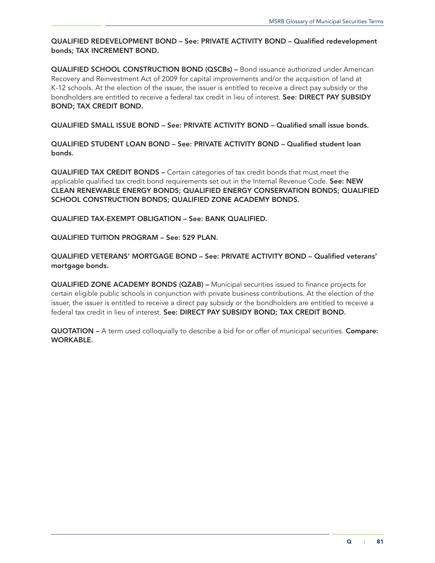# QUALIFIED REDEVELOPMENT BOND – See: PRIVATE ACTIVITY BOND – Qualified redevelopment bonds; TAX INCREMENT BOND.

QUALIFIED SCHOOL CONSTRUCTION BOND (QSCBs) – Bond issuance authorized under American Recovery and Reinvestment Act of 2009 for capital improvements and/or the acquisition of land at K-12 schools. At the election of the issuer, the issuer is entitled to receive a direct pay subsidy or the bondholders are entitled to receive a federal tax credit in lieu of interest. See: DIRECT PAY SUBSIDY BOND; TAX CREDIT BOND.

QUALIFIED SMALL ISSUE BOND – See: PRIVATE ACTIVITY BOND – Qualified small issue bonds.

QUALIFIED STUDENT LOAN BOND – See: PRIVATE ACTIVITY BOND – Qualified student loan bonds.

QUALIFIED TAX CREDIT BONDS – Certain categories of tax credit bonds that must meet the applicable qualified tax credit bond requirements set out in the Internal Revenue Code. See: NEW CLEAN RENEWABLE ENERGY BONDS; QUALIFIED ENERGY CONSERVATION BONDS; QUALIFIED SCHOOL CONSTRUCTION BONDS; QUALIFIED ZONE ACADEMY BONDS.

QUALIFIED TAX-EXEMPT OBLIGATION – See: BANK QUALIFIED.

QUALIFIED TUITION PROGRAM – See: 529 PLAN.

QUALIFIED VETERANS' MORTGAGE BOND – See: PRIVATE ACTIVITY BOND – Qualified veterans' mortgage bonds.

QUALIFIED ZONE ACADEMY BONDS (QZAB) – Municipal securities issued to finance projects for certain eligible public schools in conjunction with private business contributions. At the election of the issuer, the issuer is entitled to receive a direct pay subsidy or the bondholders are entitled to receive a federal tax credit in lieu of interest. See: DIRECT PAY SUBSIDY BOND; TAX CREDIT BOND.

QUOTATION – A term used colloquially to describe a bid for or offer of municipal securities. Compare: WORKABLE.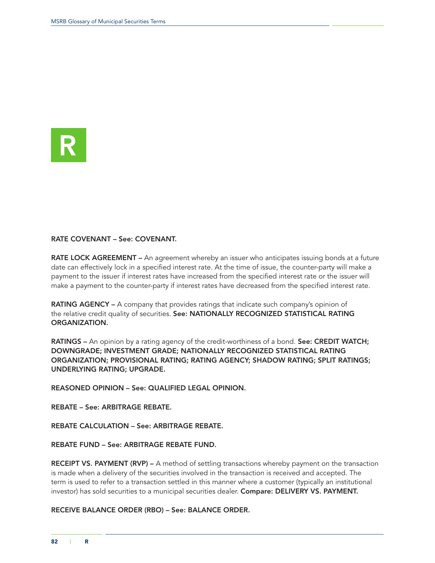

### RATE COVENANT – See: COVENANT.

RATE LOCK AGREEMENT – An agreement whereby an issuer who anticipates issuing bonds at a future date can effectively lock in a specified interest rate. At the time of issue, the counter-party will make a payment to the issuer if interest rates have increased from the specified interest rate or the issuer will make a payment to the counter-party if interest rates have decreased from the specified interest rate.

RATING AGENCY – A company that provides ratings that indicate such company's opinion of the relative credit quality of securities. See: NATIONALLY RECOGNIZED STATISTICAL RATING ORGANIZATION.

RATINGS – An opinion by a rating agency of the credit-worthiness of a bond. See: CREDIT WATCH; DOWNGRADE; INVESTMENT GRADE; NATIONALLY RECOGNIZED STATISTICAL RATING ORGANIZATION; PROVISIONAL RATING; RATING AGENCY; SHADOW RATING; SPLIT RATINGS; UNDERLYING RATING; UPGRADE.

REASONED OPINION – See: QUALIFIED LEGAL OPINION.

REBATE – See: ARBITRAGE REBATE.

REBATE CALCULATION – See: ARBITRAGE REBATE.

REBATE FUND – See: ARBITRAGE REBATE FUND.

RECEIPT VS. PAYMENT (RVP) – A method of settling transactions whereby payment on the transaction is made when a delivery of the securities involved in the transaction is received and accepted. The term is used to refer to a transaction settled in this manner where a customer (typically an institutional investor) has sold securities to a municipal securities dealer. Compare: DELIVERY VS. PAYMENT.

RECEIVE BALANCE ORDER (RBO) – See: BALANCE ORDER.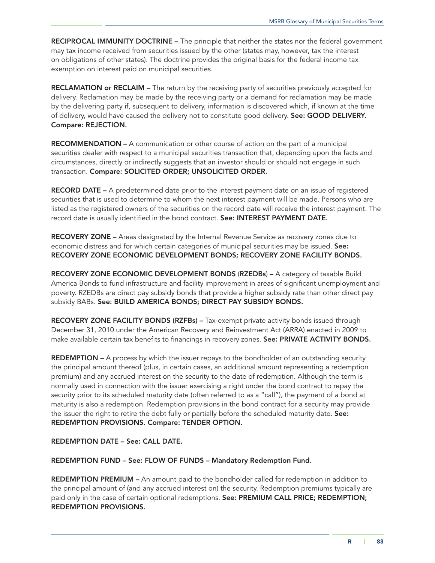RECIPROCAL IMMUNITY DOCTRINE – The principle that neither the states nor the federal government may tax income received from securities issued by the other (states may, however, tax the interest on obligations of other states). The doctrine provides the original basis for the federal income tax exemption on interest paid on municipal securities.

RECLAMATION or RECLAIM – The return by the receiving party of securities previously accepted for delivery. Reclamation may be made by the receiving party or a demand for reclamation may be made by the delivering party if, subsequent to delivery, information is discovered which, if known at the time of delivery, would have caused the delivery not to constitute good delivery. See: GOOD DELIVERY. Compare: REJECTION.

RECOMMENDATION – A communication or other course of action on the part of a municipal securities dealer with respect to a municipal securities transaction that, depending upon the facts and circumstances, directly or indirectly suggests that an investor should or should not engage in such transaction. Compare: SOLICITED ORDER; UNSOLICITED ORDER.

RECORD DATE – A predetermined date prior to the interest payment date on an issue of registered securities that is used to determine to whom the next interest payment will be made. Persons who are listed as the registered owners of the securities on the record date will receive the interest payment. The record date is usually identified in the bond contract. See: INTEREST PAYMENT DATE.

**RECOVERY ZONE –** Areas designated by the Internal Revenue Service as recovery zones due to economic distress and for which certain categories of municipal securities may be issued. See: RECOVERY ZONE ECONOMIC DEVELOPMENT BONDS; RECOVERY ZONE FACILITY BONDS.

RECOVERY ZONE ECONOMIC DEVELOPMENT BONDS (RZEDBs) – A category of taxable Build America Bonds to fund infrastructure and facility improvement in areas of significant unemployment and poverty. RZEDBs are direct pay subsidy bonds that provide a higher subsidy rate than other direct pay subsidy BABs. See: BUILD AMERICA BONDS; DIRECT PAY SUBSIDY BONDS.

RECOVERY ZONE FACILITY BONDS (RZFBs) – Tax-exempt private activity bonds issued through December 31, 2010 under the American Recovery and Reinvestment Act (ARRA) enacted in 2009 to make available certain tax benefits to financings in recovery zones. See: PRIVATE ACTIVITY BONDS.

**REDEMPTION –** A process by which the issuer repays to the bondholder of an outstanding security the principal amount thereof (plus, in certain cases, an additional amount representing a redemption premium) and any accrued interest on the security to the date of redemption. Although the term is normally used in connection with the issuer exercising a right under the bond contract to repay the security prior to its scheduled maturity date (often referred to as a "call"), the payment of a bond at maturity is also a redemption. Redemption provisions in the bond contract for a security may provide the issuer the right to retire the debt fully or partially before the scheduled maturity date. See: REDEMPTION PROVISIONS. Compare: TENDER OPTION.

REDEMPTION DATE – See: CALL DATE.

REDEMPTION FUND – See: FLOW OF FUNDS – Mandatory Redemption Fund.

REDEMPTION PREMIUM – An amount paid to the bondholder called for redemption in addition to the principal amount of (and any accrued interest on) the security. Redemption premiums typically are paid only in the case of certain optional redemptions. See: PREMIUM CALL PRICE; REDEMPTION; REDEMPTION PROVISIONS.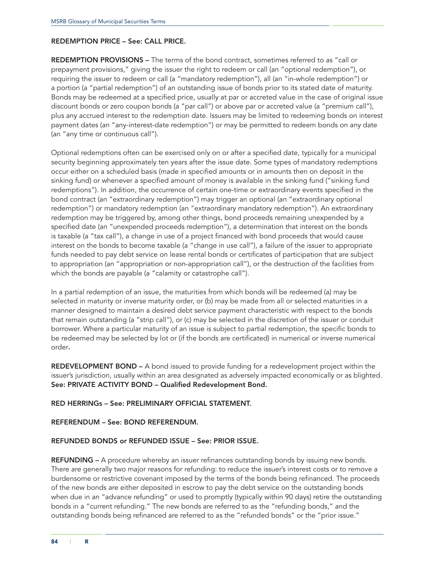#### REDEMPTION PRICE – See: CALL PRICE.

REDEMPTION PROVISIONS – The terms of the bond contract, sometimes referred to as "call or prepayment provisions," giving the issuer the right to redeem or call (an "optional redemption"), or requiring the issuer to redeem or call (a "mandatory redemption"), all (an "in-whole redemption") or a portion (a "partial redemption") of an outstanding issue of bonds prior to its stated date of maturity. Bonds may be redeemed at a specified price, usually at par or accreted value in the case of original issue discount bonds or zero coupon bonds (a "par call") or above par or accreted value (a "premium call"), plus any accrued interest to the redemption date. Issuers may be limited to redeeming bonds on interest payment dates (an "any-interest-date redemption") or may be permitted to redeem bonds on any date (an "any time or continuous call").

Optional redemptions often can be exercised only on or after a specified date, typically for a municipal security beginning approximately ten years after the issue date. Some types of mandatory redemptions occur either on a scheduled basis (made in specified amounts or in amounts then on deposit in the sinking fund) or whenever a specified amount of money is available in the sinking fund ("sinking fund redemptions"). In addition, the occurrence of certain one-time or extraordinary events specified in the bond contract (an "extraordinary redemption") may trigger an optional (an "extraordinary optional redemption") or mandatory redemption (an "extraordinary mandatory redemption"). An extraordinary redemption may be triggered by, among other things, bond proceeds remaining unexpended by a specified date (an "unexpended proceeds redemption"), a determination that interest on the bonds is taxable (a "tax call"), a change in use of a project financed with bond proceeds that would cause interest on the bonds to become taxable (a "change in use call"), a failure of the issuer to appropriate funds needed to pay debt service on lease rental bonds or certificates of participation that are subject to appropriation (an "appropriation or non-appropriation call"), or the destruction of the facilities from which the bonds are payable (a "calamity or catastrophe call").

In a partial redemption of an issue, the maturities from which bonds will be redeemed (a) may be selected in maturity or inverse maturity order, or (b) may be made from all or selected maturities in a manner designed to maintain a desired debt service payment characteristic with respect to the bonds that remain outstanding (a "strip call"), or (c) may be selected in the discretion of the issuer or conduit borrower. Where a particular maturity of an issue is subject to partial redemption, the specific bonds to be redeemed may be selected by lot or (if the bonds are certificated) in numerical or inverse numerical order.

REDEVELOPMENT BOND – A bond issued to provide funding for a redevelopment project within the issuer's jurisdiction, usually within an area designated as adversely impacted economically or as blighted. See: PRIVATE ACTIVITY BOND – Qualified Redevelopment Bond.

#### RED HERRINGs – See: PRELIMINARY OFFICIAL STATEMENT.

#### REFERENDUM – See: BOND REFERENDUM.

#### REFUNDED BONDS or REFUNDED ISSUE – See: PRIOR ISSUE.

REFUNDING – A procedure whereby an issuer refinances outstanding bonds by issuing new bonds. There are generally two major reasons for refunding: to reduce the issuer's interest costs or to remove a burdensome or restrictive covenant imposed by the terms of the bonds being refinanced. The proceeds of the new bonds are either deposited in escrow to pay the debt service on the outstanding bonds when due in an "advance refunding" or used to promptly (typically within 90 days) retire the outstanding bonds in a "current refunding." The new bonds are referred to as the "refunding bonds," and the outstanding bonds being refinanced are referred to as the "refunded bonds" or the "prior issue."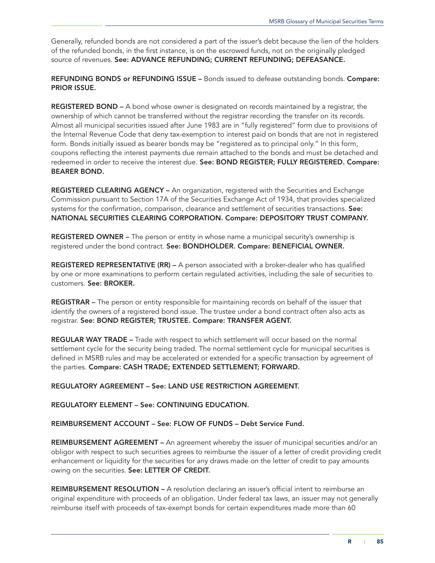Generally, refunded bonds are not considered a part of the issuer's debt because the lien of the holders of the refunded bonds, in the first instance, is on the escrowed funds, not on the originally pledged source of revenues. See: ADVANCE REFUNDING; CURRENT REFUNDING; DEFEASANCE.

REFUNDING BONDS or REFUNDING ISSUE – Bonds issued to defease outstanding bonds. Compare: PRIOR ISSUE.

REGISTERED BOND – A bond whose owner is designated on records maintained by a registrar, the ownership of which cannot be transferred without the registrar recording the transfer on its records. Almost all municipal securities issued after June 1983 are in "fully registered" form due to provisions of the Internal Revenue Code that deny tax-exemption to interest paid on bonds that are not in registered form. Bonds initially issued as bearer bonds may be "registered as to principal only." In this form, coupons reflecting the interest payments due remain attached to the bonds and must be detached and redeemed in order to receive the interest due. See: BOND REGISTER; FULLY REGISTERED. Compare: BEARER BOND.

REGISTERED CLEARING AGENCY – An organization, registered with the Securities and Exchange Commission pursuant to Section 17A of the Securities Exchange Act of 1934, that provides specialized systems for the confirmation, comparison, clearance and settlement of securities transactions. See: NATIONAL SECURITIES CLEARING CORPORATION. Compare: DEPOSITORY TRUST COMPANY.

REGISTERED OWNER - The person or entity in whose name a municipal security's ownership is registered under the bond contract. See: BONDHOLDER. Compare: BENEFICIAL OWNER.

REGISTERED REPRESENTATIVE (RR) – A person associated with a broker-dealer who has qualified by one or more examinations to perform certain regulated activities, including the sale of securities to customers. See: BROKER.

REGISTRAR – The person or entity responsible for maintaining records on behalf of the issuer that identify the owners of a registered bond issue. The trustee under a bond contract often also acts as registrar. See: BOND REGISTER; TRUSTEE. Compare: TRANSFER AGENT.

REGULAR WAY TRADE – Trade with respect to which settlement will occur based on the normal settlement cycle for the security being traded. The normal settlement cycle for municipal securities is defined in MSRB rules and may be accelerated or extended for a specific transaction by agreement of the parties. Compare: CASH TRADE; EXTENDED SETTLEMENT; FORWARD.

REGULATORY AGREEMENT – See: LAND USE RESTRICTION AGREEMENT.

REGULATORY ELEMENT – See: CONTINUING EDUCATION.

REIMBURSEMENT ACCOUNT – See: FLOW OF FUNDS – Debt Service Fund.

REIMBURSEMENT AGREEMENT – An agreement whereby the issuer of municipal securities and/or an obligor with respect to such securities agrees to reimburse the issuer of a letter of credit providing credit enhancement or liquidity for the securities for any draws made on the letter of credit to pay amounts owing on the securities. See: LETTER OF CREDIT.

REIMBURSEMENT RESOLUTION - A resolution declaring an issuer's official intent to reimburse an original expenditure with proceeds of an obligation. Under federal tax laws, an issuer may not generally reimburse itself with proceeds of tax-exempt bonds for certain expenditures made more than 60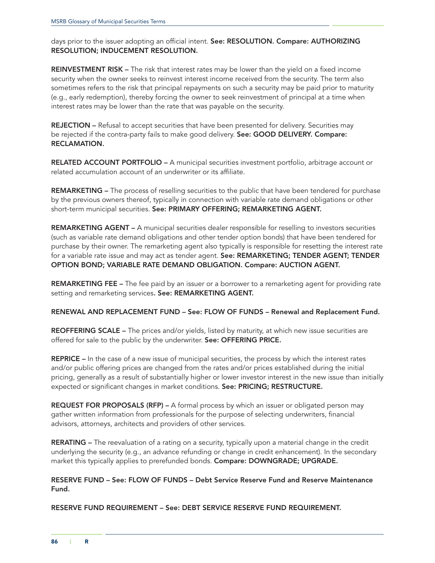days prior to the issuer adopting an official intent. See: RESOLUTION. Compare: AUTHORIZING RESOLUTION; INDUCEMENT RESOLUTION.

REINVESTMENT RISK – The risk that interest rates may be lower than the yield on a fixed income security when the owner seeks to reinvest interest income received from the security. The term also sometimes refers to the risk that principal repayments on such a security may be paid prior to maturity (e.g., early redemption), thereby forcing the owner to seek reinvestment of principal at a time when interest rates may be lower than the rate that was payable on the security.

REJECTION – Refusal to accept securities that have been presented for delivery. Securities may be rejected if the contra-party fails to make good delivery. See: GOOD DELIVERY. Compare: RECLAMATION.

RELATED ACCOUNT PORTFOLIO – A municipal securities investment portfolio, arbitrage account or related accumulation account of an underwriter or its affiliate.

REMARKETING – The process of reselling securities to the public that have been tendered for purchase by the previous owners thereof, typically in connection with variable rate demand obligations or other short-term municipal securities. See: PRIMARY OFFERING; REMARKETING AGENT.

REMARKETING AGENT – A municipal securities dealer responsible for reselling to investors securities (such as variable rate demand obligations and other tender option bonds) that have been tendered for purchase by their owner. The remarketing agent also typically is responsible for resetting the interest rate for a variable rate issue and may act as tender agent. See: REMARKETING; TENDER AGENT; TENDER OPTION BOND; VARIABLE RATE DEMAND OBLIGATION. Compare: AUCTION AGENT.

**REMARKETING FEE** – The fee paid by an issuer or a borrower to a remarketing agent for providing rate setting and remarketing services. See: REMARKETING AGENT.

RENEWAL AND REPLACEMENT FUND – See: FLOW OF FUNDS – Renewal and Replacement Fund.

REOFFERING SCALE – The prices and/or yields, listed by maturity, at which new issue securities are offered for sale to the public by the underwriter. See: OFFERING PRICE.

REPRICE – In the case of a new issue of municipal securities, the process by which the interest rates and/or public offering prices are changed from the rates and/or prices established during the initial pricing, generally as a result of substantially higher or lower investor interest in the new issue than initially expected or significant changes in market conditions. See: PRICING; RESTRUCTURE.

REQUEST FOR PROPOSALS (RFP) – A formal process by which an issuer or obligated person may gather written information from professionals for the purpose of selecting underwriters, financial advisors, attorneys, architects and providers of other services.

RERATING – The reevaluation of a rating on a security, typically upon a material change in the credit underlying the security (e.g., an advance refunding or change in credit enhancement). In the secondary market this typically applies to prerefunded bonds. Compare: DOWNGRADE; UPGRADE.

## RESERVE FUND – See: FLOW OF FUNDS – Debt Service Reserve Fund and Reserve Maintenance Fund.

RESERVE FUND REQUIREMENT – See: DEBT SERVICE RESERVE FUND REQUIREMENT.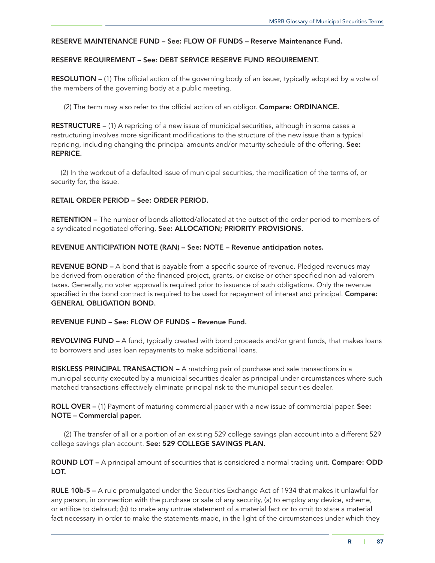#### RESERVE MAINTENANCE FUND – See: FLOW OF FUNDS – Reserve Maintenance Fund.

#### RESERVE REQUIREMENT – See: DEBT SERVICE RESERVE FUND REQUIREMENT.

RESOLUTION – (1) The official action of the governing body of an issuer, typically adopted by a vote of the members of the governing body at a public meeting.

(2) The term may also refer to the official action of an obligor. Compare: ORDINANCE.

RESTRUCTURE – (1) A repricing of a new issue of municipal securities, although in some cases a restructuring involves more significant modifications to the structure of the new issue than a typical repricing, including changing the principal amounts and/or maturity schedule of the offering. See: REPRICE.

(2) In the workout of a defaulted issue of municipal securities, the modification of the terms of, or security for, the issue.

#### RETAIL ORDER PERIOD – See: ORDER PERIOD.

RETENTION – The number of bonds allotted/allocated at the outset of the order period to members of a syndicated negotiated offering. See: ALLOCATION; PRIORITY PROVISIONS.

#### REVENUE ANTICIPATION NOTE (RAN) – See: NOTE – Revenue anticipation notes.

REVENUE BOND – A bond that is payable from a specific source of revenue. Pledged revenues may be derived from operation of the financed project, grants, or excise or other specified non-ad-valorem taxes. Generally, no voter approval is required prior to issuance of such obligations. Only the revenue specified in the bond contract is required to be used for repayment of interest and principal. Compare: GENERAL OBLIGATION BOND.

## REVENUE FUND – See: FLOW OF FUNDS – Revenue Fund.

REVOLVING FUND – A fund, typically created with bond proceeds and/or grant funds, that makes loans to borrowers and uses loan repayments to make additional loans.

RISKLESS PRINCIPAL TRANSACTION – A matching pair of purchase and sale transactions in a municipal security executed by a municipal securities dealer as principal under circumstances where such matched transactions effectively eliminate principal risk to the municipal securities dealer.

ROLL OVER – (1) Payment of maturing commercial paper with a new issue of commercial paper. See: NOTE – Commercial paper.

(2) The transfer of all or a portion of an existing 529 college savings plan account into a different 529 college savings plan account. See: 529 COLLEGE SAVINGS PLAN.

ROUND LOT – A principal amount of securities that is considered a normal trading unit. Compare: ODD LOT.

RULE 10b-5 – A rule promulgated under the Securities Exchange Act of 1934 that makes it unlawful for any person, in connection with the purchase or sale of any security, (a) to employ any device, scheme, or artifice to defraud; (b) to make any untrue statement of a material fact or to omit to state a material fact necessary in order to make the statements made, in the light of the circumstances under which they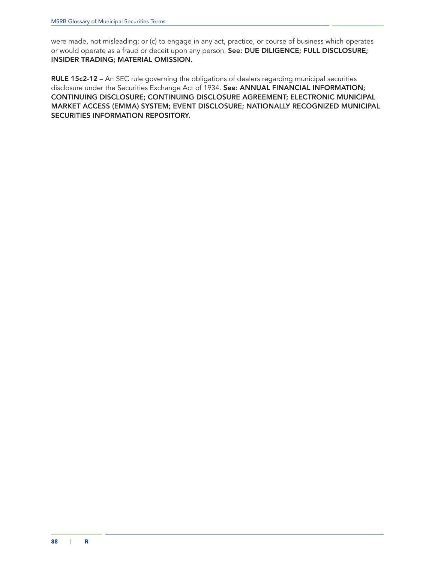were made, not misleading; or (c) to engage in any act, practice, or course of business which operates or would operate as a fraud or deceit upon any person. See: DUE DILIGENCE; FULL DISCLOSURE; INSIDER TRADING; MATERIAL OMISSION.

RULE 15c2-12 - An SEC rule governing the obligations of dealers regarding municipal securities disclosure under the Securities Exchange Act of 1934. See: ANNUAL FINANCIAL INFORMATION; CONTINUING DISCLOSURE; CONTINUING DISCLOSURE AGREEMENT; ELECTRONIC MUNICIPAL MARKET ACCESS (EMMA) SYSTEM; EVENT DISCLOSURE; NATIONALLY RECOGNIZED MUNICIPAL SECURITIES INFORMATION REPOSITORY.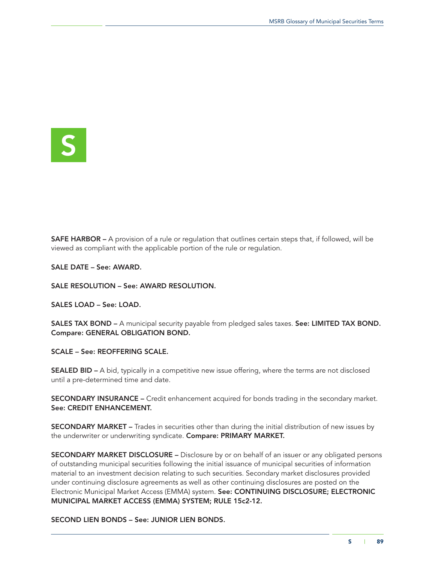S

SAFE HARBOR – A provision of a rule or regulation that outlines certain steps that, if followed, will be viewed as compliant with the applicable portion of the rule or regulation.

SALE DATE – See: AWARD.

SALE RESOLUTION – See: AWARD RESOLUTION.

SALES LOAD – See: LOAD.

SALES TAX BOND – A municipal security payable from pledged sales taxes. See: LIMITED TAX BOND. Compare: GENERAL OBLIGATION BOND.

SCALE – See: REOFFERING SCALE.

**SEALED BID –** A bid, typically in a competitive new issue offering, where the terms are not disclosed until a pre-determined time and date.

SECONDARY INSURANCE – Credit enhancement acquired for bonds trading in the secondary market. See: CREDIT ENHANCEMENT.

SECONDARY MARKET – Trades in securities other than during the initial distribution of new issues by the underwriter or underwriting syndicate. Compare: PRIMARY MARKET.

SECONDARY MARKET DISCLOSURE – Disclosure by or on behalf of an issuer or any obligated persons of outstanding municipal securities following the initial issuance of municipal securities of information material to an investment decision relating to such securities. Secondary market disclosures provided under continuing disclosure agreements as well as other continuing disclosures are posted on the Electronic Municipal Market Access (EMMA) system. See: CONTINUING DISCLOSURE; ELECTRONIC MUNICIPAL MARKET ACCESS (EMMA) SYSTEM; RULE 15c2-12.

SECOND LIEN BONDS – See: JUNIOR LIEN BONDS.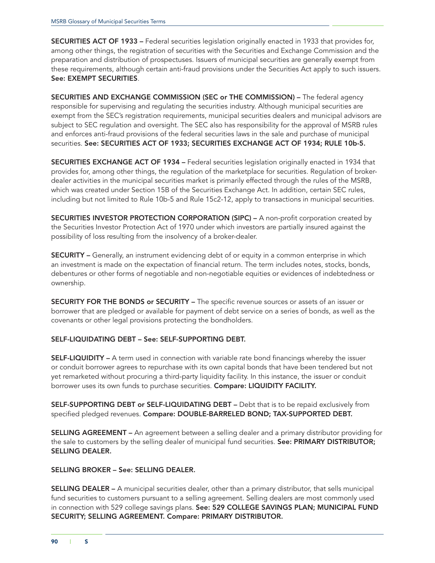SECURITIES ACT OF 1933 – Federal securities legislation originally enacted in 1933 that provides for, among other things, the registration of securities with the Securities and Exchange Commission and the preparation and distribution of prospectuses. Issuers of municipal securities are generally exempt from these requirements, although certain anti-fraud provisions under the Securities Act apply to such issuers. See: EXEMPT SECURITIES.

SECURITIES AND EXCHANGE COMMISSION (SEC or THE COMMISSION) – The federal agency responsible for supervising and regulating the securities industry. Although municipal securities are exempt from the SEC's registration requirements, municipal securities dealers and municipal advisors are subject to SEC regulation and oversight. The SEC also has responsibility for the approval of MSRB rules and enforces anti-fraud provisions of the federal securities laws in the sale and purchase of municipal securities. See: SECURITIES ACT OF 1933; SECURITIES EXCHANGE ACT OF 1934; RULE 10b-5.

SECURITIES EXCHANGE ACT OF 1934 – Federal securities legislation originally enacted in 1934 that provides for, among other things, the regulation of the marketplace for securities. Regulation of brokerdealer activities in the municipal securities market is primarily effected through the rules of the MSRB, which was created under Section 15B of the Securities Exchange Act. In addition, certain SEC rules, including but not limited to Rule 10b-5 and Rule 15c2-12, apply to transactions in municipal securities.

SECURITIES INVESTOR PROTECTION CORPORATION (SIPC) – A non-profit corporation created by the Securities Investor Protection Act of 1970 under which investors are partially insured against the possibility of loss resulting from the insolvency of a broker-dealer.

SECURITY – Generally, an instrument evidencing debt of or equity in a common enterprise in which an investment is made on the expectation of financial return. The term includes notes, stocks, bonds, debentures or other forms of negotiable and non-negotiable equities or evidences of indebtedness or ownership.

SECURITY FOR THE BONDS or SECURITY – The specific revenue sources or assets of an issuer or borrower that are pledged or available for payment of debt service on a series of bonds, as well as the covenants or other legal provisions protecting the bondholders.

## SELF-LIQUIDATING DEBT – See: SELF-SUPPORTING DEBT.

**SELF-LIQUIDITY** – A term used in connection with variable rate bond financings whereby the issuer or conduit borrower agrees to repurchase with its own capital bonds that have been tendered but not yet remarketed without procuring a third-party liquidity facility. In this instance, the issuer or conduit borrower uses its own funds to purchase securities. Compare: LIQUIDITY FACILITY.

SELF-SUPPORTING DEBT or SELF-LIQUIDATING DEBT – Debt that is to be repaid exclusively from specified pledged revenues. Compare: DOUBLE-BARRELED BOND; TAX-SUPPORTED DEBT.

SELLING AGREEMENT – An agreement between a selling dealer and a primary distributor providing for the sale to customers by the selling dealer of municipal fund securities. See: PRIMARY DISTRIBUTOR; SELLING DEALER.

### SELLING BROKER – See: SELLING DEALER.

SELLING DEALER – A municipal securities dealer, other than a primary distributor, that sells municipal fund securities to customers pursuant to a selling agreement. Selling dealers are most commonly used in connection with 529 college savings plans. See: 529 COLLEGE SAVINGS PLAN; MUNICIPAL FUND SECURITY; SELLING AGREEMENT. Compare: PRIMARY DISTRIBUTOR.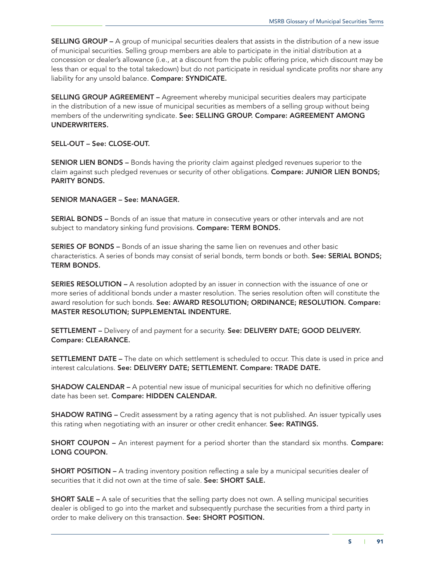SELLING GROUP – A group of municipal securities dealers that assists in the distribution of a new issue of municipal securities. Selling group members are able to participate in the initial distribution at a concession or dealer's allowance (i.e., at a discount from the public offering price, which discount may be less than or equal to the total takedown) but do not participate in residual syndicate profits nor share any liability for any unsold balance. Compare: SYNDICATE.

SELLING GROUP AGREEMENT – Agreement whereby municipal securities dealers may participate in the distribution of a new issue of municipal securities as members of a selling group without being members of the underwriting syndicate. See: SELLING GROUP. Compare: AGREEMENT AMONG UNDERWRITERS.

### SELL-OUT – See: CLOSE-OUT.

SENIOR LIEN BONDS – Bonds having the priority claim against pledged revenues superior to the claim against such pledged revenues or security of other obligations. Compare: JUNIOR LIEN BONDS; PARITY BONDS.

SENIOR MANAGER – See: MANAGER.

SERIAL BONDS – Bonds of an issue that mature in consecutive years or other intervals and are not subject to mandatory sinking fund provisions. Compare: TERM BONDS.

SERIES OF BONDS – Bonds of an issue sharing the same lien on revenues and other basic characteristics. A series of bonds may consist of serial bonds, term bonds or both. See: SERIAL BONDS; TERM BONDS.

SERIES RESOLUTION – A resolution adopted by an issuer in connection with the issuance of one or more series of additional bonds under a master resolution. The series resolution often will constitute the award resolution for such bonds. See: AWARD RESOLUTION; ORDINANCE; RESOLUTION. Compare: MASTER RESOLUTION; SUPPLEMENTAL INDENTURE.

SETTLEMENT - Delivery of and payment for a security. See: DELIVERY DATE; GOOD DELIVERY. Compare: CLEARANCE.

SETTLEMENT DATE – The date on which settlement is scheduled to occur. This date is used in price and interest calculations. See: DELIVERY DATE; SETTLEMENT. Compare: TRADE DATE.

SHADOW CALENDAR – A potential new issue of municipal securities for which no definitive offering date has been set. Compare: HIDDEN CALENDAR.

**SHADOW RATING** – Credit assessment by a rating agency that is not published. An issuer typically uses this rating when negotiating with an insurer or other credit enhancer. See: RATINGS.

**SHORT COUPON** – An interest payment for a period shorter than the standard six months. **Compare:** LONG COUPON.

SHORT POSITION – A trading inventory position reflecting a sale by a municipal securities dealer of securities that it did not own at the time of sale. See: SHORT SALE.

**SHORT SALE –** A sale of securities that the selling party does not own. A selling municipal securities dealer is obliged to go into the market and subsequently purchase the securities from a third party in order to make delivery on this transaction. See: SHORT POSITION.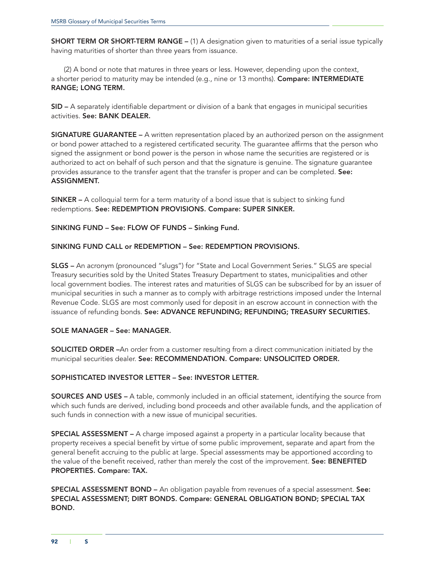SHORT TERM OR SHORT-TERM RANGE – (1) A designation given to maturities of a serial issue typically having maturities of shorter than three years from issuance.

(2) A bond or note that matures in three years or less. However, depending upon the context, a shorter period to maturity may be intended (e.g., nine or 13 months). Compare: INTERMEDIATE RANGE; LONG TERM.

SID – A separately identifiable department or division of a bank that engages in municipal securities activities. See: BANK DEALER.

SIGNATURE GUARANTEE – A written representation placed by an authorized person on the assignment or bond power attached to a registered certificated security. The guarantee affirms that the person who signed the assignment or bond power is the person in whose name the securities are registered or is authorized to act on behalf of such person and that the signature is genuine. The signature guarantee provides assurance to the transfer agent that the transfer is proper and can be completed. See: ASSIGNMENT.

SINKER – A colloquial term for a term maturity of a bond issue that is subject to sinking fund redemptions. See: REDEMPTION PROVISIONS. Compare: SUPER SINKER.

SINKING FUND – See: FLOW OF FUNDS – Sinking Fund.

### SINKING FUND CALL or REDEMPTION – See: REDEMPTION PROVISIONS.

SLGS – An acronym (pronounced "slugs") for "State and Local Government Series." SLGS are special Treasury securities sold by the United States Treasury Department to states, municipalities and other local government bodies. The interest rates and maturities of SLGS can be subscribed for by an issuer of municipal securities in such a manner as to comply with arbitrage restrictions imposed under the Internal Revenue Code. SLGS are most commonly used for deposit in an escrow account in connection with the issuance of refunding bonds. See: ADVANCE REFUNDING; REFUNDING; TREASURY SECURITIES.

## SOLE MANAGER – See: MANAGER.

SOLICITED ORDER –An order from a customer resulting from a direct communication initiated by the municipal securities dealer. See: RECOMMENDATION. Compare: UNSOLICITED ORDER.

#### SOPHISTICATED INVESTOR LETTER – See: INVESTOR LETTER.

SOURCES AND USES – A table, commonly included in an official statement, identifying the source from which such funds are derived, including bond proceeds and other available funds, and the application of such funds in connection with a new issue of municipal securities.

SPECIAL ASSESSMENT – A charge imposed against a property in a particular locality because that property receives a special benefit by virtue of some public improvement, separate and apart from the general benefit accruing to the public at large. Special assessments may be apportioned according to the value of the benefit received, rather than merely the cost of the improvement. See: BENEFITED PROPERTIES. Compare: TAX.

SPECIAL ASSESSMENT BOND – An obligation payable from revenues of a special assessment. See: SPECIAL ASSESSMENT; DIRT BONDS. Compare: GENERAL OBLIGATION BOND; SPECIAL TAX BOND.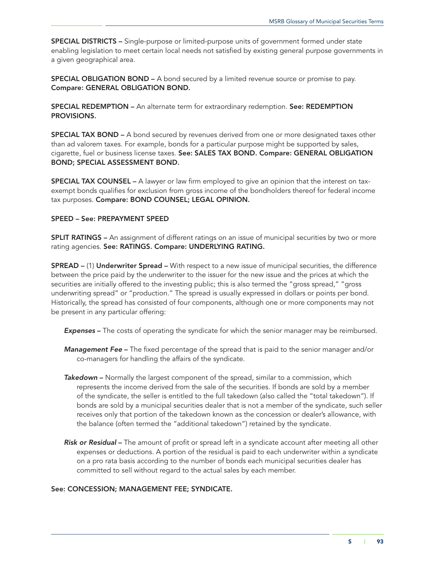SPECIAL DISTRICTS – Single-purpose or limited-purpose units of government formed under state enabling legislation to meet certain local needs not satisfied by existing general purpose governments in a given geographical area.

SPECIAL OBLIGATION BOND – A bond secured by a limited revenue source or promise to pay. Compare: GENERAL OBLIGATION BOND.

SPECIAL REDEMPTION – An alternate term for extraordinary redemption. See: REDEMPTION PROVISIONS.

SPECIAL TAX BOND – A bond secured by revenues derived from one or more designated taxes other than ad valorem taxes. For example, bonds for a particular purpose might be supported by sales, cigarette, fuel or business license taxes. See: SALES TAX BOND. Compare: GENERAL OBLIGATION BOND; SPECIAL ASSESSMENT BOND.

**SPECIAL TAX COUNSEL –** A lawyer or law firm employed to give an opinion that the interest on taxexempt bonds qualifies for exclusion from gross income of the bondholders thereof for federal income tax purposes. Compare: BOND COUNSEL; LEGAL OPINION.

### SPEED – See: PREPAYMENT SPEED

SPLIT RATINGS – An assignment of different ratings on an issue of municipal securities by two or more rating agencies. See: RATINGS. Compare: UNDERLYING RATING.

SPREAD – (1) Underwriter Spread – With respect to a new issue of municipal securities, the difference between the price paid by the underwriter to the issuer for the new issue and the prices at which the securities are initially offered to the investing public; this is also termed the "gross spread," "gross underwriting spread" or "production." The spread is usually expressed in dollars or points per bond. Historically, the spread has consisted of four components, although one or more components may not be present in any particular offering:

*Expenses* – The costs of operating the syndicate for which the senior manager may be reimbursed.

- *Management Fee* The fixed percentage of the spread that is paid to the senior manager and/or co-managers for handling the affairs of the syndicate.
- *Takedown* Normally the largest component of the spread, similar to a commission, which represents the income derived from the sale of the securities. If bonds are sold by a member of the syndicate, the seller is entitled to the full takedown (also called the "total takedown"). If bonds are sold by a municipal securities dealer that is not a member of the syndicate, such seller receives only that portion of the takedown known as the concession or dealer's allowance, with the balance (often termed the "additional takedown") retained by the syndicate.
- *Risk or Residual* The amount of profit or spread left in a syndicate account after meeting all other expenses or deductions. A portion of the residual is paid to each underwriter within a syndicate on a pro rata basis according to the number of bonds each municipal securities dealer has committed to sell without regard to the actual sales by each member.

## See: CONCESSION; MANAGEMENT FEE; SYNDICATE.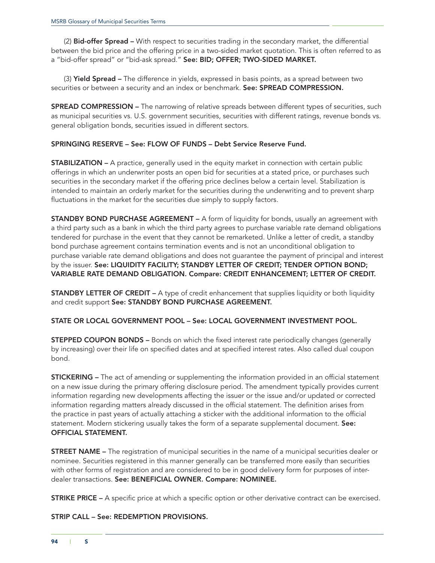(2) Bid-offer Spread - With respect to securities trading in the secondary market, the differential between the bid price and the offering price in a two-sided market quotation. This is often referred to as a "bid-offer spread" or "bid-ask spread." See: BID; OFFER; TWO-SIDED MARKET.

(3) Yield Spread – The difference in yields, expressed in basis points, as a spread between two securities or between a security and an index or benchmark. See: SPREAD COMPRESSION.

**SPREAD COMPRESSION** – The narrowing of relative spreads between different types of securities, such as municipal securities vs. U.S. government securities, securities with different ratings, revenue bonds vs. general obligation bonds, securities issued in different sectors.

### SPRINGING RESERVE – See: FLOW OF FUNDS – Debt Service Reserve Fund.

STABILIZATION – A practice, generally used in the equity market in connection with certain public offerings in which an underwriter posts an open bid for securities at a stated price, or purchases such securities in the secondary market if the offering price declines below a certain level. Stabilization is intended to maintain an orderly market for the securities during the underwriting and to prevent sharp fluctuations in the market for the securities due simply to supply factors.

**STANDBY BOND PURCHASE AGREEMENT –** A form of liquidity for bonds, usually an agreement with a third party such as a bank in which the third party agrees to purchase variable rate demand obligations tendered for purchase in the event that they cannot be remarketed. Unlike a letter of credit, a standby bond purchase agreement contains termination events and is not an unconditional obligation to purchase variable rate demand obligations and does not guarantee the payment of principal and interest by the issuer. See: LIQUIDITY FACILITY; STANDBY LETTER OF CREDIT; TENDER OPTION BOND; VARIABLE RATE DEMAND OBLIGATION. Compare: CREDIT ENHANCEMENT; LETTER OF CREDIT.

**STANDBY LETTER OF CREDIT –** A type of credit enhancement that supplies liquidity or both liquidity and credit support See: STANDBY BOND PURCHASE AGREEMENT.

## STATE OR LOCAL GOVERNMENT POOL – See: LOCAL GOVERNMENT INVESTMENT POOL.

**STEPPED COUPON BONDS** – Bonds on which the fixed interest rate periodically changes (generally by increasing) over their life on specified dates and at specified interest rates. Also called dual coupon bond.

**STICKERING** – The act of amending or supplementing the information provided in an official statement on a new issue during the primary offering disclosure period. The amendment typically provides current information regarding new developments affecting the issuer or the issue and/or updated or corrected information regarding matters already discussed in the official statement. The definition arises from the practice in past years of actually attaching a sticker with the additional information to the official statement. Modern stickering usually takes the form of a separate supplemental document. See: OFFICIAL STATEMENT.

STREET NAME – The registration of municipal securities in the name of a municipal securities dealer or nominee. Securities registered in this manner generally can be transferred more easily than securities with other forms of registration and are considered to be in good delivery form for purposes of interdealer transactions. See: BENEFICIAL OWNER. Compare: NOMINEE.

**STRIKE PRICE –** A specific price at which a specific option or other derivative contract can be exercised.

STRIP CALL – See: REDEMPTION PROVISIONS.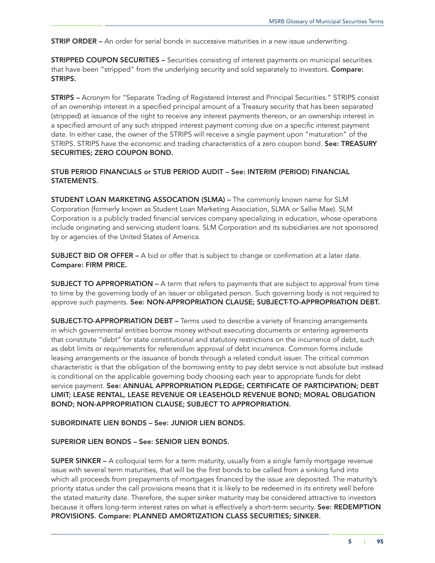**STRIP ORDER –** An order for serial bonds in successive maturities in a new issue underwriting.

STRIPPED COUPON SECURITIES – Securities consisting of interest payments on municipal securities that have been "stripped" from the underlying security and sold separately to investors. **Compare:** STRIPS.

STRIPS – Acronym for "Separate Trading of Registered Interest and Principal Securities." STRIPS consist of an ownership interest in a specified principal amount of a Treasury security that has been separated (stripped) at issuance of the right to receive any interest payments thereon, or an ownership interest in a specified amount of any such stripped interest payment coming due on a specific interest payment date. In either case, the owner of the STRIPS will receive a single payment upon "maturation" of the STRIPS. STRIPS have the economic and trading characteristics of a zero coupon bond. See: TREASURY SECURITIES; ZERO COUPON BOND.

## STUB PERIOD FINANCIALS or STUB PERIOD AUDIT – See: INTERIM (PERIOD) FINANCIAL STATEMENTS.

STUDENT LOAN MARKETING ASSOCATION (SLMA) – The commonly known name for SLM Corporation (formerly known as Student Loan Marketing Association, SLMA or Sallie Mae). SLM Corporation is a publicly traded financial services company specializing in education, whose operations include originating and servicing student loans. SLM Corporation and its subsidiaries are not sponsored by or agencies of the United States of America.

SUBJECT BID OR OFFER – A bid or offer that is subject to change or confirmation at a later date. Compare: FIRM PRICE.

**SUBJECT TO APPROPRIATION –** A term that refers to payments that are subject to approval from time to time by the governing body of an issuer or obligated person. Such governing body is not required to approve such payments. See: NON-APPROPRIATION CLAUSE; SUBJECT-TO-APPROPRIATION DEBT.

SUBJECT-TO-APPROPRIATION DEBT – Terms used to describe a variety of financing arrangements in which governmental entities borrow money without executing documents or entering agreements that constitute "debt" for state constitutional and statutory restrictions on the incurrence of debt, such as debt limits or requirements for referendum approval of debt incurrence. Common forms include leasing arrangements or the issuance of bonds through a related conduit issuer. The critical common characteristic is that the obligation of the borrowing entity to pay debt service is not absolute but instead is conditional on the applicable governing body choosing each year to appropriate funds for debt service payment. See: ANNUAL APPROPRIATION PLEDGE; CERTIFICATE OF PARTICIPATION; DEBT LIMIT; LEASE RENTAL, LEASE REVENUE OR LEASEHOLD REVENUE BOND; MORAL OBLIGATION BOND; NON-APPROPRIATION CLAUSE; SUBJECT TO APPROPRIATION.

SUBORDINATE LIEN BONDS – See: JUNIOR LIEN BONDS.

### SUPERIOR LIEN BONDS – See: SENIOR LIEN BONDS.

SUPER SINKER – A colloquial term for a term maturity, usually from a single family mortgage revenue issue with several term maturities, that will be the first bonds to be called from a sinking fund into which all proceeds from prepayments of mortgages financed by the issue are deposited. The maturity's priority status under the call provisions means that it is likely to be redeemed in its entirety well before the stated maturity date. Therefore, the super sinker maturity may be considered attractive to investors because it offers long-term interest rates on what is effectively a short-term security. See: REDEMPTION PROVISIONS. Compare: PLANNED AMORTIZATION CLASS SECURITIES; SINKER.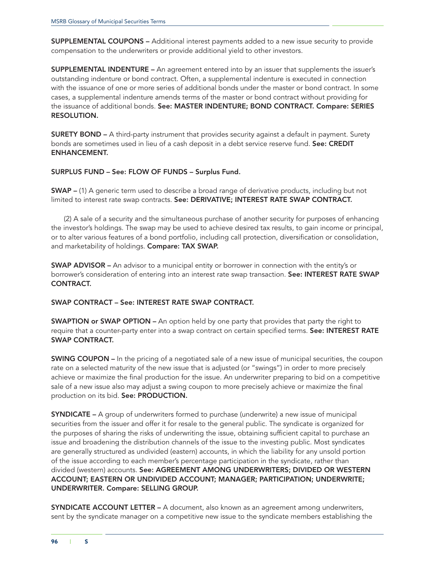SUPPLEMENTAL COUPONS – Additional interest payments added to a new issue security to provide compensation to the underwriters or provide additional yield to other investors.

SUPPLEMENTAL INDENTURE – An agreement entered into by an issuer that supplements the issuer's outstanding indenture or bond contract. Often, a supplemental indenture is executed in connection with the issuance of one or more series of additional bonds under the master or bond contract. In some cases, a supplemental indenture amends terms of the master or bond contract without providing for the issuance of additional bonds. See: MASTER INDENTURE; BOND CONTRACT. Compare: SERIES RESOLUTION.

SURETY BOND – A third-party instrument that provides security against a default in payment. Surety bonds are sometimes used in lieu of a cash deposit in a debt service reserve fund. See: CREDIT ENHANCEMENT.

SURPLUS FUND – See: FLOW OF FUNDS – Surplus Fund.

SWAP – (1) A generic term used to describe a broad range of derivative products, including but not limited to interest rate swap contracts. See: DERIVATIVE; INTEREST RATE SWAP CONTRACT.

(2) A sale of a security and the simultaneous purchase of another security for purposes of enhancing the investor's holdings. The swap may be used to achieve desired tax results, to gain income or principal, or to alter various features of a bond portfolio, including call protection, diversification or consolidation, and marketability of holdings. Compare: TAX SWAP.

SWAP ADVISOR – An advisor to a municipal entity or borrower in connection with the entity's or borrower's consideration of entering into an interest rate swap transaction. See: INTEREST RATE SWAP CONTRACT.

SWAP CONTRACT – See: INTEREST RATE SWAP CONTRACT.

**SWAPTION or SWAP OPTION –** An option held by one party that provides that party the right to require that a counter-party enter into a swap contract on certain specified terms. See: INTEREST RATE SWAP CONTRACT.

SWING COUPON – In the pricing of a negotiated sale of a new issue of municipal securities, the coupon rate on a selected maturity of the new issue that is adjusted (or "swings") in order to more precisely achieve or maximize the final production for the issue. An underwriter preparing to bid on a competitive sale of a new issue also may adjust a swing coupon to more precisely achieve or maximize the final production on its bid. See: PRODUCTION.

SYNDICATE – A group of underwriters formed to purchase (underwrite) a new issue of municipal securities from the issuer and offer it for resale to the general public. The syndicate is organized for the purposes of sharing the risks of underwriting the issue, obtaining sufficient capital to purchase an issue and broadening the distribution channels of the issue to the investing public. Most syndicates are generally structured as undivided (eastern) accounts, in which the liability for any unsold portion of the issue according to each member's percentage participation in the syndicate, rather than divided (western) accounts. See: AGREEMENT AMONG UNDERWRITERS; DIVIDED OR WESTERN ACCOUNT; EASTERN OR UNDIVIDED ACCOUNT; MANAGER; PARTICIPATION; UNDERWRITE; UNDERWRITER. Compare: SELLING GROUP.

SYNDICATE ACCOUNT LETTER – A document, also known as an agreement among underwriters, sent by the syndicate manager on a competitive new issue to the syndicate members establishing the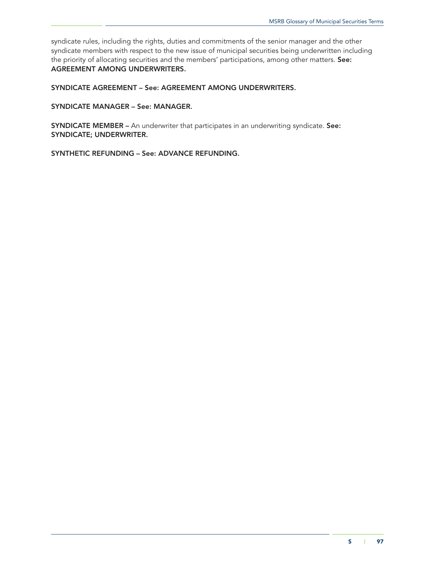syndicate rules, including the rights, duties and commitments of the senior manager and the other syndicate members with respect to the new issue of municipal securities being underwritten including the priority of allocating securities and the members' participations, among other matters. See: AGREEMENT AMONG UNDERWRITERS.

SYNDICATE AGREEMENT – See: AGREEMENT AMONG UNDERWRITERS.

SYNDICATE MANAGER – See: MANAGER.

SYNDICATE MEMBER – An underwriter that participates in an underwriting syndicate. See: SYNDICATE; UNDERWRITER.

SYNTHETIC REFUNDING – See: ADVANCE REFUNDING.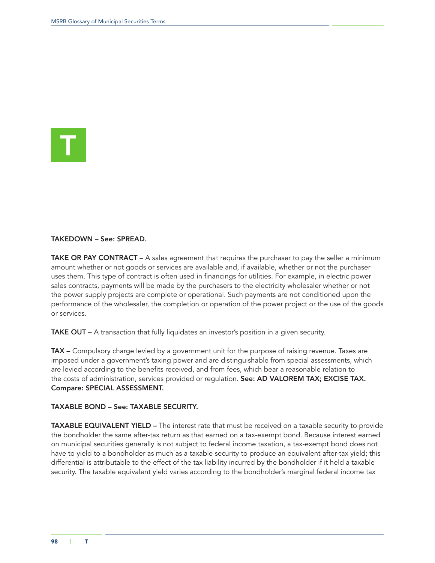

#### TAKEDOWN – See: SPREAD.

TAKE OR PAY CONTRACT - A sales agreement that requires the purchaser to pay the seller a minimum amount whether or not goods or services are available and, if available, whether or not the purchaser uses them. This type of contract is often used in financings for utilities. For example, in electric power sales contracts, payments will be made by the purchasers to the electricity wholesaler whether or not the power supply projects are complete or operational. Such payments are not conditioned upon the performance of the wholesaler, the completion or operation of the power project or the use of the goods or services.

TAKE OUT – A transaction that fully liquidates an investor's position in a given security.

TAX - Compulsory charge levied by a government unit for the purpose of raising revenue. Taxes are imposed under a government's taxing power and are distinguishable from special assessments, which are levied according to the benefits received, and from fees, which bear a reasonable relation to the costs of administration, services provided or regulation. See: AD VALOREM TAX; EXCISE TAX. Compare: SPECIAL ASSESSMENT.

## TAXABLE BOND – See: TAXABLE SECURITY.

TAXABLE EQUIVALENT YIELD – The interest rate that must be received on a taxable security to provide the bondholder the same after-tax return as that earned on a tax-exempt bond. Because interest earned on municipal securities generally is not subject to federal income taxation, a tax-exempt bond does not have to yield to a bondholder as much as a taxable security to produce an equivalent after-tax yield; this differential is attributable to the effect of the tax liability incurred by the bondholder if it held a taxable security. The taxable equivalent yield varies according to the bondholder's marginal federal income tax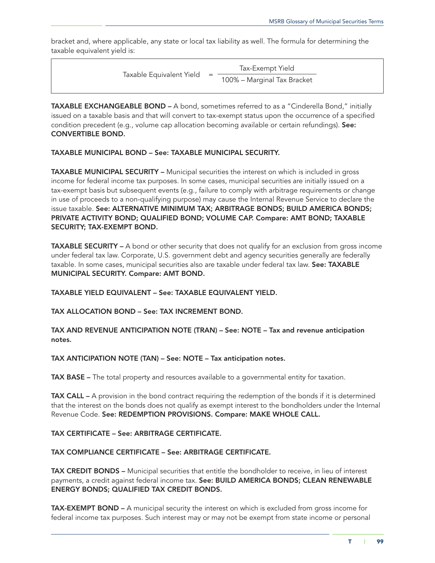bracket and, where applicable, any state or local tax liability as well. The formula for determining the taxable equivalent yield is:

| Taxable Equivalent Yield | $=$ | Tax-Exempt Yield            |  |
|--------------------------|-----|-----------------------------|--|
|                          |     | 100% - Marginal Tax Bracket |  |

TAXABLE EXCHANGEABLE BOND – A bond, sometimes referred to as a "Cinderella Bond," initially issued on a taxable basis and that will convert to tax-exempt status upon the occurrence of a specified condition precedent (e.g., volume cap allocation becoming available or certain refundings). See: CONVERTIBLE BOND.

# TAXABLE MUNICIPAL BOND – See: TAXABLE MUNICIPAL SECURITY.

TAXABLE MUNICIPAL SECURITY – Municipal securities the interest on which is included in gross income for federal income tax purposes. In some cases, municipal securities are initially issued on a tax-exempt basis but subsequent events (e.g., failure to comply with arbitrage requirements or change in use of proceeds to a non-qualifying purpose) may cause the Internal Revenue Service to declare the issue taxable. See: ALTERNATIVE MINIMUM TAX; ARBITRAGE BONDS; BUILD AMERICA BONDS; PRIVATE ACTIVITY BOND; QUALIFIED BOND; VOLUME CAP. Compare: AMT BOND; TAXABLE SECURITY; TAX-EXEMPT BOND.

TAXABLE SECURITY – A bond or other security that does not qualify for an exclusion from gross income under federal tax law. Corporate, U.S. government debt and agency securities generally are federally taxable. In some cases, municipal securities also are taxable under federal tax law. See: TAXABLE MUNICIPAL SECURITY. Compare: AMT BOND.

TAXABLE YIELD EQUIVALENT – See: TAXABLE EQUIVALENT YIELD.

TAX ALLOCATION BOND – See: TAX INCREMENT BOND.

TAX AND REVENUE ANTICIPATION NOTE (TRAN) – See: NOTE – Tax and revenue anticipation notes.

TAX ANTICIPATION NOTE (TAN) – See: NOTE – Tax anticipation notes.

TAX BASE – The total property and resources available to a governmental entity for taxation.

TAX CALL – A provision in the bond contract requiring the redemption of the bonds if it is determined that the interest on the bonds does not qualify as exempt interest to the bondholders under the Internal Revenue Code. See: REDEMPTION PROVISIONS. Compare: MAKE WHOLE CALL.

## TAX CERTIFICATE – See: ARBITRAGE CERTIFICATE.

TAX COMPLIANCE CERTIFICATE – See: ARBITRAGE CERTIFICATE.

TAX CREDIT BONDS – Municipal securities that entitle the bondholder to receive, in lieu of interest payments, a credit against federal income tax. See: BUILD AMERICA BONDS; CLEAN RENEWABLE ENERGY BONDS; QUALIFIED TAX CREDIT BONDS.

TAX-EXEMPT BOND - A municipal security the interest on which is excluded from gross income for federal income tax purposes. Such interest may or may not be exempt from state income or personal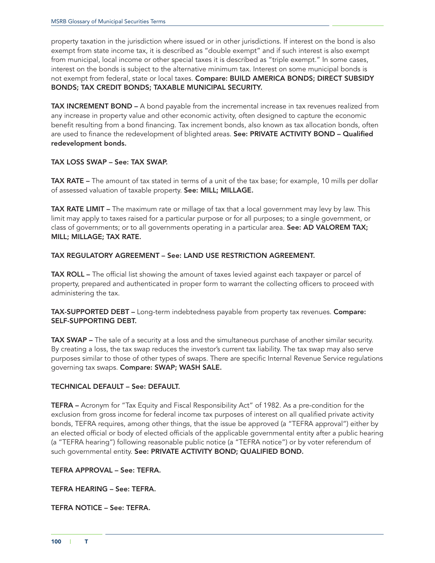property taxation in the jurisdiction where issued or in other jurisdictions. If interest on the bond is also exempt from state income tax, it is described as "double exempt" and if such interest is also exempt from municipal, local income or other special taxes it is described as "triple exempt." In some cases, interest on the bonds is subject to the alternative minimum tax. Interest on some municipal bonds is not exempt from federal, state or local taxes. Compare: BUILD AMERICA BONDS; DIRECT SUBSIDY BONDS; TAX CREDIT BONDS; TAXABLE MUNICIPAL SECURITY.

TAX INCREMENT BOND – A bond payable from the incremental increase in tax revenues realized from any increase in property value and other economic activity, often designed to capture the economic benefit resulting from a bond financing. Tax increment bonds, also known as tax allocation bonds, often are used to finance the redevelopment of blighted areas. See: PRIVATE ACTIVITY BOND - Qualified redevelopment bonds.

# TAX LOSS SWAP – See: TAX SWAP.

TAX RATE – The amount of tax stated in terms of a unit of the tax base; for example, 10 mills per dollar of assessed valuation of taxable property. See: MILL; MILLAGE.

**TAX RATE LIMIT** – The maximum rate or millage of tax that a local government may levy by law. This limit may apply to taxes raised for a particular purpose or for all purposes; to a single government, or class of governments; or to all governments operating in a particular area. See: AD VALOREM TAX; MILL; MILLAGE; TAX RATE.

# TAX REGULATORY AGREEMENT – See: LAND USE RESTRICTION AGREEMENT.

TAX ROLL – The official list showing the amount of taxes levied against each taxpayer or parcel of property, prepared and authenticated in proper form to warrant the collecting officers to proceed with administering the tax.

TAX-SUPPORTED DEBT – Long-term indebtedness payable from property tax revenues. Compare: SELF-SUPPORTING DEBT.

TAX SWAP – The sale of a security at a loss and the simultaneous purchase of another similar security. By creating a loss, the tax swap reduces the investor's current tax liability. The tax swap may also serve purposes similar to those of other types of swaps. There are specific Internal Revenue Service regulations governing tax swaps. Compare: SWAP; WASH SALE.

## TECHNICAL DEFAULT – See: DEFAULT.

TEFRA – Acronym for "Tax Equity and Fiscal Responsibility Act" of 1982. As a pre-condition for the exclusion from gross income for federal income tax purposes of interest on all qualified private activity bonds, TEFRA requires, among other things, that the issue be approved (a "TEFRA approval") either by an elected official or body of elected officials of the applicable governmental entity after a public hearing (a "TEFRA hearing") following reasonable public notice (a "TEFRA notice") or by voter referendum of such governmental entity. See: PRIVATE ACTIVITY BOND; QUALIFIED BOND.

TEFRA APPROVAL – See: TEFRA.

TEFRA HEARING – See: TEFRA.

TEFRA NOTICE – See: TEFRA.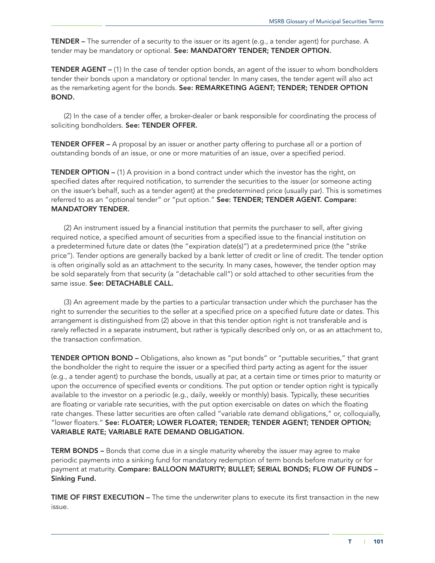**TENDER** – The surrender of a security to the issuer or its agent (e.g., a tender agent) for purchase. A tender may be mandatory or optional. See: MANDATORY TENDER; TENDER OPTION.

TENDER AGENT – (1) In the case of tender option bonds, an agent of the issuer to whom bondholders tender their bonds upon a mandatory or optional tender. In many cases, the tender agent will also act as the remarketing agent for the bonds. See: REMARKETING AGENT; TENDER; TENDER OPTION BOND.

(2) In the case of a tender offer, a broker-dealer or bank responsible for coordinating the process of soliciting bondholders. See: TENDER OFFER.

TENDER OFFER – A proposal by an issuer or another party offering to purchase all or a portion of outstanding bonds of an issue, or one or more maturities of an issue, over a specified period.

TENDER OPTION – (1) A provision in a bond contract under which the investor has the right, on specified dates after required notification, to surrender the securities to the issuer (or someone acting on the issuer's behalf, such as a tender agent) at the predetermined price (usually par). This is sometimes referred to as an "optional tender" or "put option." See: TENDER; TENDER AGENT. Compare: MANDATORY TENDER.

(2) An instrument issued by a financial institution that permits the purchaser to sell, after giving required notice, a specified amount of securities from a specified issue to the financial institution on a predetermined future date or dates (the "expiration date(s)") at a predetermined price (the "strike price"). Tender options are generally backed by a bank letter of credit or line of credit. The tender option is often originally sold as an attachment to the security. In many cases, however, the tender option may be sold separately from that security (a "detachable call") or sold attached to other securities from the same issue. See: DETACHABLE CALL.

(3) An agreement made by the parties to a particular transaction under which the purchaser has the right to surrender the securities to the seller at a specified price on a specified future date or dates. This arrangement is distinguished from (2) above in that this tender option right is not transferable and is rarely reflected in a separate instrument, but rather is typically described only on, or as an attachment to, the transaction confirmation.

TENDER OPTION BOND – Obligations, also known as "put bonds" or "puttable securities," that grant the bondholder the right to require the issuer or a specified third party acting as agent for the issuer (e.g., a tender agent) to purchase the bonds, usually at par, at a certain time or times prior to maturity or upon the occurrence of specified events or conditions. The put option or tender option right is typically available to the investor on a periodic (e.g., daily*,* weekly or monthly) basis. Typically, these securities are floating or variable rate securities, with the put option exercisable on dates on which the floating rate changes. These latter securities are often called "variable rate demand obligations," or, colloquially, "lower floaters." See: FLOATER; LOWER FLOATER; TENDER; TENDER AGENT; TENDER OPTION; VARIABLE RATE; VARIABLE RATE DEMAND OBLIGATION.

**TERM BONDS –** Bonds that come due in a single maturity whereby the issuer may agree to make periodic payments into a sinking fund for mandatory redemption of term bonds before maturity or for payment at maturity. Compare: BALLOON MATURITY; BULLET; SERIAL BONDS; FLOW OF FUNDS -Sinking Fund.

**TIME OF FIRST EXECUTION –** The time the underwriter plans to execute its first transaction in the new issue.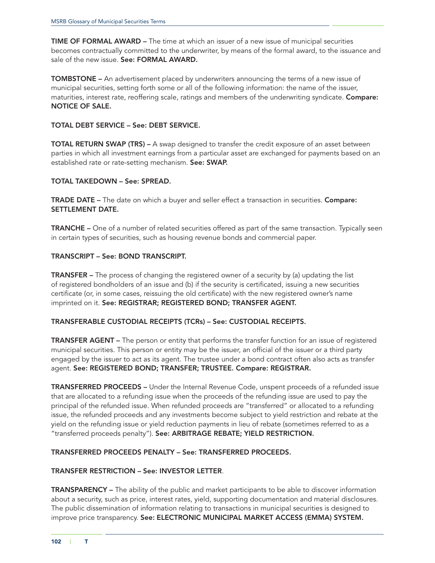TIME OF FORMAL AWARD – The time at which an issuer of a new issue of municipal securities becomes contractually committed to the underwriter, by means of the formal award, to the issuance and sale of the new issue. See: FORMAL AWARD.

TOMBSTONE – An advertisement placed by underwriters announcing the terms of a new issue of municipal securities, setting forth some or all of the following information: the name of the issuer, maturities, interest rate, reoffering scale, ratings and members of the underwriting syndicate. Compare: NOTICE OF SALE.

# TOTAL DEBT SERVICE – See: DEBT SERVICE.

**TOTAL RETURN SWAP (TRS)** – A swap designed to transfer the credit exposure of an asset between parties in which all investment earnings from a particular asset are exchanged for payments based on an established rate or rate-setting mechanism. See: SWAP.

## TOTAL TAKEDOWN – See: SPREAD.

TRADE DATE – The date on which a buyer and seller effect a transaction in securities. Compare: SETTLEMENT DATE.

TRANCHE – One of a number of related securities offered as part of the same transaction. Typically seen in certain types of securities, such as housing revenue bonds and commercial paper.

## TRANSCRIPT – See: BOND TRANSCRIPT.

TRANSFER – The process of changing the registered owner of a security by (a) updating the list of registered bondholders of an issue and (b) if the security is certificated, issuing a new securities certificate (or, in some cases, reissuing the old certificate) with the new registered owner's name imprinted on it. See: REGISTRAR; REGISTERED BOND; TRANSFER AGENT.

## TRANSFERABLE CUSTODIAL RECEIPTS (TCRs) – See: CUSTODIAL RECEIPTS.

TRANSFER AGENT – The person or entity that performs the transfer function for an issue of registered municipal securities. This person or entity may be the issuer, an official of the issuer or a third party engaged by the issuer to act as its agent. The trustee under a bond contract often also acts as transfer agent. See: REGISTERED BOND; TRANSFER; TRUSTEE. Compare: REGISTRAR.

TRANSFERRED PROCEEDS – Under the Internal Revenue Code, unspent proceeds of a refunded issue that are allocated to a refunding issue when the proceeds of the refunding issue are used to pay the principal of the refunded issue. When refunded proceeds are "transferred" or allocated to a refunding issue, the refunded proceeds and any investments become subject to yield restriction and rebate at the yield on the refunding issue or yield reduction payments in lieu of rebate (sometimes referred to as a "transferred proceeds penalty"). See: ARBITRAGE REBATE; YIELD RESTRICTION.

## TRANSFERRED PROCEEDS PENALTY – See: TRANSFERRED PROCEEDS.

## TRANSFER RESTRICTION – See: INVESTOR LETTER.

TRANSPARENCY – The ability of the public and market participants to be able to discover information about a security, such as price, interest rates, yield, supporting documentation and material disclosures. The public dissemination of information relating to transactions in municipal securities is designed to improve price transparency. See: ELECTRONIC MUNICIPAL MARKET ACCESS (EMMA) SYSTEM.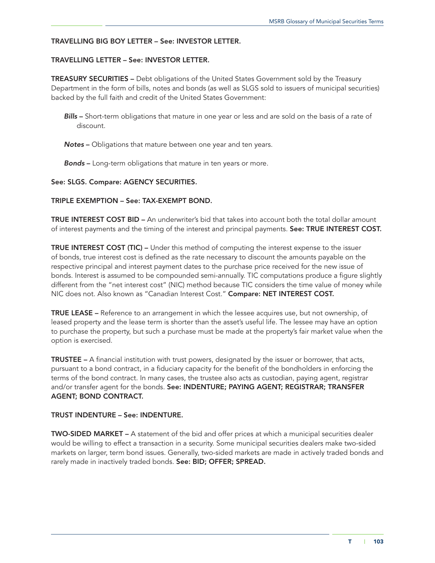#### TRAVELLING BIG BOY LETTER – See: INVESTOR LETTER.

#### TRAVELLING LETTER – See: INVESTOR LETTER.

TREASURY SECURITIES – Debt obligations of the United States Government sold by the Treasury Department in the form of bills, notes and bonds (as well as SLGS sold to issuers of municipal securities) backed by the full faith and credit of the United States Government:

- **Bills** Short-term obligations that mature in one year or less and are sold on the basis of a rate of discount.
- *Notes* Obligations that mature between one year and ten years.
- *Bonds* Long-term obligations that mature in ten years or more.

#### See: SLGS. Compare: AGENCY SECURITIES.

### TRIPLE EXEMPTION – See: TAX-EXEMPT BOND.

TRUE INTEREST COST BID – An underwriter's bid that takes into account both the total dollar amount of interest payments and the timing of the interest and principal payments. See: TRUE INTEREST COST.

TRUE INTEREST COST (TIC) – Under this method of computing the interest expense to the issuer of bonds, true interest cost is defined as the rate necessary to discount the amounts payable on the respective principal and interest payment dates to the purchase price received for the new issue of bonds. Interest is assumed to be compounded semi-annually. TIC computations produce a figure slightly different from the "net interest cost" (NIC) method because TIC considers the time value of money while NIC does not. Also known as "Canadian Interest Cost." Compare: NET INTEREST COST.

TRUE LEASE – Reference to an arrangement in which the lessee acquires use, but not ownership, of leased property and the lease term is shorter than the asset's useful life. The lessee may have an option to purchase the property, but such a purchase must be made at the property's fair market value when the option is exercised.

TRUSTEE – A financial institution with trust powers, designated by the issuer or borrower, that acts, pursuant to a bond contract, in a fiduciary capacity for the benefit of the bondholders in enforcing the terms of the bond contract. In many cases, the trustee also acts as custodian, paying agent, registrar and/or transfer agent for the bonds. See: INDENTURE; PAYING AGENT; REGISTRAR; TRANSFER AGENT; BOND CONTRACT.

#### TRUST INDENTURE – See: INDENTURE.

TWO-SIDED MARKET – A statement of the bid and offer prices at which a municipal securities dealer would be willing to effect a transaction in a security. Some municipal securities dealers make two-sided markets on larger, term bond issues. Generally, two-sided markets are made in actively traded bonds and rarely made in inactively traded bonds. See: BID; OFFER; SPREAD.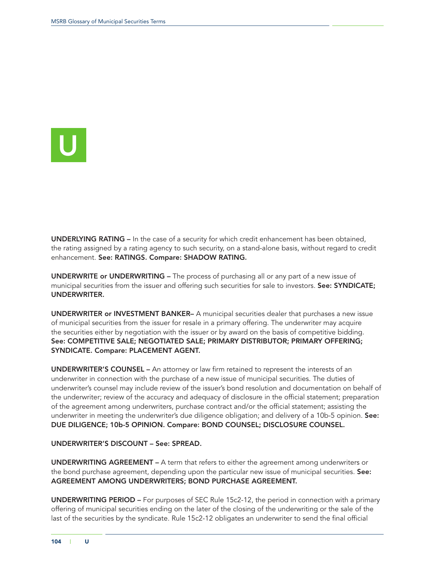

UNDERLYING RATING – In the case of a security for which credit enhancement has been obtained, the rating assigned by a rating agency to such security, on a stand-alone basis, without regard to credit enhancement. See: RATINGS. Compare: SHADOW RATING.

UNDERWRITE or UNDERWRITING – The process of purchasing all or any part of a new issue of municipal securities from the issuer and offering such securities for sale to investors. See: SYNDICATE; UNDERWRITER.

UNDERWRITER or INVESTMENT BANKER– A municipal securities dealer that purchases a new issue of municipal securities from the issuer for resale in a primary offering. The underwriter may acquire the securities either by negotiation with the issuer or by award on the basis of competitive bidding. See: COMPETITIVE SALE; NEGOTIATED SALE; PRIMARY DISTRIBUTOR; PRIMARY OFFERING; SYNDICATE. Compare: PLACEMENT AGENT.

UNDERWRITER'S COUNSEL – An attorney or law firm retained to represent the interests of an underwriter in connection with the purchase of a new issue of municipal securities. The duties of underwriter's counsel may include review of the issuer's bond resolution and documentation on behalf of the underwriter; review of the accuracy and adequacy of disclosure in the official statement; preparation of the agreement among underwriters, purchase contract and/or the official statement; assisting the underwriter in meeting the underwriter's due diligence obligation; and delivery of a 10b-5 opinion. See: DUE DILIGENCE; 10b-5 OPINION. Compare: BOND COUNSEL; DISCLOSURE COUNSEL.

### UNDERWRITER'S DISCOUNT – See: SPREAD.

UNDERWRITING AGREEMENT – A term that refers to either the agreement among underwriters or the bond purchase agreement, depending upon the particular new issue of municipal securities. See: AGREEMENT AMONG UNDERWRITERS; BOND PURCHASE AGREEMENT.

UNDERWRITING PERIOD – For purposes of SEC Rule 15c2-12, the period in connection with a primary offering of municipal securities ending on the later of the closing of the underwriting or the sale of the last of the securities by the syndicate. Rule 15c2-12 obligates an underwriter to send the final official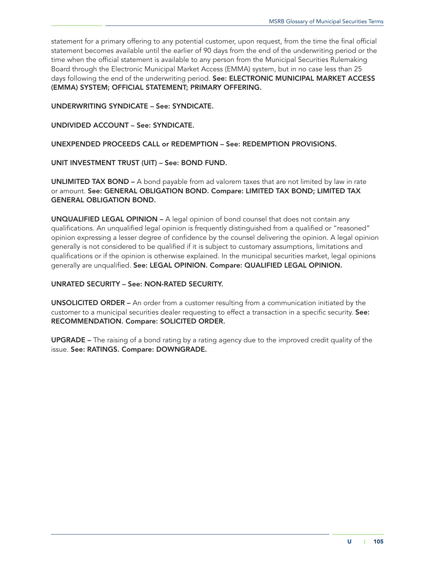statement for a primary offering to any potential customer, upon request, from the time the final official statement becomes available until the earlier of 90 days from the end of the underwriting period or the time when the official statement is available to any person from the Municipal Securities Rulemaking Board through the Electronic Municipal Market Access (EMMA) system, but in no case less than 25 days following the end of the underwriting period. See: ELECTRONIC MUNICIPAL MARKET ACCESS (EMMA) SYSTEM; OFFICIAL STATEMENT; PRIMARY OFFERING.

UNDERWRITING SYNDICATE – See: SYNDICATE.

UNDIVIDED ACCOUNT – See: SYNDICATE.

UNEXPENDED PROCEEDS CALL or REDEMPTION – See: REDEMPTION PROVISIONS.

UNIT INVESTMENT TRUST (UIT) – See: BOND FUND.

UNLIMITED TAX BOND – A bond payable from ad valorem taxes that are not limited by law in rate or amount. See: GENERAL OBLIGATION BOND. Compare: LIMITED TAX BOND; LIMITED TAX GENERAL OBLIGATION BOND.

UNQUALIFIED LEGAL OPINION – A legal opinion of bond counsel that does not contain any qualifications. An unqualified legal opinion is frequently distinguished from a qualified or "reasoned" opinion expressing a lesser degree of confidence by the counsel delivering the opinion. A legal opinion generally is not considered to be qualified if it is subject to customary assumptions, limitations and qualifications or if the opinion is otherwise explained. In the municipal securities market, legal opinions generally are unqualified. See: LEGAL OPINION. Compare: QUALIFIED LEGAL OPINION.

## UNRATED SECURITY – See: NON-RATED SECURITY.

UNSOLICITED ORDER – An order from a customer resulting from a communication initiated by the customer to a municipal securities dealer requesting to effect a transaction in a specific security. See: RECOMMENDATION. Compare: SOLICITED ORDER.

UPGRADE – The raising of a bond rating by a rating agency due to the improved credit quality of the issue. See: RATINGS. Compare: DOWNGRADE.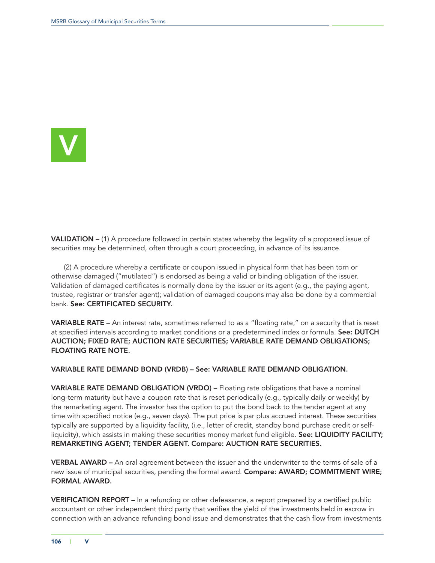

**VALIDATION –** (1) A procedure followed in certain states whereby the legality of a proposed issue of securities may be determined, often through a court proceeding, in advance of its issuance.

(2) A procedure whereby a certificate or coupon issued in physical form that has been torn or otherwise damaged ("mutilated") is endorsed as being a valid or binding obligation of the issuer. Validation of damaged certificates is normally done by the issuer or its agent (e.g., the paying agent, trustee, registrar or transfer agent); validation of damaged coupons may also be done by a commercial bank. See: CERTIFICATED SECURITY.

VARIABLE RATE – An interest rate, sometimes referred to as a "floating rate," on a security that is reset at specified intervals according to market conditions or a predetermined index or formula. See: DUTCH AUCTION; FIXED RATE; AUCTION RATE SECURITIES; VARIABLE RATE DEMAND OBLIGATIONS; FLOATING RATE NOTE.

#### VARIABLE RATE DEMAND BOND (VRDB) – See: VARIABLE RATE DEMAND OBLIGATION.

VARIABLE RATE DEMAND OBLIGATION (VRDO) – Floating rate obligations that have a nominal long-term maturity but have a coupon rate that is reset periodically (e.g*.,* typically daily or weekly) by the remarketing agent. The investor has the option to put the bond back to the tender agent at any time with specified notice (e.g*.*, seven days). The put price is par plus accrued interest. These securities typically are supported by a liquidity facility, (i.e., letter of credit, standby bond purchase credit or selfliquidity), which assists in making these securities money market fund eligible. See: LIQUIDITY FACILITY; REMARKETING AGENT; TENDER AGENT. Compare: AUCTION RATE SECURITIES.

VERBAL AWARD – An oral agreement between the issuer and the underwriter to the terms of sale of a new issue of municipal securities, pending the formal award. Compare: AWARD; COMMITMENT WIRE; FORMAL AWARD.

VERIFICATION REPORT – In a refunding or other defeasance, a report prepared by a certified public accountant or other independent third party that verifies the yield of the investments held in escrow in connection with an advance refunding bond issue and demonstrates that the cash flow from investments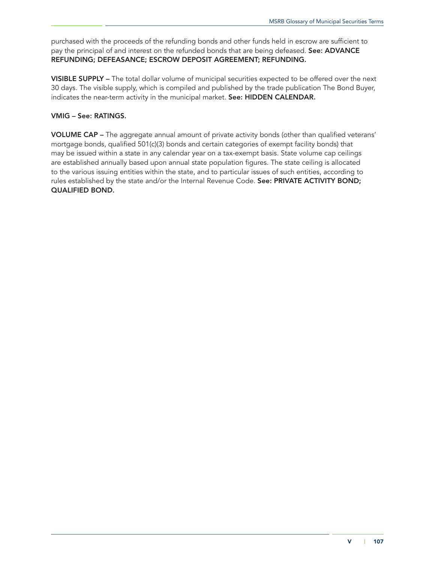purchased with the proceeds of the refunding bonds and other funds held in escrow are sufficient to pay the principal of and interest on the refunded bonds that are being defeased. See: ADVANCE REFUNDING; DEFEASANCE; ESCROW DEPOSIT AGREEMENT; REFUNDING.

VISIBLE SUPPLY – The total dollar volume of municipal securities expected to be offered over the next 30 days. The visible supply, which is compiled and published by the trade publication The Bond Buyer, indicates the near-term activity in the municipal market. See: HIDDEN CALENDAR.

# VMIG – See: RATINGS.

VOLUME CAP – The aggregate annual amount of private activity bonds (other than qualified veterans' mortgage bonds, qualified 501(c)(3) bonds and certain categories of exempt facility bonds) that may be issued within a state in any calendar year on a tax-exempt basis. State volume cap ceilings are established annually based upon annual state population figures. The state ceiling is allocated to the various issuing entities within the state, and to particular issues of such entities, according to rules established by the state and/or the Internal Revenue Code. See: PRIVATE ACTIVITY BOND; QUALIFIED BOND.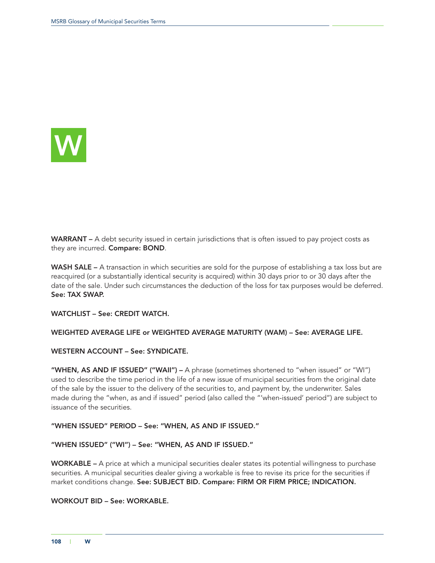

WARRANT – A debt security issued in certain jurisdictions that is often issued to pay project costs as they are incurred. Compare: BOND.

WASH SALE – A transaction in which securities are sold for the purpose of establishing a tax loss but are reacquired (or a substantially identical security is acquired) within 30 days prior to or 30 days after the date of the sale. Under such circumstances the deduction of the loss for tax purposes would be deferred. See: TAX SWAP.

WATCHLIST – See: CREDIT WATCH.

WEIGHTED AVERAGE LIFE or WEIGHTED AVERAGE MATURITY (WAM) – See: AVERAGE LIFE.

WESTERN ACCOUNT – See: SYNDICATE.

"WHEN, AS AND IF ISSUED" ("WAII") - A phrase (sometimes shortened to "when issued" or "WI") used to describe the time period in the life of a new issue of municipal securities from the original date of the sale by the issuer to the delivery of the securities to, and payment by, the underwriter. Sales made during the "when, as and if issued" period (also called the "'when-issued' period") are subject to issuance of the securities.

"WHEN ISSUED" PERIOD – See: "WHEN, AS AND IF ISSUED."

"WHEN ISSUED" ("WI") – See: "WHEN, AS AND IF ISSUED."

WORKABLE – A price at which a municipal securities dealer states its potential willingness to purchase securities. A municipal securities dealer giving a workable is free to revise its price for the securities if market conditions change. See: SUBJECT BID. Compare: FIRM OR FIRM PRICE; INDICATION.

## WORKOUT BID – See: WORKABLE.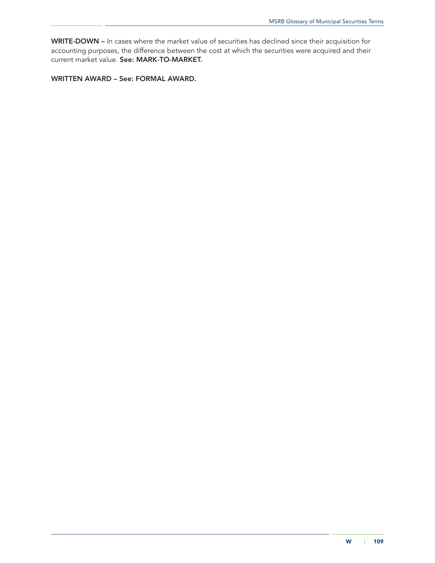WRITE-DOWN – In cases where the market value of securities has declined since their acquisition for accounting purposes, the difference between the cost at which the securities were acquired and their current market value. See: MARK-TO-MARKET.

WRITTEN AWARD – See: FORMAL AWARD.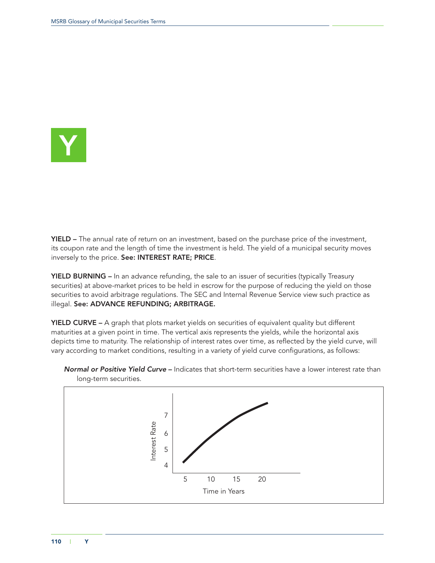

YIELD – The annual rate of return on an investment, based on the purchase price of the investment, its coupon rate and the length of time the investment is held. The yield of a municipal security moves inversely to the price. See: INTEREST RATE; PRICE.

YIELD BURNING – In an advance refunding, the sale to an issuer of securities (typically Treasury securities) at above-market prices to be held in escrow for the purpose of reducing the yield on those securities to avoid arbitrage regulations. The SEC and Internal Revenue Service view such practice as illegal. See: ADVANCE REFUNDING; ARBITRAGE.

YIELD CURVE – A graph that plots market yields on securities of equivalent quality but different maturities at a given point in time. The vertical axis represents the yields, while the horizontal axis depicts time to maturity. The relationship of interest rates over time, as reflected by the yield curve, will vary according to market conditions, resulting in a variety of yield curve configurations, as follows:



*Normal or Positive Yield Curve* – Indicates that short-term securities have a lower interest rate than long-term securities.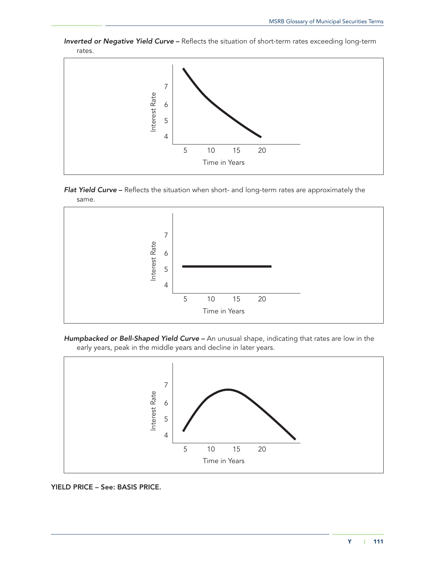

*Inverted or Negative Yield Curve* – Reflects the situation of short-term rates exceeding long-term rates.









# YIELD PRICE – See: BASIS PRICE.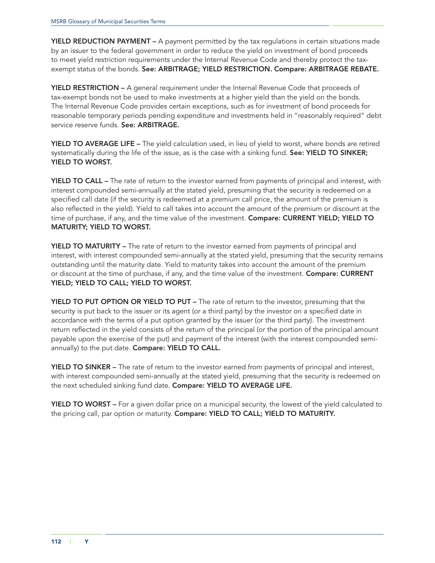**YIELD REDUCTION PAYMENT –** A payment permitted by the tax regulations in certain situations made by an issuer to the federal government in order to reduce the yield on investment of bond proceeds to meet yield restriction requirements under the Internal Revenue Code and thereby protect the taxexempt status of the bonds. See: ARBITRAGE; YIELD RESTRICTION. Compare: ARBITRAGE REBATE.

YIELD RESTRICTION – A general requirement under the Internal Revenue Code that proceeds of tax-exempt bonds not be used to make investments at a higher yield than the yield on the bonds. The Internal Revenue Code provides certain exceptions, such as for investment of bond proceeds for reasonable temporary periods pending expenditure and investments held in "reasonably required" debt service reserve funds. See: ARBITRAGE.

YIELD TO AVERAGE LIFE – The yield calculation used, in lieu of yield to worst, where bonds are retired systematically during the life of the issue, as is the case with a sinking fund. See: YIELD TO SINKER; YIELD TO WORST.

YIELD TO CALL – The rate of return to the investor earned from payments of principal and interest, with interest compounded semi-annually at the stated yield, presuming that the security is redeemed on a specified call date (if the security is redeemed at a premium call price, the amount of the premium is also reflected in the yield). Yield to call takes into account the amount of the premium or discount at the time of purchase, if any, and the time value of the investment. Compare: CURRENT YIELD; YIELD TO MATURITY; YIELD TO WORST.

YIELD TO MATURITY – The rate of return to the investor earned from payments of principal and interest, with interest compounded semi-annually at the stated yield, presuming that the security remains outstanding until the maturity date. Yield to maturity takes into account the amount of the premium or discount at the time of purchase, if any, and the time value of the investment. Compare: CURRENT YIELD; YIELD TO CALL; YIELD TO WORST.

YIELD TO PUT OPTION OR YIELD TO PUT - The rate of return to the investor, presuming that the security is put back to the issuer or its agent (or a third party) by the investor on a specified date in accordance with the terms of a put option granted by the issuer (or the third party). The investment return reflected in the yield consists of the return of the principal (or the portion of the principal amount payable upon the exercise of the put) and payment of the interest (with the interest compounded semiannually) to the put date. Compare: YIELD TO CALL.

YIELD TO SINKER – The rate of return to the investor earned from payments of principal and interest, with interest compounded semi-annually at the stated yield, presuming that the security is redeemed on the next scheduled sinking fund date. Compare: YIELD TO AVERAGE LIFE.

**YIELD TO WORST** – For a given dollar price on a municipal security, the lowest of the yield calculated to the pricing call, par option or maturity. Compare: YIELD TO CALL; YIELD TO MATURITY.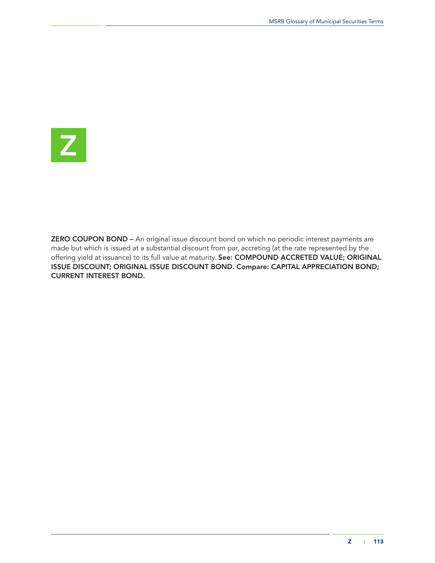

ZERO COUPON BOND – An original issue discount bond on which no periodic interest payments are made but which is issued at a substantial discount from par, accreting (at the rate represented by the offering yield at issuance) to its full value at maturity. See: COMPOUND ACCRETED VALUE; ORIGINAL ISSUE DISCOUNT; ORIGINAL ISSUE DISCOUNT BOND. Compare: CAPITAL APPRECIATION BOND; CURRENT INTEREST BOND.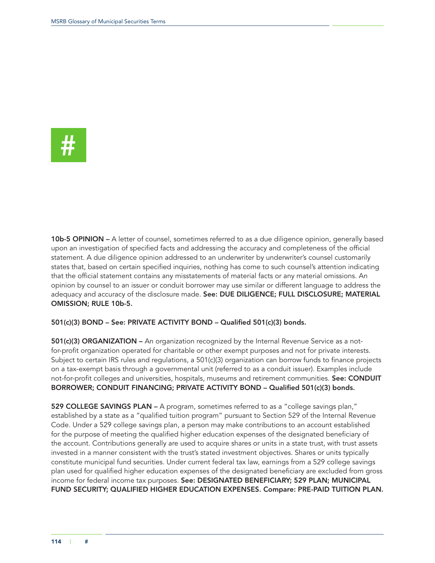

10b-5 OPINION – A letter of counsel, sometimes referred to as a due diligence opinion, generally based upon an investigation of specified facts and addressing the accuracy and completeness of the official statement. A due diligence opinion addressed to an underwriter by underwriter's counsel customarily states that, based on certain specified inquiries, nothing has come to such counsel's attention indicating that the official statement contains any misstatements of material facts or any material omissions. An opinion by counsel to an issuer or conduit borrower may use similar or different language to address the adequacy and accuracy of the disclosure made. See: DUE DILIGENCE; FULL DISCLOSURE; MATERIAL OMISSION; RULE 10b-5.

#### 501(c)(3) BOND – See: PRIVATE ACTIVITY BOND – Qualified 501(c)(3) bonds.

501(c)(3) ORGANIZATION – An organization recognized by the Internal Revenue Service as a notfor-profit organization operated for charitable or other exempt purposes and not for private interests. Subject to certain IRS rules and regulations, a 501(c)(3) organization can borrow funds to finance projects on a tax-exempt basis through a governmental unit (referred to as a conduit issuer). Examples include not-for-profit colleges and universities, hospitals, museums and retirement communities. See: CONDUIT BORROWER; CONDUIT FINANCING; PRIVATE ACTIVITY BOND – Qualified 501(c)(3) bonds.

529 COLLEGE SAVINGS PLAN - A program, sometimes referred to as a "college savings plan," established by a state as a "qualified tuition program" pursuant to Section 529 of the Internal Revenue Code. Under a 529 college savings plan, a person may make contributions to an account established for the purpose of meeting the qualified higher education expenses of the designated beneficiary of the account. Contributions generally are used to acquire shares or units in a state trust, with trust assets invested in a manner consistent with the trust's stated investment objectives. Shares or units typically constitute municipal fund securities. Under current federal tax law, earnings from a 529 college savings plan used for qualified higher education expenses of the designated beneficiary are excluded from gross income for federal income tax purposes. See: DESIGNATED BENEFICIARY; 529 PLAN; MUNICIPAL FUND SECURITY; QUALIFIED HIGHER EDUCATION EXPENSES. Compare: PRE-PAID TUITION PLAN.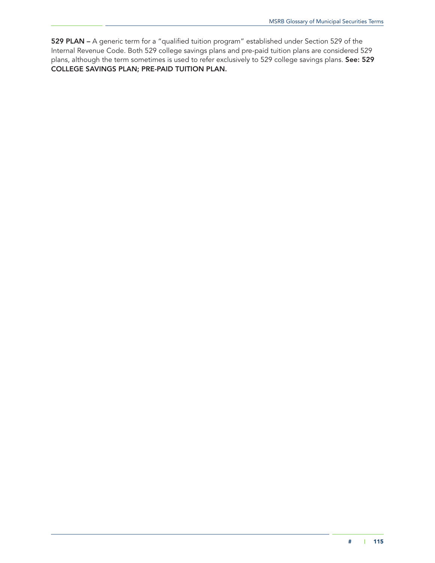529 PLAN – A generic term for a "qualified tuition program" established under Section 529 of the Internal Revenue Code. Both 529 college savings plans and pre-paid tuition plans are considered 529 plans, although the term sometimes is used to refer exclusively to 529 college savings plans. See: 529 COLLEGE SAVINGS PLAN; PRE-PAID TUITION PLAN.